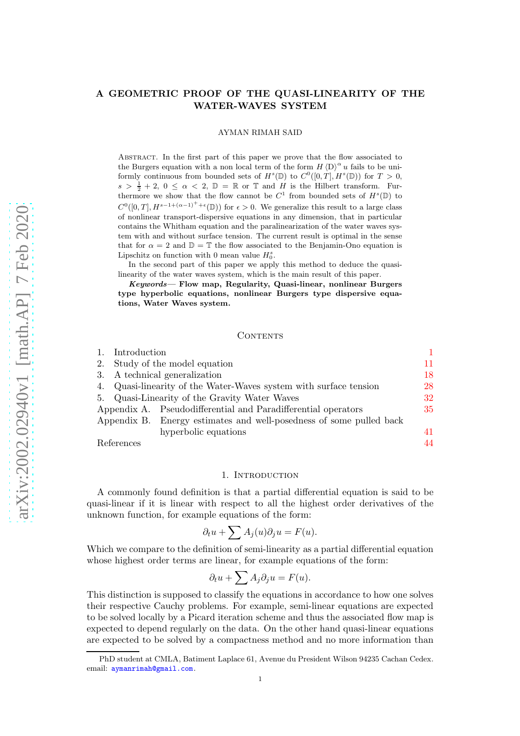# A GEOMETRIC PROOF OF THE QUASI-LINEARITY OF THE WATER-WAVES SYSTEM

#### AYMAN RIMAH SAID

Abstract. In the first part of this paper we prove that the flow associated to the Burgers equation with a non local term of the form  $H \langle D \rangle^{\alpha} u$  fails to be uniformly continuous from bounded sets of  $H^s(\mathbb{D})$  to  $C^0([0,T], H^s(\mathbb{D}))$  for  $T > 0$ ,  $s > \frac{1}{2} + 2$ ,  $0 \leq \alpha < 2$ ,  $\mathbb{D} = \mathbb{R}$  or  $\mathbb{T}$  and H is the Hilbert transform. Furthermore we show that the flow cannot be  $C^1$  from bounded sets of  $H^s(\mathbb{D})$  to  $C^0([0,T], H^{s-1+(\alpha-1)^+ + \epsilon}(\mathbb{D}))$  for  $\epsilon > 0$ . We generalize this result to a large class of nonlinear transport-dispersive equations in any dimension, that in particular contains the Whitham equation and the paralinearization of the water waves system with and without surface tension. The current result is optimal in the sense that for  $\alpha = 2$  and  $\mathbb{D} = \mathbb{T}$  the flow associated to the Benjamin-Ono equation is Lipschitz on function with 0 mean value  $H_0^s$ .

In the second part of this paper we apply this method to deduce the quasilinearity of the water waves system, which is the main result of this paper.

Keywords— Flow map, Regularity, Quasi-linear, nonlinear Burgers type hyperbolic equations, nonlinear Burgers type dispersive equations, Water Waves system.

#### CONTENTS

|  | 1. Introduction                |                                                                     |    |
|--|--------------------------------|---------------------------------------------------------------------|----|
|  | 2. Study of the model equation |                                                                     | 11 |
|  |                                | 3. A technical generalization                                       | 18 |
|  |                                | 4. Quasi-linearity of the Water-Waves system with surface tension   | 28 |
|  |                                | 5. Quasi-Linearity of the Gravity Water Waves                       | 32 |
|  |                                | Appendix A. Pseudodifferential and Paradifferential operators       | 35 |
|  |                                | Appendix B. Energy estimates and well-posedness of some pulled back |    |
|  |                                | hyperbolic equations                                                | 41 |
|  | References                     |                                                                     | 44 |

<span id="page-0-0"></span>

#### 1. INTRODUCTION

A commonly found definition is that a partial differential equation is said to be quasi-linear if it is linear with respect to all the highest order derivatives of the unknown function, for example equations of the form:

$$
\partial_t u + \sum A_j(u) \partial_j u = F(u).
$$

Which we compare to the definition of semi-linearity as a partial differential equation whose highest order terms are linear, for example equations of the form:

$$
\partial_t u + \sum A_j \partial_j u = F(u).
$$

This distinction is supposed to classify the equations in accordance to how one solves their respective Cauchy problems. For example, semi-linear equations are expected to be solved locally by a Picard iteration scheme and thus the associated flow map is expected to depend regularly on the data. On the other hand quasi-linear equations are expected to be solved by a compactness method and no more information than

PhD student at CMLA, Batiment Laplace 61, Avenue du President Wilson 94235 Cachan Cedex. email: <aymanrimah@gmail.com>.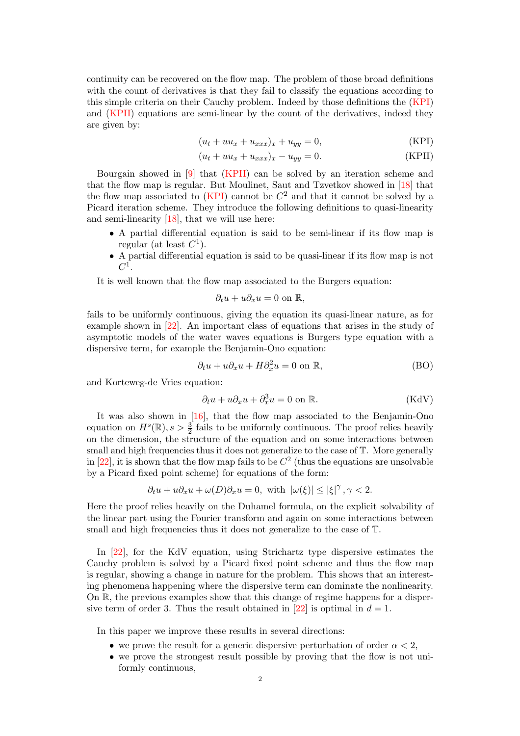continuity can be recovered on the flow map. The problem of those broad definitions with the count of derivatives is that they fail to classify the equations according to this simple criteria on their Cauchy problem. Indeed by those definitions the [\(KPI\)](#page-1-0) and [\(KPII\)](#page-1-1) equations are semi-linear by the count of the derivatives, indeed they are given by:

<span id="page-1-1"></span><span id="page-1-0"></span>
$$
(u_t + uu_x + u_{xxx})_x + u_{yy} = 0,
$$
 (KPI)

$$
(u_t + uu_x + u_{xxx})_x - u_{yy} = 0.
$$
 (KPII)

Bourgain showed in [\[9\]](#page-44-0) that [\(KPII\)](#page-1-1) can be solved by an iteration scheme and that the flow map is regular. But Moulinet, Saut and Tzvetkov showed in [\[18\]](#page-44-1) that the flow map associated to  $(KPI)$  cannot be  $C<sup>2</sup>$  and that it cannot be solved by a Picard iteration scheme. They introduce the following definitions to quasi-linearity and semi-linearity [\[18\]](#page-44-1), that we will use here:

- A partial differential equation is said to be semi-linear if its flow map is regular (at least  $C^1$ ).
- A partial differential equation is said to be quasi-linear if its flow map is not  $C^1$ .

It is well known that the flow map associated to the Burgers equation:

$$
\partial_t u + u \partial_x u = 0 \text{ on } \mathbb{R},
$$

fails to be uniformly continuous, giving the equation its quasi-linear nature, as for example shown in [\[22\]](#page-44-2). An important class of equations that arises in the study of asymptotic models of the water waves equations is Burgers type equation with a dispersive term, for example the Benjamin-Ono equation:

$$
\partial_t u + u \partial_x u + H \partial_x^2 u = 0 \text{ on } \mathbb{R}, \tag{BO}
$$

and Korteweg-de Vries equation:

$$
\partial_t u + u \partial_x u + \partial_x^3 u = 0 \text{ on } \mathbb{R}. \tag{KdV}
$$

It was also shown in [\[16\]](#page-44-3), that the flow map associated to the Benjamin-Ono equation on  $H^s(\mathbb{R}), s > \frac{3}{2}$  fails to be uniformly continuous. The proof relies heavily on the dimension, the structure of the equation and on some interactions between small and high frequencies thus it does not generalize to the case of T. More generally in  $[22]$ , it is shown that the flow map fails to be  $C<sup>2</sup>$  (thus the equations are unsolvable by a Picard fixed point scheme) for equations of the form:

$$
\partial_t u + u \partial_x u + \omega(D) \partial_x u = 0, \text{ with } |\omega(\xi)| \leq |\xi|^{\gamma} \,, \gamma < 2.
$$

Here the proof relies heavily on the Duhamel formula, on the explicit solvability of the linear part using the Fourier transform and again on some interactions between small and high frequencies thus it does not generalize to the case of T.

In [\[22\]](#page-44-2), for the KdV equation, using Strichartz type dispersive estimates the Cauchy problem is solved by a Picard fixed point scheme and thus the flow map is regular, showing a change in nature for the problem. This shows that an interesting phenomena happening where the dispersive term can dominate the nonlinearity. On R, the previous examples show that this change of regime happens for a disper-sive term of order 3. Thus the result obtained in [\[22\]](#page-44-2) is optimal in  $d = 1$ .

In this paper we improve these results in several directions:

- we prove the result for a generic dispersive perturbation of order  $\alpha < 2$ ,
- we prove the strongest result possible by proving that the flow is not uniformly continuous,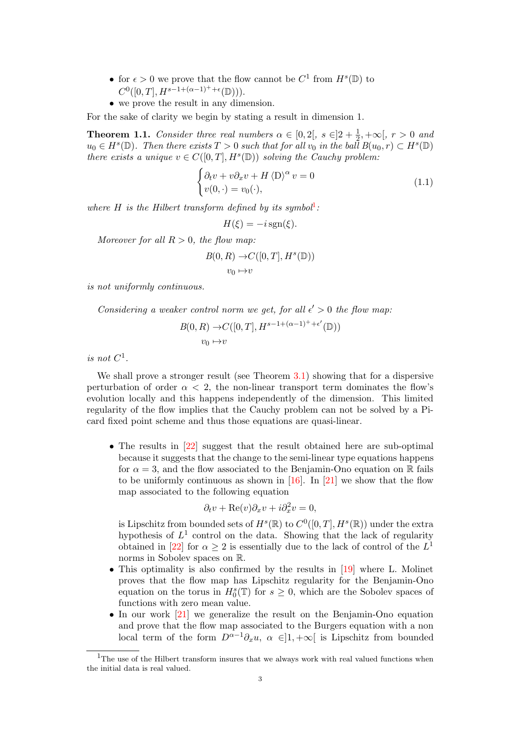- for  $\epsilon > 0$  we prove that the flow cannot be  $C^1$  from  $H^s(\mathbb{D})$  to  $C^0([0,T], H^{s-1+(\alpha-1)^++\epsilon}(\mathbb{D})).$
- we prove the result in any dimension.

For the sake of clarity we begin by stating a result in dimension 1.

<span id="page-2-2"></span>**Theorem 1.1.** Consider three real numbers  $\alpha \in [0,2[$ ,  $s \in ]2+\frac{1}{2},+\infty[$ ,  $r > 0$  and  $u_0 \in H^s(\mathbb{D})$ . Then there exists  $T > 0$  such that for all  $v_0$  in the ball  $B(u_0, r) \subset H^s(\mathbb{D})$ there exists a unique  $v \in C([0,T], H^s(\mathbb{D}))$  solving the Cauchy problem:

<span id="page-2-1"></span>
$$
\begin{cases} \partial_t v + v \partial_x v + H \langle D \rangle^\alpha v = 0 \\ v(0, \cdot) = v_0(\cdot), \end{cases}
$$
 (1.1)

where H is the Hilbert transform defined by its symbol<sup>[1](#page-2-0)</sup>:

$$
H(\xi) = -i \operatorname{sgn}(\xi).
$$

Moreover for all  $R > 0$ , the flow map:

$$
B(0, R) \to C([0, T], H^s(\mathbb{D}))
$$
  

$$
v_0 \mapsto v
$$

is not uniformly continuous.

Considering a weaker control norm we get, for all  $\epsilon' > 0$  the flow map:

$$
B(0, R) \to C([0, T], H^{s-1+(\alpha-1)^{+}+\epsilon'}(\mathbb{D}))
$$
  

$$
v_0 \mapsto v
$$

is not  $C^1$ .

We shall prove a stronger result (see Theorem [3.1\)](#page-17-1) showing that for a dispersive perturbation of order  $\alpha < 2$ , the non-linear transport term dominates the flow's evolution locally and this happens independently of the dimension. This limited regularity of the flow implies that the Cauchy problem can not be solved by a Picard fixed point scheme and thus those equations are quasi-linear.

• The results in [\[22\]](#page-44-2) suggest that the result obtained here are sub-optimal because it suggests that the change to the semi-linear type equations happens for  $\alpha = 3$ , and the flow associated to the Benjamin-Ono equation on R fails to be uniformly continuous as shown in  $[16]$ . In  $[21]$  we show that the flow map associated to the following equation

$$
\partial_t v + \text{Re}(v)\partial_x v + i\partial_x^2 v = 0,
$$

is Lipschitz from bounded sets of  $H^s(\mathbb{R})$  to  $C^0([0,T], H^s(\mathbb{R}))$  under the extra hypothesis of  $L^1$  control on the data. Showing that the lack of regularity obtained in [\[22\]](#page-44-2) for  $\alpha \geq 2$  is essentially due to the lack of control of the  $L^1$ norms in Sobolev spaces on R.

- This optimality is also confirmed by the results in [\[19\]](#page-44-5) where L. Molinet proves that the flow map has Lipschitz regularity for the Benjamin-Ono equation on the torus in  $H_0^s(\mathbb{T})$  for  $s \geq 0$ , which are the Sobolev spaces of functions with zero mean value.
- In our work [\[21\]](#page-44-4) we generalize the result on the Benjamin-Ono equation and prove that the flow map associated to the Burgers equation with a non local term of the form  $D^{\alpha-1}\partial_x u$ ,  $\alpha \in ]1, +\infty[$  is Lipschitz from bounded

<span id="page-2-0"></span><sup>&</sup>lt;sup>1</sup>The use of the Hilbert transform insures that we always work with real valued functions when the initial data is real valued.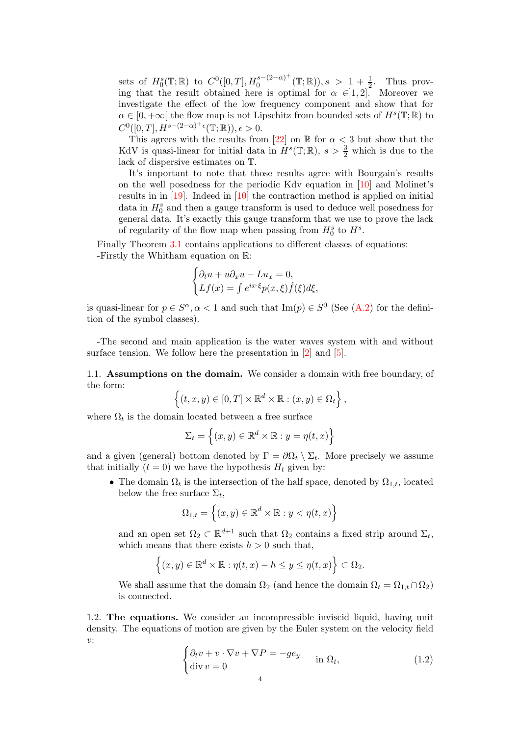sets of  $H_0^s(\mathbb{T}; \mathbb{R})$  to  $C^0([0, T], H_0^{s-(2-\alpha)^+}$  $0 \frac{s-(2-\alpha)^{+}}{0} (\mathbb{T}; \mathbb{R})$ ,  $s > 1 + \frac{1}{2}$ . Thus proving that the result obtained here is optimal for  $\alpha \in ]1,2]$ . Moreover we investigate the effect of the low frequency component and show that for  $\alpha \in [0, +\infty[$  the flow map is not Lipschitz from bounded sets of  $H^s(\mathbb{T}; \mathbb{R})$  to  $C^0([0,T], H^{s-(2-\alpha)^+ \epsilon}(\mathbb{T}; \mathbb{R}))$ ,  $\epsilon > 0$ .

This agrees with the results from [\[22\]](#page-44-2) on R for  $\alpha < 3$  but show that the KdV is quasi-linear for initial data in  $H^s(\mathbb{T}; \mathbb{R})$ ,  $s > \frac{3}{2}$  which is due to the lack of dispersive estimates on T.

It's important to note that those results agree with Bourgain's results on the well posedness for the periodic Kdv equation in [\[10\]](#page-44-6) and Molinet's results in in [\[19\]](#page-44-5). Indeed in [\[10\]](#page-44-6) the contraction method is applied on initial data in  $H_0^s$  and then a gauge transform is used to deduce well posedness for general data. It's exactly this gauge transform that we use to prove the lack of regularity of the flow map when passing from  $H_0^s$  to  $H^s$ .

Finally Theorem [3.1](#page-17-1) contains applications to different classes of equations: -Firstly the Whitham equation on R:

$$
\begin{cases} \partial_t u + u \partial_x u - Lu_x = 0, \\ Lf(x) = \int e^{ix \cdot \xi} p(x, \xi) \hat{f}(\xi) d\xi, \end{cases}
$$

is quasi-linear for  $p \in S^{\alpha}, \alpha < 1$  and such that  $\text{Im}(p) \in S^0$  (See [\(A.2\)](#page-35-0) for the definition of the symbol classes).

-The second and main application is the water waves system with and without surface tension. We follow here the presentation in [\[2\]](#page-43-1) and [\[5\]](#page-44-7).

1.1. Assumptions on the domain. We consider a domain with free boundary, of the form:

$$
\left\{(t,x,y)\in[0,T]\times\mathbb{R}^d\times\mathbb{R}:(x,y)\in\Omega_t\right\},\
$$

where  $\Omega_t$  is the domain located between a free surface

$$
\Sigma_t = \left\{ (x, y) \in \mathbb{R}^d \times \mathbb{R} : y = \eta(t, x) \right\}
$$

and a given (general) bottom denoted by  $\Gamma = \partial \Omega_t \setminus \Sigma_t$ . More precisely we assume that initially  $(t = 0)$  we have the hypothesis  $H_t$  given by:

• The domain  $\Omega_t$  is the intersection of the half space, denoted by  $\Omega_{1,t}$ , located below the free surface  $\Sigma_t$ ,

$$
\Omega_{1,t} = \left\{ (x, y) \in \mathbb{R}^d \times \mathbb{R} : y < \eta(t, x) \right\}
$$

and an open set  $\Omega_2 \subset \mathbb{R}^{d+1}$  such that  $\Omega_2$  contains a fixed strip around  $\Sigma_t$ , which means that there exists  $h > 0$  such that,

$$
\left\{(x,y)\in\mathbb{R}^d\times\mathbb{R}:\eta(t,x)-h\leq y\leq \eta(t,x)\right\}\subset\Omega_2.
$$

We shall assume that the domain  $\Omega_2$  (and hence the domain  $\Omega_t = \Omega_{1,t} \cap \Omega_2$ ) is connected.

1.2. The equations. We consider an incompressible inviscid liquid, having unit density. The equations of motion are given by the Euler system on the velocity field  $v:$ 

$$
\begin{cases} \partial_t v + v \cdot \nabla v + \nabla P = -g e_y \\ \text{div } v = 0 \end{cases} \text{ in } \Omega_t,
$$
 (1.2)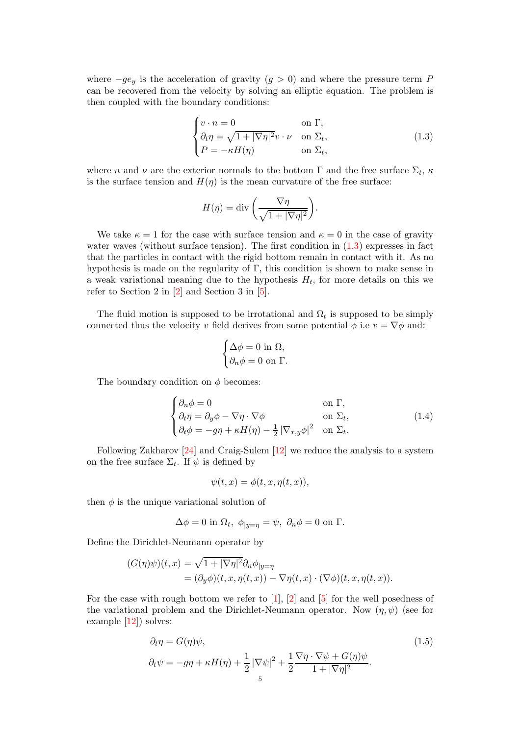where  $-ge_y$  is the acceleration of gravity  $(g > 0)$  and where the pressure term P can be recovered from the velocity by solving an elliptic equation. The problem is then coupled with the boundary conditions:

<span id="page-4-0"></span>
$$
\begin{cases}\nv \cdot n = 0 & \text{on } \Gamma, \\
\partial_t \eta = \sqrt{1 + |\nabla \eta|^2} v \cdot \nu & \text{on } \Sigma_t, \\
P = -\kappa H(\eta) & \text{on } \Sigma_t,\n\end{cases}
$$
\n(1.3)

where *n* and  $\nu$  are the exterior normals to the bottom  $\Gamma$  and the free surface  $\Sigma_t$ ,  $\kappa$ is the surface tension and  $H(\eta)$  is the mean curvature of the free surface:

$$
H(\eta) = \text{div}\left(\frac{\nabla \eta}{\sqrt{1 + |\nabla \eta|^2}}\right).
$$

We take  $\kappa = 1$  for the case with surface tension and  $\kappa = 0$  in the case of gravity water waves (without surface tension). The first condition in  $(1.3)$  expresses in fact that the particles in contact with the rigid bottom remain in contact with it. As no hypothesis is made on the regularity of  $\Gamma$ , this condition is shown to make sense in a weak variational meaning due to the hypothesis  $H_t$ , for more details on this we refer to Section 2 in [\[2\]](#page-43-1) and Section 3 in [\[5\]](#page-44-7).

The fluid motion is supposed to be irrotational and  $\Omega_t$  is supposed to be simply connected thus the velocity v field derives from some potential  $\phi$  i.e  $v = \nabla \phi$  and:

$$
\begin{cases} \Delta \phi = 0 \text{ in } \Omega, \\ \partial_n \phi = 0 \text{ on } \Gamma. \end{cases}
$$

The boundary condition on  $\phi$  becomes:

$$
\begin{cases}\n\partial_n \phi = 0 & \text{on } \Gamma, \\
\partial_t \eta = \partial_y \phi - \nabla \eta \cdot \nabla \phi & \text{on } \Sigma_t, \\
\partial_t \phi = -g\eta + \kappa H(\eta) - \frac{1}{2} |\nabla_{x,y} \phi|^2 & \text{on } \Sigma_t.\n\end{cases}
$$
\n(1.4)

Following Zakharov [\[24\]](#page-44-8) and Craig-Sulem [\[12\]](#page-44-9) we reduce the analysis to a system on the free surface  $\Sigma_t$ . If  $\psi$  is defined by

<span id="page-4-1"></span>
$$
\psi(t, x) = \phi(t, x, \eta(t, x)),
$$

then  $\phi$  is the unique variational solution of

$$
\Delta \phi = 0 \text{ in } \Omega_t, \ \phi_{|y=\eta} = \psi, \ \partial_n \phi = 0 \text{ on } \Gamma.
$$

Define the Dirichlet-Neumann operator by

$$
(G(\eta)\psi)(t,x) = \sqrt{1+|\nabla\eta|^2} \partial_n \phi_{|y=\eta}
$$
  
=  $(\partial_y \phi)(t,x,\eta(t,x)) - \nabla\eta(t,x) \cdot (\nabla\phi)(t,x,\eta(t,x)).$ 

For the case with rough bottom we refer to [\[1\]](#page-43-2), [\[2\]](#page-43-1) and [\[5\]](#page-44-7) for the well posedness of the variational problem and the Dirichlet-Neumann operator. Now  $(\eta, \psi)$  (see for example [\[12\]](#page-44-9)) solves:

$$
\partial_t \eta = G(\eta)\psi,
$$
  
\n
$$
\partial_t \psi = -g\eta + \kappa H(\eta) + \frac{1}{2}|\nabla \psi|^2 + \frac{1}{2}\frac{\nabla \eta \cdot \nabla \psi + G(\eta)\psi}{1 + |\nabla \eta|^2}.
$$
\n(1.5)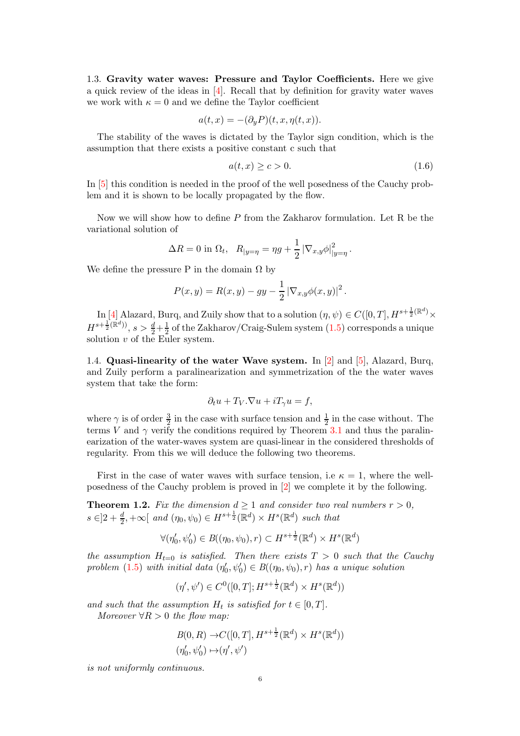1.3. Gravity water waves: Pressure and Taylor Coefficients. Here we give a quick review of the ideas in [\[4\]](#page-43-3). Recall that by definition for gravity water waves we work with  $\kappa = 0$  and we define the Taylor coefficient

$$
a(t,x) = -(\partial_y P)(t, x, \eta(t, x)).
$$

The stability of the waves is dictated by the Taylor sign condition, which is the assumption that there exists a positive constant c such that

$$
a(t,x) \ge c > 0. \tag{1.6}
$$

In [\[5\]](#page-44-7) this condition is needed in the proof of the well posedness of the Cauchy problem and it is shown to be locally propagated by the flow.

Now we will show how to define P from the Zakharov formulation. Let R be the variational solution of

$$
\Delta R = 0
$$
 in  $\Omega_t$ ,  $R_{|y=\eta} = \eta g + \frac{1}{2} |\nabla_{x,y} \phi|_{|y=\eta}^2$ .

We define the pressure P in the domain  $\Omega$  by

$$
P(x, y) = R(x, y) - gy - \frac{1}{2} |\nabla_{x, y} \phi(x, y)|^{2}.
$$

In [\[4\]](#page-43-3) Alazard, Burq, and Zuily show that to a solution  $(\eta, \psi) \in C([0, T], H^{s + \frac{1}{2}(\mathbb{R}^d)} \times$  $H^{s+\frac{1}{2}(\mathbb{R}^d))}, s > \frac{d}{2}+\frac{1}{2}$  $\frac{1}{2}$  of the Zakharov/Craig-Sulem system  $(1.5)$  corresponds a unique solution  $v$  of the Euler system.

1.4. Quasi-linearity of the water Wave system. In [\[2\]](#page-43-1) and [\[5\]](#page-44-7), Alazard, Burq, and Zuily perform a paralinearization and symmetrization of the the water waves system that take the form:

$$
\partial_t u + T_V.\nabla u + iT_\gamma u = f,
$$

where  $\gamma$  is of order  $\frac{3}{2}$  in the case with surface tension and  $\frac{1}{2}$  in the case without. The terms V and  $\gamma$  verify the conditions required by Theorem [3.1](#page-17-1) and thus the paralinearization of the water-waves system are quasi-linear in the considered thresholds of regularity. From this we will deduce the following two theorems.

First in the case of water waves with surface tension, i.e  $\kappa = 1$ , where the wellposedness of the Cauchy problem is proved in [\[2\]](#page-43-1) we complete it by the following.

<span id="page-5-0"></span>**Theorem 1.2.** Fix the dimension  $d \ge 1$  and consider two real numbers  $r > 0$ ,  $s \in ]2 + \frac{d}{2}, +\infty[$  and  $(\eta_0, \psi_0) \in H^{s + \frac{1}{2}}(\mathbb{R}^d) \times H^s(\mathbb{R}^d)$  such that

$$
\forall (\eta'_0, \psi'_0) \in B((\eta_0, \psi_0), r) \subset H^{s + \frac{1}{2}}(\mathbb{R}^d) \times H^s(\mathbb{R}^d)
$$

the assumption  $H_{t=0}$  is satisfied. Then there exists  $T > 0$  such that the Cauchy problem [\(1.5\)](#page-4-1) with initial data  $(\eta_0', \psi_0') \in B((\eta_0, \psi_0), r)$  has a unique solution

$$
(\eta', \psi') \in C^0([0, T]; H^{s + \frac{1}{2}}(\mathbb{R}^d) \times H^s(\mathbb{R}^d))
$$

and such that the assumption  $H_t$  is satisfied for  $t \in [0, T]$ .

Moreover  $\forall R > 0$  the flow map:

$$
B(0, R) \to C([0, T], H^{s + \frac{1}{2}}(\mathbb{R}^d) \times H^s(\mathbb{R}^d))
$$
  

$$
(\eta'_0, \psi'_0) \mapsto (\eta', \psi')
$$

is not uniformly continuous.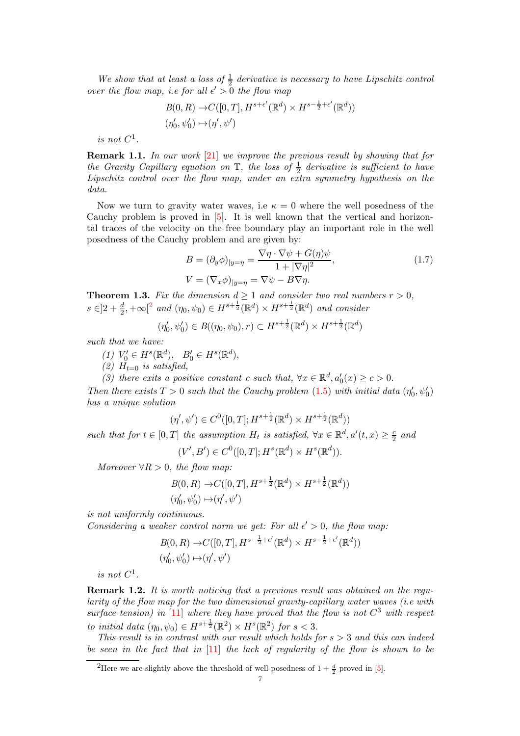We show that at least a loss of  $\frac{1}{2}$  derivative is necessary to have Lipschitz control over the flow map, i.e for all  $\epsilon' > 0$  the flow map

$$
B(0, R) \to C([0, T], H^{s+\epsilon'}(\mathbb{R}^d) \times H^{s-\frac{1}{2}+\epsilon'}(\mathbb{R}^d))
$$
  

$$
(\eta'_0, \psi'_0) \mapsto (\eta', \psi')
$$

is not  $C^1$ .

Remark 1.1. In our work [\[21\]](#page-44-4) we improve the previous result by showing that for the Gravity Capillary equation on  $\mathbb{T}$ , the loss of  $\frac{1}{2}$  derivative is sufficient to have Lipschitz control over the flow map, under an extra symmetry hypothesis on the data.

Now we turn to gravity water waves, i.e  $\kappa = 0$  where the well posedness of the Cauchy problem is proved in [\[5\]](#page-44-7). It is well known that the vertical and horizontal traces of the velocity on the free boundary play an important role in the well posedness of the Cauchy problem and are given by:

<span id="page-6-2"></span>
$$
B = (\partial_y \phi)_{|y=\eta} = \frac{\nabla \eta \cdot \nabla \psi + G(\eta)\psi}{1 + |\nabla \eta|^2},
$$
  
\n
$$
V = (\nabla_x \phi)_{|y=\eta} = \nabla \psi - B \nabla \eta.
$$
\n(1.7)

<span id="page-6-1"></span>**Theorem 1.3.** Fix the dimension  $d \ge 1$  and consider two real numbers  $r > 0$ ,  $s \in ]2 + \frac{d}{2}, +\infty[^2$  $s \in ]2 + \frac{d}{2}, +\infty[^2$  $s \in ]2 + \frac{d}{2}, +\infty[^2$  and  $(\eta_0, \psi_0) \in H^{s+\frac{1}{2}}(\mathbb{R}^d) \times H^{s+\frac{1}{2}}(\mathbb{R}^d)$  and consider

$$
(\eta'_0, \psi'_0) \in B((\eta_0, \psi_0), r) \subset H^{s + \frac{1}{2}}(\mathbb{R}^d) \times H^{s + \frac{1}{2}}(\mathbb{R}^d)
$$

such that we have:

- $(1) V'_0 \in H^s(\mathbb{R}^d), B'_0 \in H^s(\mathbb{R}^d),$
- (2)  $H_{t=0}$  is satisfied,

(3) there exits a positive constant c such that,  $\forall x \in \mathbb{R}^d, a'_0(x) \ge c > 0$ .

Then there exists  $T > 0$  such that the Cauchy problem [\(1.5\)](#page-4-1) with initial data  $(\eta'_0, \psi'_0)$ has a unique solution

$$
(\eta', \psi') \in C^0([0, T]; H^{s + \frac{1}{2}}(\mathbb{R}^d) \times H^{s + \frac{1}{2}}(\mathbb{R}^d))
$$

such that for  $t \in [0, T]$  the assumption  $H_t$  is satisfied,  $\forall x \in \mathbb{R}^d, a'(t, x) \geq \frac{c}{2}$  $rac{c}{2}$  and

$$
(V', B') \in C^0([0, T]; H^s(\mathbb{R}^d) \times H^s(\mathbb{R}^d)).
$$

Moreover  $\forall R > 0$ , the flow map:

$$
B(0, R) \to C([0, T], H^{s + \frac{1}{2}}(\mathbb{R}^d) \times H^{s + \frac{1}{2}}(\mathbb{R}^d))
$$
  

$$
(\eta'_0, \psi'_0) \mapsto (\eta', \psi')
$$

is not uniformly continuous.

Considering a weaker control norm we get: For all  $\epsilon' > 0$ , the flow map:

$$
B(0, R) \to C([0, T], H^{s-\frac{1}{2}+\epsilon'}(\mathbb{R}^d) \times H^{s-\frac{1}{2}+\epsilon'}(\mathbb{R}^d))
$$
  

$$
(\eta'_0, \psi'_0) \mapsto (\eta', \psi')
$$

is not  $C^1$ .

Remark 1.2. It is worth noticing that a previous result was obtained on the regularity of the flow map for the two dimensional gravity-capillary water waves (i.e with surface tension) in [\[11\]](#page-44-10) where they have proved that the flow is not  $C^3$  with respect to initial data  $(\eta_0, \psi_0) \in H^{s + \frac{1}{2}}(\mathbb{R}^2) \times H^s(\mathbb{R}^2)$  for  $s < 3$ .

This result is in contrast with our result which holds for  $s > 3$  and this can indeed be seen in the fact that in [\[11\]](#page-44-10) the lack of regularity of the flow is shown to be

<span id="page-6-0"></span><sup>&</sup>lt;sup>2</sup>Here we are slightly above the threshold of well-posedness of  $1 + \frac{d}{2}$  proved in [\[5\]](#page-44-7).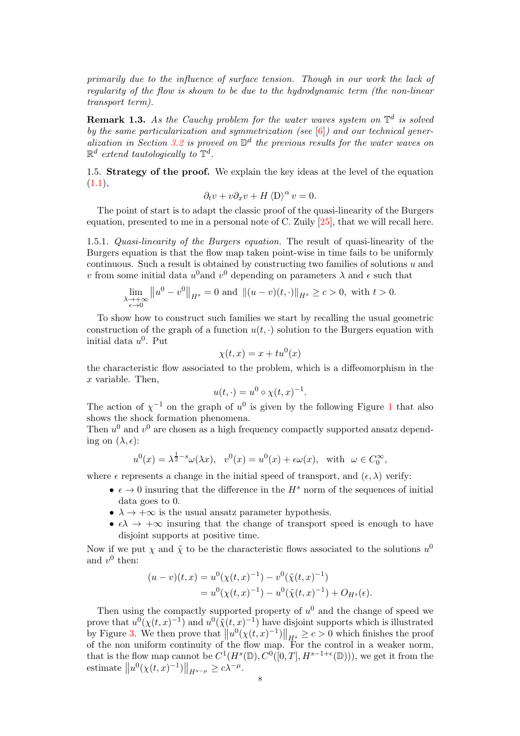primarily due to the influence of surface tension. Though in our work the lack of regularity of the flow is shown to be due to the hydrodynamic term (the non-linear transport term).

**Remark 1.3.** As the Cauchy problem for the water waves system on  $\mathbb{T}^d$  is solved by the same particularization and symmetrization (see  $[6]$ ) and our technical gener-alization in Section [3.2](#page-19-0) is proved on  $\mathbb{D}^d$  the previous results for the water waves on  $\mathbb{R}^d$  extend tautologically to  $\mathbb{T}^d$ .

1.5. Strategy of the proof. We explain the key ideas at the level of the equation  $(1.1),$  $(1.1),$ 

$$
\partial_t v + v \partial_x v + H \langle D \rangle^{\alpha} v = 0.
$$

The point of start is to adapt the classic proof of the quasi-linearity of the Burgers equation, presented to me in a personal note of C. Zuily [\[25\]](#page-45-0), that we will recall here.

1.5.1. Quasi-linearity of the Burgers equation. The result of quasi-linearity of the Burgers equation is that the flow map taken point-wise in time fails to be uniformly continuous. Such a result is obtained by constructing two families of solutions  $u$  and v from some initial data  $u^0$  and  $v^0$  depending on parameters  $\lambda$  and  $\epsilon$  such that

$$
\lim_{\substack{\lambda \to +\infty \\ \epsilon \to 0}} \|u^0 - v^0\|_{H^s} = 0 \text{ and } \|(u - v)(t, \cdot)\|_{H^s} \ge c > 0, \text{ with } t > 0.
$$

To show how to construct such families we start by recalling the usual geometric construction of the graph of a function  $u(t, \cdot)$  solution to the Burgers equation with initial data  $u^0$ . Put

$$
\chi(t, x) = x + tu^0(x)
$$

the characteristic flow associated to the problem, which is a diffeomorphism in the x variable. Then,

$$
u(t,\cdot) = u^0 \circ \chi(t,x)^{-1}.
$$

The action of  $\chi^{-1}$  $\chi^{-1}$  $\chi^{-1}$  on the graph of  $u^0$  is given by the following Figure 1 that also shows the shock formation phenomena.

Then  $u^0$  and  $v^0$  are chosen as a high frequency compactly supported ansatz depending on  $(\lambda, \epsilon)$ :

$$
u^{0}(x) = \lambda^{\frac{1}{2}-s}\omega(\lambda x), \quad v^{0}(x) = u^{0}(x) + \epsilon \omega(x), \quad \text{with} \quad \omega \in C_{0}^{\infty},
$$

where  $\epsilon$  represents a change in the initial speed of transport, and  $(\epsilon, \lambda)$  verify:

- $\epsilon \to 0$  insuring that the difference in the  $H^s$  norm of the sequences of initial data goes to 0.
- $\lambda \rightarrow +\infty$  is the usual ansatz parameter hypothesis.
- $\epsilon \lambda \rightarrow +\infty$  insuring that the change of transport speed is enough to have disjoint supports at positive time.

Now if we put  $\chi$  and  $\tilde{\chi}$  to be the characteristic flows associated to the solutions  $u^0$ and  $v^0$  then:

$$
(u-v)(t,x) = u^{0}(\chi(t,x)^{-1}) - v^{0}(\tilde{\chi}(t,x)^{-1})
$$
  
=  $u^{0}(\chi(t,x)^{-1}) - u^{0}(\tilde{\chi}(t,x)^{-1}) + O_{H^{s}}(\epsilon).$ 

Then using the compactly supported property of  $u^0$  and the change of speed we prove that  $u^0(\chi(t,x)^{-1})$  and  $u^0(\tilde{\chi}(t,x)^{-1})$  have disjoint supports which is illustrated by Figure [3.](#page-9-0) We then prove that  $||u^0(\chi(t,x)^{-1})||_{\dot{H}^s} \geq c > 0$  which finishes the proof of the non uniform continuity of the flow map. For the control in a weaker norm, that is the flow map cannot be  $C^1(H^s(\mathbb{D}), C^0([0,T], H^{s-1+\epsilon}(\mathbb{D}))),$  we get it from the estimate  $||u^0(\chi(t,x)^{-1})||_{H^{s-\mu}} \geq c\lambda^{-\mu}$ .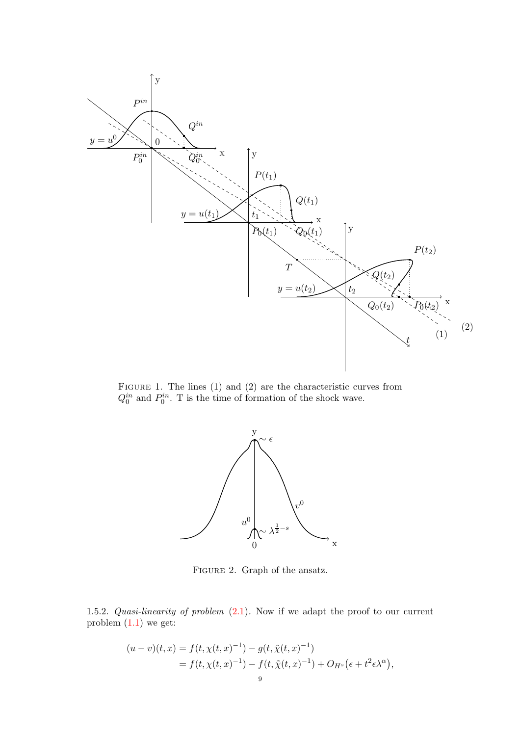

FIGURE 1. The lines (1) and (2) are the characteristic curves from  $Q_0^{in}$  and  $P_0^{in}$ . T is the time of formation of the shock wave.

<span id="page-8-0"></span>

<span id="page-8-1"></span>Figure 2. Graph of the ansatz.

1.5.2. Quasi-linearity of problem  $(2.1)$ . Now if we adapt the proof to our current problem  $(1.1)$  we get:

$$
(u-v)(t,x) = f(t, \chi(t,x)^{-1}) - g(t, \tilde{\chi}(t,x)^{-1})
$$
  
=  $f(t, \chi(t,x)^{-1}) - f(t, \tilde{\chi}(t,x)^{-1}) + O_{H^s}(\epsilon + t^2 \epsilon \lambda^{\alpha}),$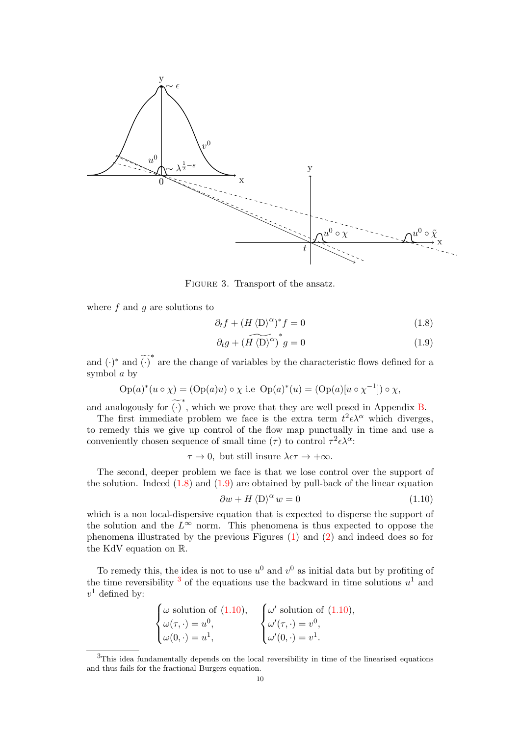

FIGURE 3. Transport of the ansatz.

where  $f$  and  $g$  are solutions to

<span id="page-9-0"></span>
$$
\partial_t f + (H \langle D \rangle^{\alpha})^* f = 0 \tag{1.8}
$$

<span id="page-9-2"></span><span id="page-9-1"></span>
$$
\partial_t g + \widetilde{\left(H \langle D \rangle^{\alpha}}\right)^* g = 0 \tag{1.9}
$$

and  $(\cdot)^*$  and  $\widetilde{(\cdot)}^*$  are the change of variables by the characteristic flows defined for a symbol a by

$$
\operatorname{Op}(a)^*(u \circ \chi) = (\operatorname{Op}(a)u) \circ \chi \text{ i.e } \operatorname{Op}(a)^*(u) = (\operatorname{Op}(a)[u \circ \chi^{-1}]) \circ \chi,
$$

and analogously for  $\widetilde{(\cdot)}^*$ , which we prove that they are well posed in Appendix [B.](#page-40-0)

The first immediate problem we face is the extra term  $t^2 \epsilon \lambda^{\alpha}$  which diverges, to remedy this we give up control of the flow map punctually in time and use a conveniently chosen sequence of small time  $(\tau)$  to control  $\tau^2 \epsilon \lambda^{\alpha}$ :

$$
\tau \to 0
$$
, but still insure  $\lambda \epsilon \tau \to +\infty$ .

The second, deeper problem we face is that we lose control over the support of the solution. Indeed  $(1.8)$  and  $(1.9)$  are obtained by pull-back of the linear equation

<span id="page-9-4"></span>
$$
\partial w + H \langle D \rangle^{\alpha} w = 0 \tag{1.10}
$$

which is a non local-dispersive equation that is expected to disperse the support of the solution and the  $L^{\infty}$  norm. This phenomena is thus expected to oppose the phenomena illustrated by the previous Figures [\(1\)](#page-8-0) and [\(2\)](#page-8-1) and indeed does so for the KdV equation on R.

To remedy this, the idea is not to use  $u^0$  and  $v^0$  as initial data but by profiting of the time reversibility  $3$  of the equations use the backward in time solutions  $u^1$  and  $v^1$  defined by:

$$
\begin{cases} \omega \text{ solution of } (1.10), \\ \omega(\tau, \cdot) = u^0, \\ \omega(0, \cdot) = u^1, \end{cases} \qquad \begin{cases} \omega' \text{ solution of } (1.10), \\ \omega'(\tau, \cdot) = v^0, \\ \omega'(0, \cdot) = v^1. \end{cases}
$$

<span id="page-9-3"></span><sup>3</sup>This idea fundamentally depends on the local reversibility in time of the linearised equations and thus fails for the fractional Burgers equation.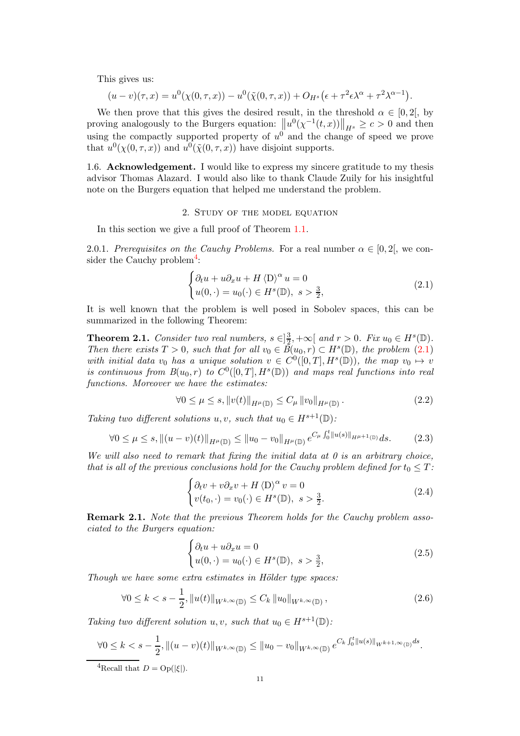This gives us:

$$
(u-v)(\tau,x) = u^0(\chi(0,\tau,x)) - u^0(\tilde{\chi}(0,\tau,x)) + O_{H^s}(\epsilon + \tau^2 \epsilon \lambda^{\alpha} + \tau^2 \lambda^{\alpha-1}).
$$

We then prove that this gives the desired result, in the threshold  $\alpha \in [0, 2]$ , by proving analogously to the Burgers equation:  $\left\|u^{0}(\chi^{-1}(t,x))\right\|_{H^{s}} \geq c > 0$  and then using the compactly supported property of  $u^0$  and the change of speed we prove that  $u^0(\chi(0,\tau,x))$  and  $u^0(\tilde{\chi}(0,\tau,x))$  have disjoint supports.

1.6. Acknowledgement. I would like to express my sincere gratitude to my thesis advisor Thomas Alazard. I would also like to thank Claude Zuily for his insightful note on the Burgers equation that helped me understand the problem.

2. Study of the model equation

<span id="page-10-0"></span>In this section we give a full proof of Theorem [1.1.](#page-2-2)

2.0.1. Prerequisites on the Cauchy Problems. For a real number  $\alpha \in [0,2]$ , we con-sider the Cauchy problem<sup>[4](#page-10-2)</sup>:

<span id="page-10-1"></span>
$$
\begin{cases} \partial_t u + u \partial_x u + H \langle \mathcal{D} \rangle^\alpha u = 0 \\ u(0, \cdot) = u_0(\cdot) \in H^s(\mathbb{D}), \ s > \frac{3}{2}, \end{cases}
$$
 (2.1)

It is well known that the problem is well posed in Sobolev spaces, this can be summarized in the following Theorem:

<span id="page-10-3"></span>**Theorem 2.1.** Consider two real numbers,  $s \in ]\frac{3}{2}$  $\frac{3}{2}, +\infty$  and  $r > 0$ . Fix  $u_0 \in H^s(\mathbb{D})$ . Then there exists  $T > 0$ , such that for all  $v_0 \in \overline{B}(u_0, r) \subset H^s(\mathbb{D})$ , the problem  $(2.1)$ with initial data v<sub>0</sub> has a unique solution  $v \in C^0([0,T], H^s(\mathbb{D}))$ , the map  $v_0 \mapsto v_0$ is continuous from  $B(u_0,r)$  to  $C^0([0,T],H^s(\mathbb{D}))$  and maps real functions into real functions. Moreover we have the estimates:

<span id="page-10-4"></span>
$$
\forall 0 \le \mu \le s, \|v(t)\|_{H^{\mu}(\mathbb{D})} \le C_{\mu} \|v_0\|_{H^{\mu}(\mathbb{D})}.
$$
\n(2.2)

Taking two different solutions u, v, such that  $u_0 \in H^{s+1}(\mathbb{D})$ :

$$
\forall 0 \le \mu \le s, \|(u - v)(t)\|_{H^{\mu}(\mathbb{D})} \le \|u_0 - v_0\|_{H^{\mu}(\mathbb{D})} e^{C_{\mu} \int_0^t \|u(s)\|_{H^{\mu+1}(\mathbb{D})}} ds. \tag{2.3}
$$

We will also need to remark that fixing the initial data at  $\theta$  is an arbitrary choice, that is all of the previous conclusions hold for the Cauchy problem defined for  $t_0 \leq T$ :

$$
\begin{cases} \partial_t v + v \partial_x v + H \langle D \rangle^\alpha v = 0 \\ v(t_0, \cdot) = v_0(\cdot) \in H^s(\mathbb{D}), \ s > \frac{3}{2}. \end{cases}
$$
 (2.4)

Remark 2.1. Note that the previous Theorem holds for the Cauchy problem associated to the Burgers equation:

$$
\begin{cases}\n\partial_t u + u \partial_x u = 0 \\
u(0, \cdot) = u_0(\cdot) \in H^s(\mathbb{D}), \ s > \frac{3}{2},\n\end{cases}
$$
\n(2.5)

Though we have some extra estimates in Hölder type spaces:

$$
\forall 0 \le k < s - \frac{1}{2}, \|u(t)\|_{W^{k,\infty}(\mathbb{D})} \le C_k \|u_0\|_{W^{k,\infty}(\mathbb{D})},\tag{2.6}
$$

Taking two different solution u, v, such that  $u_0 \in H^{s+1}(\mathbb{D})$ :

$$
\forall 0 \leq k < s - \frac{1}{2}, \left\| (u - v)(t) \right\|_{W^{k,\infty}(\mathbb{D})} \leq \left\| u_0 - v_0 \right\|_{W^{k,\infty}(\mathbb{D})} e^{C_k \int_0^t \left\| u(s) \right\|_{W^{k+1,\infty}(\mathbb{D})} ds}.
$$

<span id="page-10-2"></span><sup>4</sup>Recall that  $D = Op(|\xi|)$ .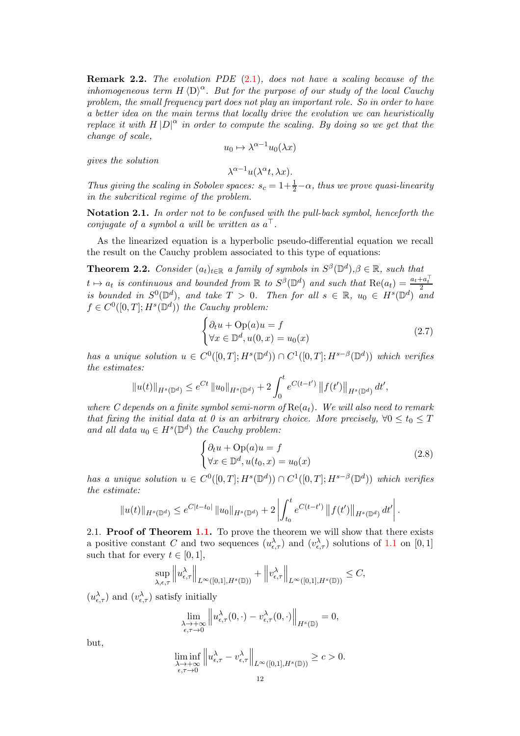**Remark 2.2.** The evolution PDE  $(2.1)$ , does not have a scaling because of the inhomogeneous term  $H \langle D \rangle^{\alpha}$ . But for the purpose of our study of the local Cauchy problem, the small frequency part does not play an important role. So in order to have a better idea on the main terms that locally drive the evolution we can heuristically replace it with  $H|D|^{\alpha}$  in order to compute the scaling. By doing so we get that the change of scale,

$$
u_0 \mapsto \lambda^{\alpha - 1} u_0(\lambda x)
$$

gives the solution

$$
\lambda^{\alpha-1} u(\lambda^{\alpha} t, \lambda x).
$$

Thus giving the scaling in Sobolev spaces:  $s_c = 1 + \frac{1}{2} - \alpha$ , thus we prove quasi-linearity in the subcritical regime of the problem.

Notation 2.1. In order not to be confused with the pull-back symbol, henceforth the conjugate of a symbol a will be written as  $a^{\dagger}$ .

As the linearized equation is a hyperbolic pseudo-differential equation we recall the result on the Cauchy problem associated to this type of equations:

<span id="page-11-0"></span>**Theorem 2.2.** Consider  $(a_t)_{t \in \mathbb{R}}$  a family of symbols in  $S^{\beta}(\mathbb{D}^d), \beta \in \mathbb{R}$ , such that  $t \mapsto a_t$  is continuous and bounded from  $\mathbb R$  to  $S^{\beta}(\mathbb{D}^d)$  and such that  $\text{Re}(a_t) = \frac{a_t + a_t^{\top}}{2}$ is bounded in  $S^0(\mathbb{D}^d)$ , and take  $T > 0$ . Then for all  $s \in \mathbb{R}$ ,  $u_0 \in H^s(\mathbb{D}^d)$  and  $f \in C^0([0,T]; H^s(\mathbb{D}^d))$  the Cauchy problem:

$$
\begin{cases} \partial_t u + \text{Op}(a)u = f \\ \forall x \in \mathbb{D}^d, u(0, x) = u_0(x) \end{cases}
$$
 (2.7)

has a unique solution  $u \in C^0([0,T]; H^s(\mathbb{D}^d)) \cap C^1([0,T]; H^{s-\beta}(\mathbb{D}^d))$  which verifies the estimates:

$$
||u(t)||_{H^{s}(\mathbb{D}^{d})} \leq e^{Ct} ||u_0||_{H^{s}(\mathbb{D}^{d})} + 2 \int_0^t e^{C(t-t')} ||f(t')||_{H^{s}(\mathbb{D}^{d})} dt',
$$

where C depends on a finite symbol semi-norm of  $\text{Re}(a_t)$ . We will also need to remark that fixing the initial data at 0 is an arbitrary choice. More precisely,  $\forall 0 \le t_0 \le T$ and all data  $u_0 \in H^s(\mathbb{D}^d)$  the Cauchy problem:

$$
\begin{cases} \partial_t u + \text{Op}(a)u = f \\ \forall x \in \mathbb{D}^d, u(t_0, x) = u_0(x) \end{cases}
$$
 (2.8)

has a unique solution  $u \in C^0([0,T]; H^s(\mathbb{D}^d)) \cap C^1([0,T]; H^{s-\beta}(\mathbb{D}^d))$  which verifies the estimate:

$$
||u(t)||_{H^{s}(\mathbb{D}^{d})} \leq e^{C|t-t_{0}|} ||u_{0}||_{H^{s}(\mathbb{D}^{d})} + 2 \left| \int_{t_{0}}^{t} e^{C(t-t')} ||f(t')||_{H^{s}(\mathbb{D}^{d})} dt' \right|.
$$

2.1. **Proof of Theorem [1.1.](#page-2-2)** To prove the theorem we will show that there exists a positive constant C and two sequences  $(u_{\epsilon,\tau}^{\lambda})$  and  $(v_{\epsilon,\tau}^{\lambda})$  solutions of [1.1](#page-2-1) on [0, 1] such that for every  $t \in [0, 1]$ ,

$$
\sup_{\lambda,\epsilon,\tau} \left\| u^{\lambda}_{\epsilon,\tau} \right\|_{L^{\infty}([0,1],H^s(\mathbb{D}))} + \left\| v^{\lambda}_{\epsilon,\tau} \right\|_{L^{\infty}([0,1],H^s(\mathbb{D}))} \leq C,
$$

 $(u_{\epsilon,\tau}^{\lambda})$  and  $(v_{\epsilon,\tau}^{\lambda})$  satisfy initially

$$
\lim_{\substack{\lambda \to +\infty \\ \epsilon, \tau \to 0}} \left\| u^{\lambda}_{\epsilon, \tau}(0, \cdot) - v^{\lambda}_{\epsilon, \tau}(0, \cdot) \right\|_{H^s(\mathbb{D})} = 0,
$$

but,

$$
\liminf_{\substack{\lambda \to +\infty \\ \epsilon, \tau \to 0}} \left\| u^{\lambda}_{\epsilon, \tau} - v^{\lambda}_{\epsilon, \tau} \right\|_{L^{\infty}([0,1], H^s(\mathbb{D}))} \geq c > 0.
$$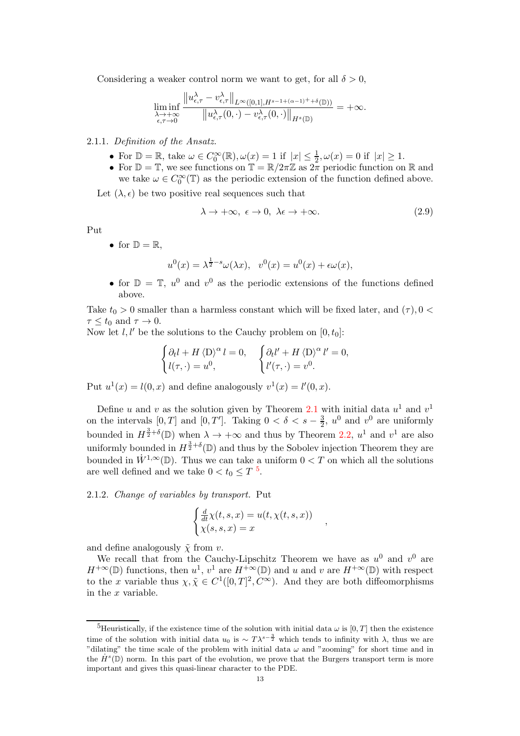Considering a weaker control norm we want to get, for all  $\delta > 0$ ,

$$
\liminf_{\substack{\lambda \to +\infty \\ \epsilon, \tau \to 0}} \frac{\|u_{\epsilon, \tau}^{\lambda} - v_{\epsilon, \tau}^{\lambda}\|_{L^{\infty}([0,1], H^{s-1+(\alpha-1)^++\delta}(\mathbb{D}))}}{\|u_{\epsilon, \tau}^{\lambda}(0, \cdot) - v_{\epsilon, \tau}^{\lambda}(0, \cdot)\|_{H^{s}(\mathbb{D})}} = +\infty.
$$

#### 2.1.1. Definition of the Ansatz.

- For  $\mathbb{D} = \mathbb{R}$ , take  $\omega \in C_0^{\infty}(\mathbb{R}), \omega(x) = 1$  if  $|x| \leq \frac{1}{2}, \omega(x) = 0$  if  $|x| \geq 1$ .
- For  $\mathbb{D} = \mathbb{T}$ , we see functions on  $\mathbb{T} = \mathbb{R}/2\pi\mathbb{Z}$  as  $2\pi$  periodic function on  $\mathbb{R}$  and we take  $\omega \in C_0^{\infty}(\mathbb{T})$  as the periodic extension of the function defined above.

Let  $(\lambda, \epsilon)$  be two positive real sequences such that

$$
\lambda \to +\infty, \ \epsilon \to 0, \ \lambda \epsilon \to +\infty. \tag{2.9}
$$

,

Put

• for  $\mathbb{D} = \mathbb{R}$ .

$$
u^{0}(x) = \lambda^{\frac{1}{2}-s} \omega(\lambda x), \quad v^{0}(x) = u^{0}(x) + \epsilon \omega(x),
$$

• for  $\mathbb{D} = \mathbb{T}$ ,  $u^0$  and  $v^0$  as the periodic extensions of the functions defined above.

Take  $t_0 > 0$  smaller than a harmless constant which will be fixed later, and  $(\tau)$ ,  $0 <$  $\tau \leq t_0$  and  $\tau \to 0$ .

Now let  $l, l'$  be the solutions to the Cauchy problem on  $[0, t_0]$ :

$$
\begin{cases} \partial_t l + H \langle D \rangle^{\alpha} l = 0, \\ l(\tau, \cdot) = u^0, \end{cases} \qquad \begin{cases} \partial_t l' + H \langle D \rangle^{\alpha} l' = 0, \\ l'(\tau, \cdot) = v^0. \end{cases}
$$

Put  $u^1(x) = l(0, x)$  and define analogously  $v^1(x) = l'(0, x)$ .

Define u and v as the solution given by Theorem [2.1](#page-10-3) with initial data  $u^1$  and  $v^1$ on the intervals  $[0, T]$  and  $[0, T']$ . Taking  $0 < \delta < s - \frac{3}{2}$ ,  $u^0$  and  $v^0$  are uniformly bounded in  $H^{\frac{3}{2}+\delta}(\mathbb{D})$  when  $\lambda \to +\infty$  and thus by Theorem [2.2,](#page-11-0)  $u^1$  and  $v^1$  are also uniformly bounded in  $H^{\frac{3}{2}+\delta}(\mathbb{D})$  and thus by the Sobolev injection Theorem they are bounded in  $\dot{W}^{1,\infty}(\mathbb{D})$ . Thus we can take a uniform  $0 < T$  on which all the solutions are well defined and we take  $0 < t_0 \le T$ <sup>[5](#page-12-0)</sup>.

2.1.2. Change of variables by transport. Put

$$
\begin{cases} \frac{d}{dt}\chi(t,s,x) = u(t,\chi(t,s,x))\\ \chi(s,s,x) = x \end{cases}
$$

and define analogously  $\tilde{\chi}$  from v.

We recall that from the Cauchy-Lipschitz Theorem we have as  $u^0$  and  $v^0$  are  $H^{+\infty}(\mathbb{D})$  functions, then  $u^1, v^1$  are  $H^{+\infty}(\mathbb{D})$  and u and v are  $H^{+\infty}(\mathbb{D})$  with respect to the x variable thus  $\chi, \tilde{\chi} \in C^1([0,T]^2, C^{\infty})$ . And they are both diffeomorphisms in the x variable.

<span id="page-12-0"></span><sup>&</sup>lt;sup>5</sup>Heuristically, if the existence time of the solution with initial data  $\omega$  is [0, T] then the existence time of the solution with initial data  $u_0$  is  $\sim T\lambda^{s-\frac{3}{2}}$  which tends to infinity with  $\lambda$ , thus we are "dilating" the time scale of the problem with initial data  $\omega$  and "zooming" for short time and in the  $\dot{H}^s(\mathbb{D})$  norm. In this part of the evolution, we prove that the Burgers transport term is more important and gives this quasi-linear character to the PDE.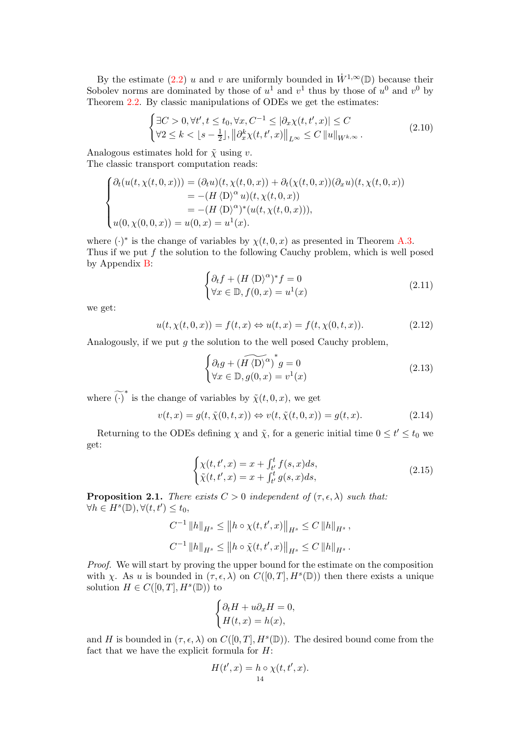By the estimate [\(2.2\)](#page-10-4) u and v are uniformly bounded in  $\dot{W}^{1,\infty}(\mathbb{D})$  because their Sobolev norms are dominated by those of  $u^1$  and  $v^1$  thus by those of  $u^0$  and  $v^0$  by Theorem [2.2.](#page-11-0) By classic manipulations of ODEs we get the estimates:

$$
\begin{cases} \exists C > 0, \forall t', t \le t_0, \forall x, C^{-1} \le |\partial_x \chi(t, t', x)| \le C\\ \forall 2 \le k < \lfloor s - \frac{1}{2} \rfloor, \left\| \partial_x^k \chi(t, t', x) \right\|_{L^\infty} \le C \left\| u \right\|_{W^{k, \infty}}. \end{cases} \tag{2.10}
$$

Analogous estimates hold for  $\tilde{\chi}$  using v. The classic transport computation reads:

 $\overline{\phantom{a}}$ 

$$
\begin{cases}\n\partial_t(u(t,\chi(t,0,x))) = (\partial_t u)(t,\chi(t,0,x)) + \partial_t(\chi(t,0,x))(\partial_x u)(t,\chi(t,0,x)) \\
= -(H \langle D \rangle^{\alpha} u)(t,\chi(t,0,x)) \\
= -(H \langle D \rangle^{\alpha})^*(u(t,\chi(t,0,x))), \\
u(0,\chi(0,0,x)) = u(0,x) = u^1(x).\n\end{cases}
$$

where  $(\cdot)^*$  is the change of variables by  $\chi(t, 0, x)$  as presented in Theorem [A.3.](#page-37-0) Thus if we put  $f$  the solution to the following Cauchy problem, which is well posed by Appendix [B:](#page-40-0)

$$
\begin{cases} \partial_t f + (H \langle D \rangle^{\alpha})^* f = 0 \\ \forall x \in \mathbb{D}, f(0, x) = u^1(x) \end{cases}
$$
 (2.11)

we get:

$$
u(t, \chi(t, 0, x)) = f(t, x) \Leftrightarrow u(t, x) = f(t, \chi(0, t, x)). \tag{2.12}
$$

Analogously, if we put  $q$  the solution to the well posed Cauchy problem,

$$
\begin{cases} \partial_t g + (\widetilde{H \langle D \rangle^{\alpha}})^* g = 0 \\ \forall x \in \mathbb{D}, g(0, x) = v^1(x) \end{cases}
$$
 (2.13)

where  $\widetilde{(\cdot)}^*$  is the change of variables by  $\widetilde{\chi}(t,0,x)$ , we get

$$
v(t,x) = g(t, \tilde{\chi}(0,t,x)) \Leftrightarrow v(t, \tilde{\chi}(t,0,x)) = g(t,x). \tag{2.14}
$$

Returning to the ODEs defining  $\chi$  and  $\tilde{\chi}$ , for a generic initial time  $0 \le t' \le t_0$  we get:

<span id="page-13-1"></span>
$$
\begin{cases} \chi(t, t', x) = x + \int_{t'}^{t} f(s, x) ds, \\ \tilde{\chi}(t, t', x) = x + \int_{t'}^{t} g(s, x) ds, \end{cases}
$$
 (2.15)

<span id="page-13-0"></span>**Proposition 2.1.** There exists  $C > 0$  independent of  $(\tau, \epsilon, \lambda)$  such that:  $\forall h \in H^s(\mathbb{D}), \forall (t, t') \leq t_0,$ 

$$
C^{-1} ||h||_{H^{s}} \leq ||h \circ \chi(t, t', x)||_{H^{s}} \leq C ||h||_{H^{s}},
$$
  

$$
C^{-1} ||h||_{H^{s}} \leq ||h \circ \tilde{\chi}(t, t', x)||_{H^{s}} \leq C ||h||_{H^{s}}.
$$

Proof. We will start by proving the upper bound for the estimate on the composition with  $\chi$ . As u is bounded in  $(\tau, \epsilon, \lambda)$  on  $C([0, T], H^s(\mathbb{D}))$  then there exists a unique solution  $H \in C([0,T], H^s(\mathbb{D}))$  to

$$
\begin{cases} \partial_t H + u \partial_x H = 0, \\ H(t, x) = h(x), \end{cases}
$$

and H is bounded in  $(\tau, \epsilon, \lambda)$  on  $C([0, T], H^s(\mathbb{D}))$ . The desired bound come from the fact that we have the explicit formula for  $H$ :

$$
H(t',x) = h \circ \chi(t,t',x).
$$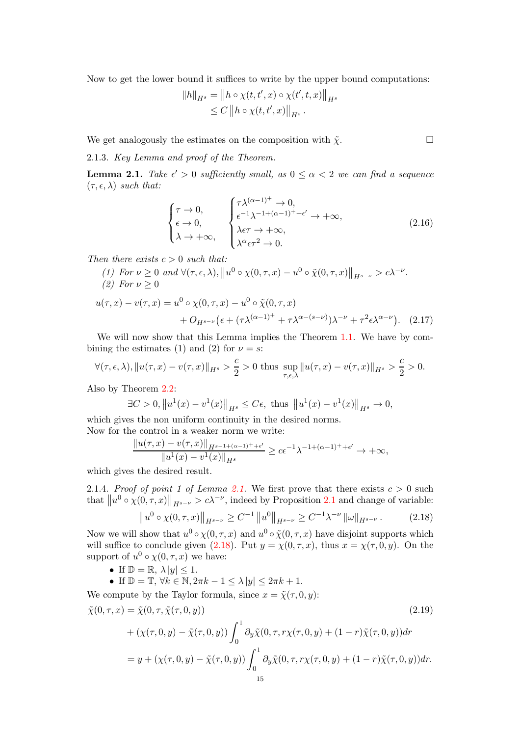Now to get the lower bound it suffices to write by the upper bound computations:

$$
||h||_{H^{s}} = ||h \circ \chi(t, t', x) \circ \chi(t', t, x)||_{H^{s}} \leq C ||h \circ \chi(t, t', x)||_{H^{s}}.
$$

We get analogously the estimates on the composition with  $\tilde{\chi}$ .

2.1.3. Key Lemma and proof of the Theorem.

<span id="page-14-0"></span>**Lemma 2.1.** Take  $\epsilon' > 0$  sufficiently small, as  $0 \leq \alpha < 2$  we can find a sequence  $(\tau, \epsilon, \lambda)$  such that:

$$
\begin{cases}\n\tau \to 0, \\
\epsilon \to 0, \\
\lambda \to +\infty, \\
\begin{cases}\n\lambda^{\epsilon-1} \lambda^{-1+(\alpha-1)^{+}+\epsilon'} \to +\infty, \\
\lambda \epsilon \tau \to +\infty, \\
\lambda^{\alpha} \epsilon \tau^{2} \to 0.\n\end{cases} (2.16)
$$

Then there exists  $c > 0$  such that:

(1) For  $\nu \geq 0$  and  $\forall (\tau, \epsilon, \lambda), \|u^0 \circ \chi(0, \tau, x) - u^0 \circ \tilde{\chi}(0, \tau, x)\|_{H^{s-\nu}} > c\lambda^{-\nu}$ . (2) For  $\nu > 0$ 

$$
u(\tau, x) - v(\tau, x) = u^0 \circ \chi(0, \tau, x) - u^0 \circ \tilde{\chi}(0, \tau, x)
$$
  
+ 
$$
O_{H^{s-\nu}}\left(\epsilon + (\tau \lambda^{(\alpha-1)^+} + \tau \lambda^{\alpha-(s-\nu)})\lambda^{-\nu} + \tau^2 \epsilon \lambda^{\alpha-\nu}\right).
$$
 (2.17)

We will now show that this Lemma implies the Theorem [1.1.](#page-2-2) We have by combining the estimates (1) and (2) for  $\nu = s$ :

$$
\forall (\tau,\epsilon,\lambda), \|u(\tau,x)-v(\tau,x)\|_{H^s} > \frac{c}{2} > 0 \text{ thus } \sup_{\tau,\epsilon,\lambda} \|u(\tau,x)-v(\tau,x)\|_{H^s} > \frac{c}{2} > 0.
$$

Also by Theorem [2.2:](#page-11-0)

$$
\exists C > 0, \|u^{1}(x) - v^{1}(x)\|_{H^{s}} \le C\epsilon, \text{ thus } \|u^{1}(x) - v^{1}(x)\|_{H^{s}} \to 0,
$$

which gives the non uniform continuity in the desired norms. Now for the control in a weaker norm we write:

$$
\frac{\|u(\tau,x) - v(\tau,x)\|_{H^{s-1+(\alpha-1)^++\epsilon'}}}{\|u^1(x) - v^1(x)\|_{H^s}} \ge c\epsilon^{-1}\lambda^{-1+(\alpha-1)^++\epsilon'} \to +\infty,
$$

which gives the desired result.

[2.1.](#page-14-0)4. Proof of point 1 of Lemma 2.1. We first prove that there exists  $c > 0$  such that  $||u^0 \circ \chi(0, \tau, x)||_{H^{s-\nu}} > c\lambda^{-\nu}$ , indeed by Proposition [2.1](#page-13-0) and change of variable:

<span id="page-14-2"></span><span id="page-14-1"></span>
$$
\|u^{0} \circ \chi(0, \tau, x)\|_{H^{s-\nu}} \ge C^{-1} \|u^{0}\|_{H^{s-\nu}} \ge C^{-1} \lambda^{-\nu} \|\omega\|_{H^{s-\nu}}.
$$
 (2.18)

Now we will show that  $u^0 \circ \chi(0, \tau, x)$  and  $u^0 \circ \tilde{\chi}(0, \tau, x)$  have disjoint supports which will suffice to conclude given [\(2.18\)](#page-14-1). Put  $y = \chi(0, \tau, x)$ , thus  $x = \chi(\tau, 0, y)$ . On the support of  $u^0 \circ \chi(0, \tau, x)$  we have:

• If  $\mathbb{D} = \mathbb{R}, \lambda |y| \leq 1.$ 

• If  $\mathbb{D} = \mathbb{T}, \forall k \in \mathbb{N}, 2\pi k - 1 \leq \lambda |y| \leq 2\pi k + 1.$ 

We compute by the Taylor formula, since  $x = \tilde{\chi}(\tau, 0, y)$ :

$$
\tilde{\chi}(0,\tau,x) = \tilde{\chi}(0,\tau,\tilde{\chi}(\tau,0,y))
$$
\n
$$
+ (\chi(\tau,0,y) - \tilde{\chi}(\tau,0,y)) \int_0^1 \partial_y \tilde{\chi}(0,\tau,r\chi(\tau,0,y) + (1-r)\tilde{\chi}(\tau,0,y)) dr
$$
\n
$$
= y + (\chi(\tau,0,y) - \tilde{\chi}(\tau,0,y)) \int_0^1 \partial_y \tilde{\chi}(0,\tau,r\chi(\tau,0,y) + (1-r)\tilde{\chi}(\tau,0,y)) dr.
$$
\n(2.19)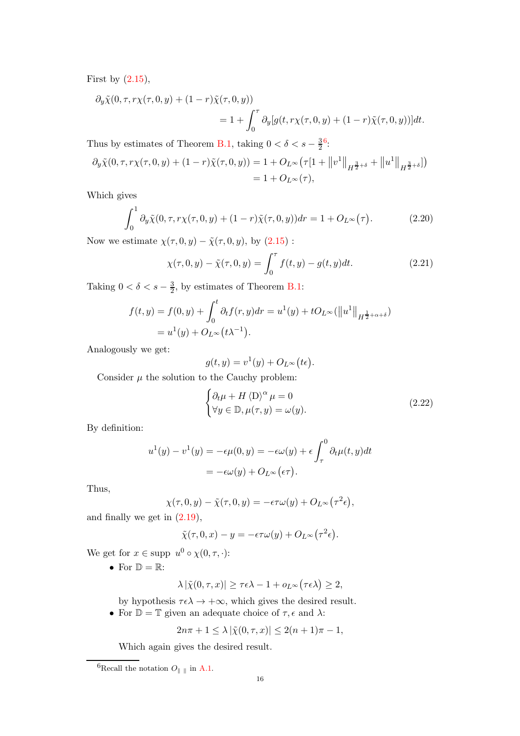First by  $(2.15)$ ,

$$
\partial_y \tilde{\chi}(0, \tau, r\chi(\tau, 0, y) + (1 - r)\tilde{\chi}(\tau, 0, y))
$$
  
= 1 +  $\int_0^{\tau} \partial_y [g(t, r\chi(\tau, 0, y) + (1 - r)\tilde{\chi}(\tau, 0, y))]dt.$ 

Thus by estimates of Theorem [B.1,](#page-40-1) taking  $0 < \delta < s - \frac{3}{2}$  $\frac{36}{2}$  $\frac{36}{2}$  $\frac{36}{2}$ :

$$
\partial_y \tilde{\chi}(0, \tau, r\chi(\tau, 0, y) + (1 - r)\tilde{\chi}(\tau, 0, y)) = 1 + O_{L^{\infty}}(\tau [1 + ||v^1||_{H^{\frac{3}{2} + \delta}} + ||u^1||_{H^{\frac{3}{2} + \delta}}])
$$
  
= 1 + O\_{L^{\infty}}(\tau),

Which gives

$$
\int_0^1 \partial_y \tilde{\chi}(0, \tau, r\chi(\tau, 0, y) + (1 - r)\tilde{\chi}(\tau, 0, y)) dr = 1 + O_{L^{\infty}}(\tau).
$$
 (2.20)

Now we estimate  $\chi(\tau, 0, y) - \tilde{\chi}(\tau, 0, y)$ , by  $(2.15)$ :

$$
\chi(\tau, 0, y) - \tilde{\chi}(\tau, 0, y) = \int_0^{\tau} f(t, y) - g(t, y) dt.
$$
 (2.21)

Taking  $0 < \delta < s - \frac{3}{2}$ , by estimates of Theorem [B.1:](#page-40-1)

$$
f(t, y) = f(0, y) + \int_0^t \partial_t f(r, y) dr = u^1(y) + t O_{L^{\infty}}(||u^1||_{H^{\frac{1}{2} + \alpha + \delta}})
$$
  
=  $u^1(y) + O_{L^{\infty}}(t\lambda^{-1}).$ 

Analogously we get:

$$
g(t, y) = v^{1}(y) + O_{L^{\infty}}(t\epsilon).
$$

Consider  $\mu$  the solution to the Cauchy problem:

$$
\begin{cases} \partial_t \mu + H \langle D \rangle^{\alpha} \mu = 0 \\ \forall y \in \mathbb{D}, \mu(\tau, y) = \omega(y). \end{cases}
$$
 (2.22)

By definition:

$$
u^{1}(y) - v^{1}(y) = -\epsilon \mu(0, y) = -\epsilon \omega(y) + \epsilon \int_{\tau}^{0} \partial_{t} \mu(t, y) dt
$$

$$
= -\epsilon \omega(y) + O_{L^{\infty}}(\epsilon \tau).
$$

Thus,

$$
\chi(\tau,0,y) - \tilde{\chi}(\tau,0,y) = -\epsilon \tau \omega(y) + O_{L^{\infty}}(\tau^2 \epsilon),
$$

and finally we get in [\(2.19\)](#page-14-2),

$$
\tilde{\chi}(\tau, 0, x) - y = -\epsilon \tau \omega(y) + O_{L^{\infty}}(\tau^2 \epsilon).
$$

We get for  $x \in \text{supp } u^0 \circ \chi(0, \tau, \cdot)$ :

• For  $\mathbb{D} = \mathbb{R}$ :

$$
\lambda \left| \tilde \chi(0,\tau,x) \right| \ge \tau \epsilon \lambda - 1 + o_{L^\infty}\bigl( \tau \epsilon \lambda \bigr) \ge 2,
$$

by hypothesis  $\tau \epsilon \lambda \rightarrow +\infty$ , which gives the desired result.

• For  $\mathbb{D} = \mathbb{T}$  given an adequate choice of  $\tau$ ,  $\epsilon$  and  $\lambda$ :

$$
2n\pi + 1 \le \lambda |\tilde{\chi}(0, \tau, x)| \le 2(n + 1)\pi - 1,
$$

Which again gives the desired result.

<span id="page-15-0"></span> $^6\text{Recall}$  the notation  $O_{\parallel}$   $_{\parallel}$  in [A.1.](#page-34-1)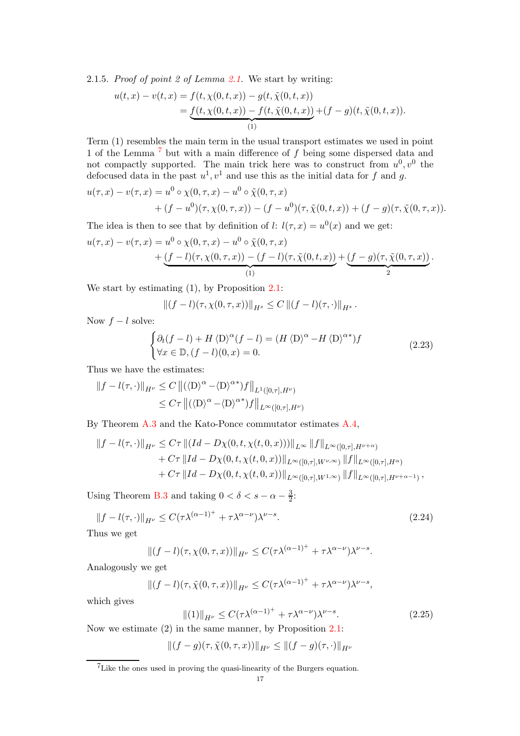2.1.5. Proof of point 2 of Lemma [2.1.](#page-14-0) We start by writing:

$$
u(t,x) - v(t,x) = f(t, \chi(0,t,x)) - g(t, \tilde{\chi}(0,t,x))
$$
  
= 
$$
\underbrace{f(t, \chi(0,t,x)) - f(t, \tilde{\chi}(0,t,x))}_{(1)} + (f - g)(t, \tilde{\chi}(0,t,x)).
$$

Term (1) resembles the main term in the usual transport estimates we used in point 1 of the Lemma [7](#page-16-0) but with a main difference of f being some dispersed data and not compactly supported. The main trick here was to construct from  $u^0, v^0$  the defocused data in the past  $u^1, v^1$  and use this as the initial data for f and g.

$$
u(\tau, x) - v(\tau, x) = u^0 \circ \chi(0, \tau, x) - u^0 \circ \tilde{\chi}(0, \tau, x) + (f - u^0)(\tau, \chi(0, \tau, x)) - (f - u^0)(\tau, \tilde{\chi}(0, t, x)) + (f - g)(\tau, \tilde{\chi}(0, \tau, x)).
$$

The idea is then to see that by definition of l:  $l(\tau, x) = u^0(x)$  and we get:

$$
u(\tau, x) - v(\tau, x) = u^0 \circ \chi(0, \tau, x) - u^0 \circ \tilde{\chi}(0, \tau, x) + \underbrace{(f - l)(\tau, \chi(0, \tau, x)) - (f - l)(\tau, \tilde{\chi}(0, t, x))}_{(1)} + \underbrace{(f - g)(\tau, \tilde{\chi}(0, \tau, x))}_{2}.
$$

We start by estimating (1), by Proposition [2.1:](#page-13-0)

$$
||(f - l)(\tau, \chi(0, \tau, x))||_{H^{s}} \leq C ||(f - l)(\tau, \cdot)||_{H^{s}}.
$$

Now  $f - l$  solve:

$$
\begin{cases} \partial_t (f - l) + H \langle D \rangle^{\alpha} (f - l) = (H \langle D \rangle^{\alpha} - H \langle D \rangle^{\alpha^*}) f \\ \forall x \in \mathbb{D}, (f - l)(0, x) = 0. \end{cases}
$$
 (2.23)

Thus we have the estimates:

$$
||f - l(\tau, \cdot)||_{H^{\nu}} \leq C ||(\langle D \rangle^{\alpha} - \langle D \rangle^{\alpha*})f||_{L^{1}([0, \tau], H^{\nu})}
$$
  

$$
\leq C\tau ||(\langle D \rangle^{\alpha} - \langle D \rangle^{\alpha*})f||_{L^{\infty}([0, \tau], H^{\nu})}
$$

By Theorem [A.3](#page-37-0) and the Kato-Ponce commutator estimates [A.4,](#page-35-1)

$$
||f - l(\tau, \cdot)||_{H^{\nu}} \leq C\tau ||(Id - D\chi(0, t, \chi(t, 0, x)))||_{L^{\infty}} ||f||_{L^{\infty}([0, \tau], H^{\nu+\alpha})}
$$
  
+ C\tau ||Id - D\chi(0, t, \chi(t, 0, x))||\_{L^{\infty}([0, \tau], W^{\nu,\infty})} ||f||\_{L^{\infty}([0, \tau], H^{\alpha})}  
+ C\tau ||Id - D\chi(0, t, \chi(t, 0, x))||\_{L^{\infty}([0, \tau], W^{1,\infty})} ||f||\_{L^{\infty}([0, \tau], H^{\nu+\alpha-1})},

Using Theorem [B.3](#page-43-4) and taking  $0 < \delta < s - \alpha - \frac{3}{2}$  $\frac{3}{2}$ :

$$
||f - l(\tau, \cdot)||_{H^{\nu}} \le C(\tau \lambda^{(\alpha - 1)^{+}} + \tau \lambda^{\alpha - \nu})\lambda^{\nu - s}.
$$
\n(2.24)

Thus we get

$$
||(f-l)(\tau,\chi(0,\tau,x))||_{H^{\nu}} \leq C(\tau\lambda^{(\alpha-1)^{+}} + \tau\lambda^{\alpha-\nu})\lambda^{\nu-s}.
$$

Analogously we get

$$
||(f-l)(\tau,\tilde{\chi}(0,\tau,x))||_{H^{\nu}} \leq C(\tau\lambda^{(\alpha-1)^{+}} + \tau\lambda^{\alpha-\nu})\lambda^{\nu-s},
$$

which gives

$$
\|(1)\|_{H^{\nu}} \le C(\tau \lambda^{(\alpha - 1)^{+}} + \tau \lambda^{\alpha - \nu})\lambda^{\nu - s}.
$$
\n(2.25)

Now we estimate (2) in the same manner, by Proposition [2.1:](#page-13-0)

$$
\|(f-g)(\tau,\tilde{\chi}(0,\tau,x))\|_{H^{\nu}} \leq \|(f-g)(\tau,\cdot)\|_{H^{\nu}}
$$

<span id="page-16-0"></span> ${\rm ^7}$  Like the ones used in proving the quasi-linearity of the Burgers equation.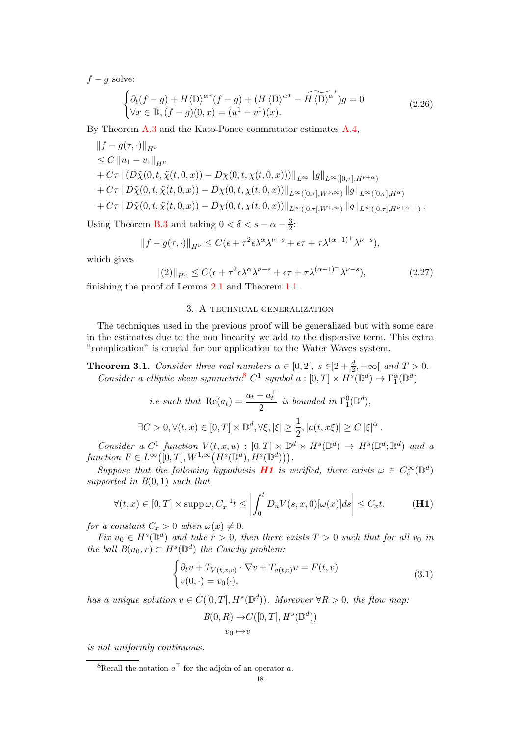$f - g$  solve:

$$
\begin{cases} \partial_t (f-g) + H \langle D \rangle^{\alpha*} (f-g) + (H \langle D \rangle^{\alpha*} - \widetilde{H \langle D \rangle^{\alpha}}^*) g = 0 \\ \forall x \in \mathbb{D}, (f-g)(0,x) = (u^1 - v^1)(x). \end{cases} \tag{2.26}
$$

By Theorem [A.3](#page-37-0) and the Kato-Ponce commutator estimates [A.4,](#page-35-1)

$$
||f - g(\tau, \cdot)||_{H^{\nu}}\n\leq C ||u_1 - v_1||_{H^{\nu}}\n+ C\tau ||(D\tilde{\chi}(0, t, \tilde{\chi}(t, 0, x)) - D\chi(0, t, \chi(t, 0, x)))||_{L^{\infty}} ||g||_{L^{\infty}([0, \tau], H^{\nu+\alpha})}\n+ C\tau ||D\tilde{\chi}(0, t, \tilde{\chi}(t, 0, x)) - D\chi(0, t, \chi(t, 0, x))||_{L^{\infty}([0, \tau], W^{\nu,\infty})} ||g||_{L^{\infty}([0, \tau], H^{\alpha})}\n+ C\tau ||D\tilde{\chi}(0, t, \tilde{\chi}(t, 0, x)) - D\chi(0, t, \chi(t, 0, x))||_{L^{\infty}([0, \tau], W^{1,\infty})} ||g||_{L^{\infty}([0, \tau], H^{\nu+\alpha-1})}.
$$

Using Theorem [B.3](#page-43-4) and taking  $0 < \delta < s - \alpha - \frac{3}{2}$ :

$$
||f - g(\tau, \cdot)||_{H^{\nu}} \leq C(\epsilon + \tau^2 \epsilon \lambda^{\alpha} \lambda^{\nu - s} + \epsilon \tau + \tau \lambda^{(\alpha - 1)^{+}} \lambda^{\nu - s}),
$$

which gives

$$
\|(2)\|_{H^{\nu}} \le C(\epsilon + \tau^2 \epsilon \lambda^{\alpha} \lambda^{\nu-s} + \epsilon \tau + \tau \lambda^{(\alpha-1)^{+}} \lambda^{\nu-s}), \tag{2.27}
$$

<span id="page-17-0"></span>finishing the proof of Lemma [2.1](#page-14-0) and Theorem [1.1.](#page-2-2)

### 3. A technical generalization

The techniques used in the previous proof will be generalized but with some care in the estimates due to the non linearity we add to the dispersive term. This extra "complication" is crucial for our application to the Water Waves system.

<span id="page-17-1"></span>**Theorem 3.1.** Consider three real numbers  $\alpha \in [0,2[, s \in ]2+\frac{d}{2},+\infty[$  and  $T > 0$ . Consider a elliptic skew symmetric<sup>[8](#page-17-2)</sup>  $C^1$  symbol  $a : [0, T] \times H^s(\mathbb{D}^d) \to \Gamma_1^{\alpha}(\mathbb{D}^d)$ 

*i.e such that* Re(
$$
a_t
$$
) =  $\frac{a_t + a_t^{\top}}{2}$  *is bounded in*  $\Gamma_1^0(\mathbb{D}^d)$ ,  
\n
$$
\exists C > 0, \forall (t, x) \in [0, T] \times \mathbb{D}^d, \forall \xi, |\xi| \ge \frac{1}{2}, |a(t, x\xi)| \ge C |\xi|^{\alpha}.
$$

Consider a  $C^1$  function  $V(t, x, u) : [0, T] \times \mathbb{D}^d \times H^s(\mathbb{D}^d) \to H^s(\mathbb{D}^d; \mathbb{R}^d)$  and a function  $F \in L^{\infty}([0,T], W^{1,\infty}(H^s(\mathbb{D}^d), H^s(\mathbb{D}^d)))$ .

Suppose that the following hypothesis **[H1](#page-18-0)** is verified, there exists  $\omega \in C_c^{\infty}(\mathbb{D}^d)$ supported in  $B(0,1)$  such that

$$
\forall (t,x) \in [0,T] \times \text{supp}\,\omega, C_x^{-1}t \le \left| \int_0^t D_u V(s,x,0)[\omega(x)]ds \right| \le C_x t. \tag{H1}
$$

for a constant  $C_x > 0$  when  $\omega(x) \neq 0$ .

Fix  $u_0 \in H^s(\mathbb{D}^d)$  and take  $r > 0$ , then there exists  $T > 0$  such that for all  $v_0$  in the ball  $B(u_0, r) \subset H^s(\mathbb{D}^d)$  the Cauchy problem:

<span id="page-17-3"></span>
$$
\begin{cases} \partial_t v + T_{V(t,x,v)} \cdot \nabla v + T_{a(t,v)} v = F(t,v) \\ v(0,\cdot) = v_0(\cdot), \end{cases}
$$
\n(3.1)

has a unique solution  $v \in C([0,T], H^s(\mathbb{D}^d))$ . Moreover  $\forall R > 0$ , the flow map:

$$
B(0, R) \to C([0, T], H^s(\mathbb{D}^d))
$$
  

$$
v_0 \mapsto v
$$

is not uniformly continuous.

<span id="page-17-2"></span><sup>&</sup>lt;sup>8</sup>Recall the notation  $a^{\top}$  for the adjoin of an operator a.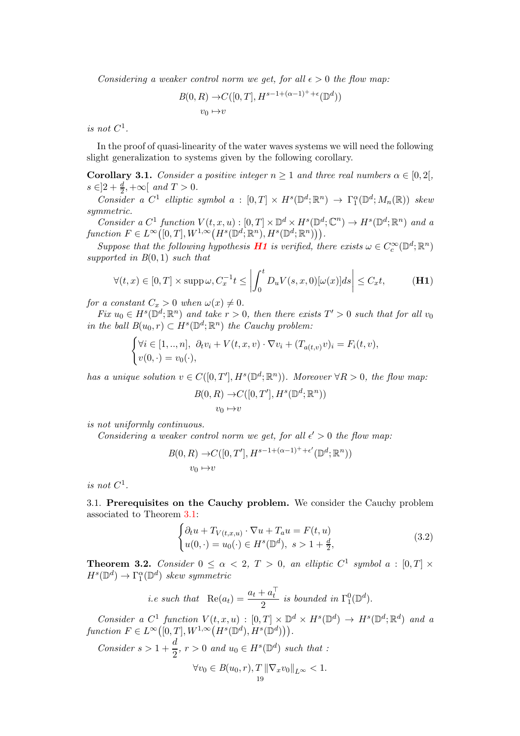Considering a weaker control norm we get, for all  $\epsilon > 0$  the flow map:

$$
B(0, R) \to C([0, T], H^{s-1+(\alpha-1)^{+}+\epsilon}(\mathbb{D}^{d}))
$$
  

$$
v_0 \mapsto v
$$

is not  $C^1$ .

In the proof of quasi-linearity of the water waves systems we will need the following slight generalization to systems given by the following corollary.

<span id="page-18-3"></span>**Corollary 3.1.** Consider a positive integer  $n \geq 1$  and three real numbers  $\alpha \in [0,2]$ ,  $s \in ]2 + \frac{d}{2}, +\infty[$  and  $T > 0$ . 2

Consider a C<sup>1</sup> elliptic symbol a :  $[0,T] \times H^s(\mathbb{D}^d; \mathbb{R}^n) \to \Gamma_1^{\alpha}(\mathbb{D}^d; M_n(\mathbb{R}))$  skew symmetric.

Consider a  $C^1$  function  $V(t, x, u) : [0, T] \times \mathbb{D}^d \times H^s(\mathbb{D}^d; \mathbb{C}^n) \to H^s(\mathbb{D}^d; \mathbb{R}^n)$  and a function  $F \in L^{\infty}([0,T], W^{1,\infty}(H^s(\mathbb{D}^d; \mathbb{R}^n), H^s(\mathbb{D}^d; \mathbb{R}^n)))$ .

Suppose that the following hypothesis **[H1](#page-18-0)** is verified, there exists  $\omega \in C_c^{\infty}(\mathbb{D}^d; \mathbb{R}^n)$ supported in  $B(0,1)$  such that

$$
\forall (t,x) \in [0,T] \times \text{supp}\,\omega, C_x^{-1}t \le \left| \int_0^t D_u V(s,x,0)[\omega(x)]ds \right| \le C_x t,\tag{H1}
$$

for a constant  $C_x > 0$  when  $\omega(x) \neq 0$ .

Fix  $u_0 \in H^s(\mathbb{D}^d; \mathbb{R}^n)$  and take  $r > 0$ , then there exists  $T' > 0$  such that for all  $v_0$ in the ball  $B(u_0, r) \subset H^s(\mathbb{D}^d; \mathbb{R}^n)$  the Cauchy problem:

$$
\begin{cases} \forall i \in [1,..,n], \ \partial_t v_i + V(t,x,v) \cdot \nabla v_i + (T_{a(t,v)}v)_i = F_i(t,v), \\ v(0,\cdot) = v_0(\cdot), \end{cases}
$$

has a unique solution  $v \in C([0,T'], H^s(\mathbb{D}^d; \mathbb{R}^n))$ . Moreover  $\forall R > 0$ , the flow map:

<span id="page-18-0"></span>
$$
B(0, R) \to C([0, T'], H^s(\mathbb{D}^d; \mathbb{R}^n))
$$
  

$$
v_0 \mapsto v
$$

is not uniformly continuous.

Considering a weaker control norm we get, for all  $\epsilon' > 0$  the flow map:

$$
B(0, R) \to C([0, T'], H^{s-1+(\alpha-1)^{+}+\epsilon'}(\mathbb{D}^d; \mathbb{R}^n))
$$
  

$$
v_0 \mapsto v
$$

is not  $C^1$ .

3.1. Prerequisites on the Cauchy problem. We consider the Cauchy problem associated to Theorem [3.1:](#page-17-1)

<span id="page-18-1"></span>
$$
\begin{cases}\n\partial_t u + T_{V(t,x,u)} \cdot \nabla u + T_a u = F(t,u) \\
u(0,\cdot) = u_0(\cdot) \in H^s(\mathbb{D}^d), \ s > 1 + \frac{d}{2},\n\end{cases}
$$
\n(3.2)

<span id="page-18-2"></span>**Theorem 3.2.** Consider  $0 \le \alpha < 2$ ,  $T > 0$ , an elliptic  $C^1$  symbol  $a : [0, T] \times$  $H^s(\mathbb{D}^d) \to \Gamma_1^{\alpha}(\mathbb{D}^d)$  skew symmetric

*i.e such that* 
$$
Re(a_t) = \frac{a_t + a_t^{\top}}{2}
$$
 *is bounded in*  $\Gamma_1^0(\mathbb{D}^d)$ *.*

Consider a  $C^1$  function  $V(t, x, u) : [0, T] \times \mathbb{D}^d \times H^s(\mathbb{D}^d) \to H^s(\mathbb{D}^d; \mathbb{R}^d)$  and a function  $F \in L^{\infty}([0,T], W^{1,\infty}(H^s(\mathbb{D}^d), H^s(\mathbb{D}^d))).$ 

Consider  $s > 1 + \frac{d}{2}$  $\frac{a}{2}$ ,  $r > 0$  and  $u_0 \in H^s(\mathbb{D}^d)$  such that :  $\forall v_0 \in B(u_0, r), T \|\nabla_x v_0\|_{L^{\infty}} < 1.$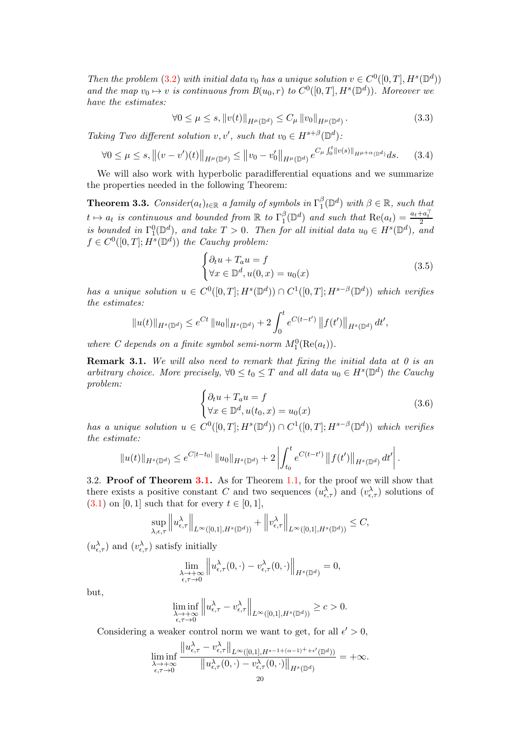Then the problem [\(3.2\)](#page-18-1) with initial data v<sub>0</sub> has a unique solution  $v \in C^0([0, T], H^s(\mathbb{D}^d))$ and the map  $v_0 \mapsto v$  is continuous from  $B(u_0, r)$  to  $C^0([0, T], H^s(\mathbb{D}^d))$ . Moreover we have the estimates:

$$
\forall 0 \le \mu \le s, \|v(t)\|_{H^{\mu}(\mathbb{D}^d)} \le C_{\mu} \|v_0\|_{H^{\mu}(\mathbb{D}^d)}.
$$
\n(3.3)

Taking Two different solution  $v, v'$ , such that  $v_0 \in H^{s+\beta}(\mathbb{D}^d)$ :

$$
\forall 0 \le \mu \le s, \left\| (v - v')(t) \right\|_{H^{\mu}(\mathbb{D}^d)} \le \left\| v_0 - v'_0 \right\|_{H^{\mu}(\mathbb{D}^d)} e^{C_{\mu} \int_0^t \|v(s)\|_{H^{\mu+\alpha}(\mathbb{D}^d)} ds. \tag{3.4}
$$

We will also work with hyperbolic paradifferential equations and we summarize the properties needed in the following Theorem:

<span id="page-19-1"></span>**Theorem 3.3.** Consider( $a_t$ )<sub>t∈R</sub> a family of symbols in  $\Gamma_1^{\beta}$  $\beta_{1}^{\beta}(\mathbb{D}^{d})$  with  $\beta \in \mathbb{R}$ , such that  $t \mapsto a_t$  is continuous and bounded from  $\mathbb R$  to  $\Gamma_1^{\beta}$  $\binom{\beta}{1}$  ( $\mathbb{D}^d$ ) and such that  $\text{Re}(a_t) = \frac{a_t + a_t^{\top}}{2}$ is bounded in  $\Gamma_1^0(\mathbb{D}^d)$ , and take  $T > 0$ . Then for all initial data  $u_0 \in H^s(\mathbb{D}^d)$ , and  $f \in C^0([0,T]; H^s(\mathbb{D}^d))$  the Cauchy problem:

<span id="page-19-2"></span>
$$
\begin{cases} \partial_t u + T_a u = f \\ \forall x \in \mathbb{D}^d, u(0, x) = u_0(x) \end{cases} \tag{3.5}
$$

has a unique solution  $u \in C^0([0,T]; H^s(\mathbb{D}^d)) \cap C^1([0,T]; H^{s-\beta}(\mathbb{D}^d))$  which verifies the estimates:

$$
||u(t)||_{H^{s}(\mathbb{D}^{d})} \leq e^{Ct} ||u_0||_{H^{s}(\mathbb{D}^{d})} + 2 \int_0^t e^{C(t-t')} ||f(t')||_{H^{s}(\mathbb{D}^{d})} dt',
$$

where C depends on a finite symbol semi-norm  $M_1^0(\text{Re}(a_t))$ .

**Remark 3.1.** We will also need to remark that fixing the initial data at  $\theta$  is an arbitrary choice. More precisely,  $\forall 0 \le t_0 \le T$  and all data  $u_0 \in H^s(\mathbb{D}^d)$  the Cauchy problem:

$$
\begin{cases} \partial_t u + T_a u = f \\ \forall x \in \mathbb{D}^d, u(t_0, x) = u_0(x) \end{cases} \tag{3.6}
$$

has a unique solution  $u \in C^0([0,T]; H^s(\mathbb{D}^d)) \cap C^1([0,T]; H^{s-\beta}(\mathbb{D}^d))$  which verifies the estimate:

$$
||u(t)||_{H^{s}(\mathbb{D}^{d})} \leq e^{C|t-t_{0}|} ||u_{0}||_{H^{s}(\mathbb{D}^{d})} + 2 \left| \int_{t_{0}}^{t} e^{C(t-t')} ||f(t')||_{H^{s}(\mathbb{D}^{d})} dt' \right|.
$$

<span id="page-19-0"></span>3.2. Proof of Theorem [3.1.](#page-17-1) As for Theorem [1.1,](#page-2-2) for the proof we will show that there exists a positive constant C and two sequences  $(u_{\epsilon,\tau}^{\lambda})$  and  $(v_{\epsilon,\tau}^{\lambda})$  solutions of  $(3.1)$  on  $[0, 1]$  such that for every  $t \in [0, 1]$ ,

$$
\sup_{\lambda,\epsilon,\tau}\left\|u^\lambda_{\epsilon,\tau}\right\|_{L^\infty([0,1],H^s(\mathbb{D}^d))}+\left\|v^\lambda_{\epsilon,\tau}\right\|_{L^\infty([0,1],H^s(\mathbb{D}^d))}\leq C,
$$

 $(u_{\epsilon,\tau}^{\lambda})$  and  $(v_{\epsilon,\tau}^{\lambda})$  satisfy initially

$$
\lim_{\substack{\lambda \to +\infty \\ \epsilon, \tau \to 0}} \left\| u_{\epsilon, \tau}^{\lambda}(0, \cdot) - v_{\epsilon, \tau}^{\lambda}(0, \cdot) \right\|_{H^{s}(\mathbb{D}^{d})} = 0,
$$

but,

$$
\liminf_{\substack{\lambda \to +\infty \\ \epsilon, \tau \to 0}} \left\| u^{\lambda}_{\epsilon, \tau} - v^{\lambda}_{\epsilon, \tau} \right\|_{L^{\infty}([0,1], H^s(\mathbb{D}^d))} \geq c > 0.
$$

Considering a weaker control norm we want to get, for all  $\epsilon' > 0$ ,

$$
\liminf_{\substack{\lambda \to +\infty \\ \epsilon, \tau \to 0}} \frac{\|u_{\epsilon,\tau}^{\lambda} - v_{\epsilon,\tau}^{\lambda}\|_{L^{\infty}([0,1],H^{s-1+(\alpha-1)^++\epsilon'}(\mathbb{D}^d))}}{\|u_{\epsilon,\tau}^{\lambda}(0,\cdot) - v_{\epsilon,\tau}^{\lambda}(0,\cdot)\|_{H^{s}(\mathbb{D}^d)}} = +\infty.
$$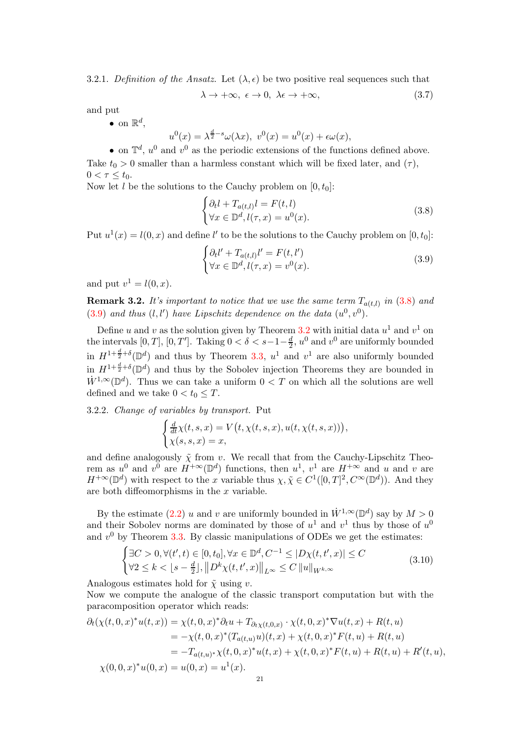3.2.1. Definition of the Ansatz. Let  $(\lambda, \epsilon)$  be two positive real sequences such that

$$
\lambda \to +\infty, \ \epsilon \to 0, \ \lambda \epsilon \to +\infty, \tag{3.7}
$$

and put

• on  $\mathbb{R}^d$ ,

$$
u^{0}(x) = \lambda^{\frac{d}{2}-s}\omega(\lambda x), \ v^{0}(x) = u^{0}(x) + \epsilon \omega(x),
$$

• on  $\mathbb{T}^d$ ,  $u^0$  and  $v^0$  as the periodic extensions of the functions defined above. Take  $t_0 > 0$  smaller than a harmless constant which will be fixed later, and  $(\tau)$ ,  $0 < \tau \leq t_0$ .

Now let l be the solutions to the Cauchy problem on  $[0, t_0]$ :

<span id="page-20-0"></span>
$$
\begin{cases} \partial_t l + T_{a(t,l)} l = F(t,l) \\ \forall x \in \mathbb{D}^d, l(\tau, x) = u^0(x). \end{cases}
$$
\n(3.8)

Put  $u^1(x) = l(0, x)$  and define l' to be the solutions to the Cauchy problem on [0, t<sub>0</sub>]:

<span id="page-20-1"></span>
$$
\begin{cases} \partial_t l' + T_{a(t,l)} l' = F(t,l') \\ \forall x \in \mathbb{D}^d, l(\tau, x) = v^0(x). \end{cases}
$$
\n(3.9)

and put  $v^1 = l(0, x)$ .

<span id="page-20-2"></span>**Remark 3.2.** It's important to notice that we use the same term  $T_{a(t,l)}$  in  $(3.8)$  and [\(3.9\)](#page-20-1) and thus  $(l, l')$  have Lipschitz dependence on the data  $(u^0, v^0)$ .

Define u and v as the solution given by Theorem [3.2](#page-18-2) with initial data  $u^1$  and  $v^1$  on the intervals  $[0, T]$ ,  $[0, T']$ . Taking  $0 < \delta < s - 1 - \frac{d}{2}$  $\frac{d}{2}$ ,  $u^0$  and  $v^0$  are uniformly bounded in  $H^{1+\frac{d}{2}+\delta}(\mathbb{D}^d)$  and thus by Theorem [3.3,](#page-19-1)  $u^1$  and  $v^1$  are also uniformly bounded in  $H^{1+\frac{d}{2}+\delta}(\mathbb{D}^d)$  and thus by the Sobolev injection Theorems they are bounded in  $W^{1,\infty}(\mathbb{D}^d)$ . Thus we can take a uniform  $0 < T$  on which all the solutions are well defined and we take  $0 < t_0 \leq T$ .

3.2.2. Change of variables by transport. Put

$$
\begin{cases} \frac{d}{dt}\chi(t,s,x) = V(t,\chi(t,s,x),u(t,\chi(t,s,x))),\\ \chi(s,s,x) = x, \end{cases}
$$

and define analogously  $\tilde{\chi}$  from v. We recall that from the Cauchy-Lipschitz Theorem as  $u^0$  and  $v^{\overline{0}}$  are  $H^{+\infty}(\mathbb{D}^d)$  functions, then  $u^1$ ,  $v^1$  are  $H^{+\infty}$  and u and v are  $H^{+\infty}(\mathbb{D}^d)$  with respect to the x variable thus  $\chi, \tilde{\chi} \in C^1([0,T]^2, C^{\infty}(\mathbb{D}^d))$ . And they are both diffeomorphisms in the  $x$  variable.

By the estimate [\(2.2\)](#page-10-4) u and v are uniformly bounded in  $\dot{W}^{1,\infty}(\mathbb{D}^d)$  say by  $M > 0$ and their Sobolev norms are dominated by those of  $u^1$  and  $v^1$  thus by those of  $u^0$ and  $v^0$  by Theorem [3.3.](#page-19-1) By classic manipulations of ODEs we get the estimates:

$$
\begin{cases} \exists C > 0, \forall (t', t) \in [0, t_0], \forall x \in \mathbb{D}^d, C^{-1} \le |D\chi(t, t', x)| \le C\\ \forall 2 \le k < \lfloor s - \frac{d}{2} \rfloor, \left\| D^k \chi(t, t', x) \right\|_{L^\infty} \le C \left\| u \right\|_{W^{k, \infty}} \end{cases} \tag{3.10}
$$

Analogous estimates hold for  $\tilde{\chi}$  using v.

Now we compute the analogue of the classic transport computation but with the paracomposition operator which reads:

$$
\partial_t(\chi(t,0,x)^*u(t,x)) = \chi(t,0,x)^*\partial_t u + T_{\partial_t\chi(t,0,x)} \cdot \chi(t,0,x)^*\nabla u(t,x) + R(t,u)
$$
  
\n
$$
= -\chi(t,0,x)^*(T_{a(t,u)}u)(t,x) + \chi(t,0,x)^*F(t,u) + R(t,u)
$$
  
\n
$$
= -T_{a(t,u)^*}\chi(t,0,x)^*u(t,x) + \chi(t,0,x)^*F(t,u) + R(t,u) + R'(t,u),
$$
  
\n
$$
\chi(0,0,x)^*u(0,x) = u(0,x) = u^1(x).
$$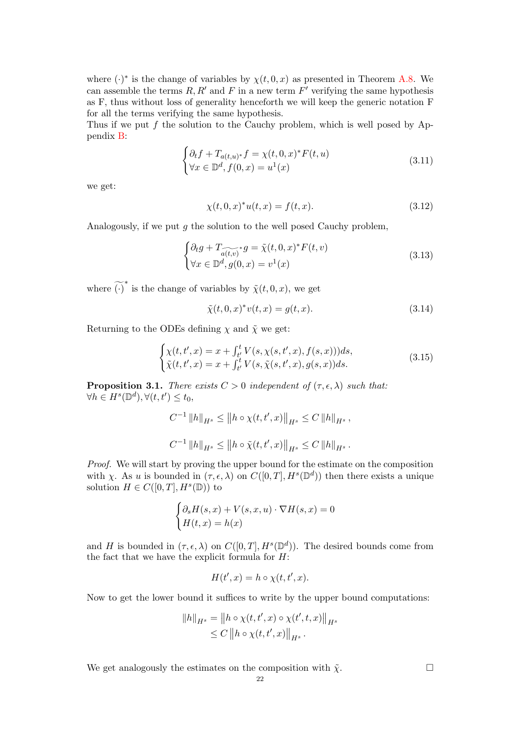where  $(\cdot)^*$  is the change of variables by  $\chi(t, 0, x)$  as presented in Theorem [A.8.](#page-39-0) We can assemble the terms  $R, R'$  and F in a new term  $F'$  verifying the same hypothesis as F, thus without loss of generality henceforth we will keep the generic notation F for all the terms verifying the same hypothesis.

Thus if we put f the solution to the Cauchy problem, which is well posed by Appendix [B:](#page-40-0)

$$
\begin{cases} \partial_t f + T_{a(t,u)^*} f = \chi(t,0,x)^* F(t,u) \\ \forall x \in \mathbb{D}^d, f(0,x) = u^1(x) \end{cases}
$$
\n(3.11)

we get:

$$
\chi(t,0,x)^{*}u(t,x) = f(t,x). \tag{3.12}
$$

Analogously, if we put  $q$  the solution to the well posed Cauchy problem,

$$
\begin{cases} \partial_t g + T_{\widetilde{a(t,v)}}^* g = \widetilde{\chi}(t, 0, x)^* F(t, v) \\ \forall x \in \mathbb{D}^d, g(0, x) = v^1(x) \end{cases}
$$
\n(3.13)

where  $\widetilde{(\cdot)}^*$  is the change of variables by  $\widetilde{\chi}(t,0,x)$ , we get

$$
\tilde{\chi}(t,0,x)^*v(t,x) = g(t,x). \tag{3.14}
$$

Returning to the ODEs defining  $\chi$  and  $\tilde{\chi}$  we get:

<span id="page-21-0"></span>
$$
\begin{cases} \chi(t, t', x) = x + \int_{t'}^{t} V(s, \chi(s, t', x), f(s, x))) ds, \\ \tilde{\chi}(t, t', x) = x + \int_{t'}^{t} V(s, \tilde{\chi}(s, t', x), g(s, x)) ds. \end{cases} \tag{3.15}
$$

**Proposition 3.1.** There exists  $C > 0$  independent of  $(\tau, \epsilon, \lambda)$  such that:  $\forall h \in H^s(\mathbb{D}^d), \forall (t, t') \leq t_0,$ 

$$
C^{-1} ||h||_{H^s} \le ||h \circ \chi(t, t', x)||_{H^s} \le C ||h||_{H^s},
$$
  

$$
C^{-1} ||h||_{H^s} \le ||h \circ \tilde{\chi}(t, t', x)||_{H^s} \le C ||h||_{H^s}.
$$

Proof. We will start by proving the upper bound for the estimate on the composition with x. As u is bounded in  $(\tau, \epsilon, \lambda)$  on  $C([0, T], H^s(\mathbb{D}^d))$  then there exists a unique solution  $H \in C([0,T], H^s(\mathbb{D}))$  to

$$
\begin{cases} \partial_s H(s,x) + V(s,x,u) \cdot \nabla H(s,x) = 0 \\ H(t,x) = h(x) \end{cases}
$$

and H is bounded in  $(\tau, \epsilon, \lambda)$  on  $C([0, T], H^s(\mathbb{D}^d))$ . The desired bounds come from the fact that we have the explicit formula for  $H$ :

$$
H(t',x) = h \circ \chi(t,t',x).
$$

Now to get the lower bound it suffices to write by the upper bound computations:

$$
||h||_{H^{s}} = ||h \circ \chi(t, t', x) \circ \chi(t', t, x)||_{H^{s}} \leq C ||h \circ \chi(t, t', x)||_{H^{s}}.
$$

We get analogously the estimates on the composition with  $\tilde{\chi}$ .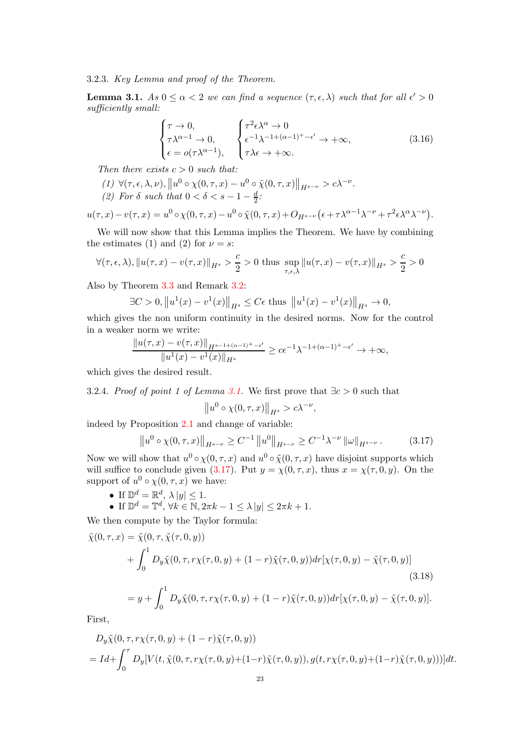3.2.3. Key Lemma and proof of the Theorem.

<span id="page-22-0"></span>**Lemma 3.1.**  $As\ 0 \leq \alpha < 2$  we can find a sequence  $(\tau, \epsilon, \lambda)$  such that for all  $\epsilon' > 0$ sufficiently small:

$$
\begin{cases}\n\tau \to 0, \\
\tau \lambda^{\alpha - 1} \to 0, \\
\epsilon = o(\tau \lambda^{\alpha - 1}),\n\end{cases}\n\begin{cases}\n\tau^2 \epsilon \lambda^{\alpha} \to 0 \\
\epsilon^{-1} \lambda^{-1 + (\alpha - 1)^+ - \epsilon'} \to +\infty, \\
\tau \lambda \epsilon \to +\infty.\n\end{cases}
$$
\n(3.16)

Then there exists  $c > 0$  such that:

- $(1)\ \forall (\tau,\epsilon,\lambda,\nu), \left\Vert u^{0}\circ \chi(0,\tau,x)-u^{0}\circ \tilde{\chi}(0,\tau,x)\right\Vert _{H^{s-\nu}} > c \lambda^{-\nu}.$
- (2) For  $\delta$  such that  $0 < \delta < s 1 \frac{d}{2}$ :

$$
u(\tau, x) - v(\tau, x) = u^0 \circ \chi(0, \tau, x) - u^0 \circ \tilde{\chi}(0, \tau, x) + O_{H^{s-\nu}}\left(\epsilon + \tau \lambda^{\alpha-1} \lambda^{-\nu} + \tau^2 \epsilon \lambda^{\alpha} \lambda^{-\nu}\right).
$$

We will now show that this Lemma implies the Theorem. We have by combining the estimates (1) and (2) for  $\nu = s$ :

$$
\forall (\tau,\epsilon,\lambda), \|u(\tau,x)-v(\tau,x)\|_{H^s} > \frac{c}{2} > 0 \text{ thus } \sup_{\tau,\epsilon,\lambda} \|u(\tau,x)-v(\tau,x)\|_{H^s} > \frac{c}{2} > 0
$$

Also by Theorem [3.3](#page-19-1) and Remark [3.2:](#page-20-2)

$$
\exists C > 0, \|u^{1}(x) - v^{1}(x)\|_{H^{s}} \leq C\epsilon \text{ thus } \|u^{1}(x) - v^{1}(x)\|_{H^{s}} \to 0,
$$

which gives the non uniform continuity in the desired norms. Now for the control in a weaker norm we write:

$$
\frac{\|u(\tau,x) - v(\tau,x)\|_{H^{s-1+(\alpha-1)^+-\epsilon'}}}{\|u^1(x) - v^1(x)\|_{H^s}} \ge c\epsilon^{-1}\lambda^{-1+(\alpha-1)^+-\epsilon'} \to +\infty,
$$

which gives the desired result.

3.2.4. Proof of point 1 of Lemma [3.1.](#page-22-0) We first prove that  $\exists c > 0$  such that

<span id="page-22-2"></span>
$$
||u^0 \circ \chi(0, \tau, x)||_{H^s} > c\lambda^{-\nu},
$$

indeed by Proposition [2.1](#page-13-0) and change of variable:

<span id="page-22-1"></span>
$$
\|u^{0} \circ \chi(0, \tau, x)\|_{H^{s-\nu}} \ge C^{-1} \|u^{0}\|_{H^{s-\nu}} \ge C^{-1} \lambda^{-\nu} \|\omega\|_{H^{s-\nu}}.
$$
 (3.17)

Now we will show that  $u^0 \circ \chi(0, \tau, x)$  and  $u^0 \circ \tilde{\chi}(0, \tau, x)$  have disjoint supports which will suffice to conclude given [\(3.17\)](#page-22-1). Put  $y = \chi(0, \tau, x)$ , thus  $x = \chi(\tau, 0, y)$ . On the support of  $u^0 \circ \chi(0, \tau, x)$  we have:

- If  $\mathbb{D}^d = \mathbb{R}^d$ ,  $\lambda |y| \leq 1$ .
- If  $\mathbb{D}^d = \mathbb{T}^d$ ,  $\forall k \in \mathbb{N}$ ,  $2\pi k 1 \leq \lambda |y| \leq 2\pi k + 1$ .

We then compute by the Taylor formula:

$$
\tilde{\chi}(0,\tau,x) = \tilde{\chi}(0,\tau,\tilde{\chi}(\tau,0,y)) \n+ \int_0^1 D_y \tilde{\chi}(0,\tau,r\chi(\tau,0,y) + (1-r)\tilde{\chi}(\tau,0,y))dr[\chi(\tau,0,y) - \tilde{\chi}(\tau,0,y)]
$$
\n(3.18)  
\n
$$
= y + \int_0^1 D_y \tilde{\chi}(0,\tau,r\chi(\tau,0,y) + (1-r)\tilde{\chi}(\tau,0,y))dr[\chi(\tau,0,y) - \tilde{\chi}(\tau,0,y)].
$$

First,

$$
D_y \tilde{\chi}(0, \tau, r\chi(\tau, 0, y) + (1 - r)\tilde{\chi}(\tau, 0, y))
$$
  
= 
$$
Id + \int_0^{\tau} D_y[V(t, \tilde{\chi}(0, \tau, r\chi(\tau, 0, y) + (1 - r)\tilde{\chi}(\tau, 0, y)), g(t, r\chi(\tau, 0, y) + (1 - r)\tilde{\chi}(\tau, 0, y)))]dt.
$$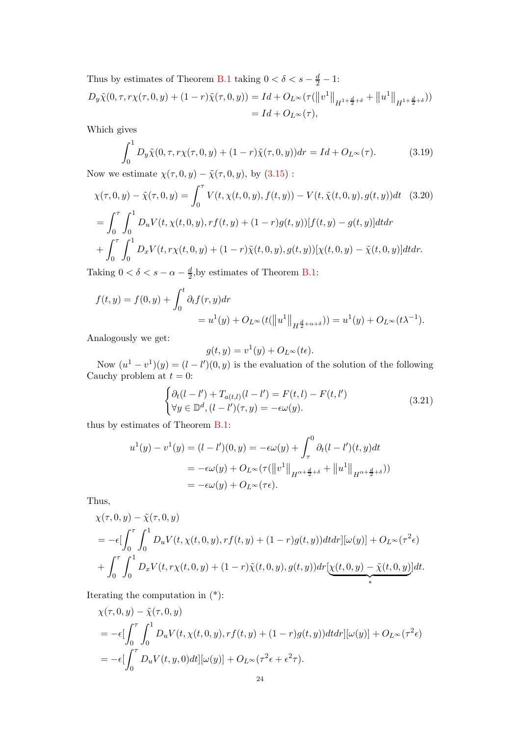Thus by estimates of Theorem [B.1](#page-40-1) taking  $0 < \delta < s - \frac{d}{2} - 1$ :  $D_y \tilde{\chi}(0, \tau, r\chi(\tau, 0, y) + (1 - r)\tilde{\chi}(\tau, 0, y)) = Id + O_{L^{\infty}}(\tau(||v^1||_{H^{1 + \frac{d}{2} + \delta}} + ||u^1||_{H^{1 + \frac{d}{2} + \delta}}))$  $= Id + O<sub>L</sub> \infty (\tau),$ 

Which gives

$$
\int_0^1 D_y \tilde{\chi}(0, \tau, r\chi(\tau, 0, y) + (1 - r)\tilde{\chi}(\tau, 0, y)) dr = Id + O_{L^{\infty}}(\tau).
$$
 (3.19)

Now we estimate  $\chi(\tau, 0, y) - \tilde{\chi}(\tau, 0, y)$ , by  $(3.15)$ :

$$
\chi(\tau, 0, y) - \tilde{\chi}(\tau, 0, y) = \int_0^{\tau} V(t, \chi(t, 0, y), f(t, y)) - V(t, \tilde{\chi}(t, 0, y), g(t, y))dt \quad (3.20)
$$
  
= 
$$
\int_0^{\tau} \int_0^1 D_u V(t, \chi(t, 0, y), rf(t, y) + (1 - r)g(t, y)) [f(t, y) - g(t, y)] dt dr
$$
  
+ 
$$
\int_0^{\tau} \int_0^1 D_x V(t, r\chi(t, 0, y) + (1 - r)\tilde{\chi}(t, 0, y), g(t, y)) [\chi(t, 0, y) - \tilde{\chi}(t, 0, y)] dt dr.
$$

Taking  $0 < \delta < s - \alpha - \frac{d}{2}$  $\frac{d}{2}$ , by estimates of Theorem [B.1:](#page-40-1)

$$
f(t, y) = f(0, y) + \int_0^t \partial_t f(r, y) dr
$$
  
=  $u^1(y) + O_{L^{\infty}}(t(||u^1||_{H^{\frac{d}{2} + \alpha + \delta}})) = u^1(y) + O_{L^{\infty}}(t\lambda^{-1}).$ 

Analogously we get:

$$
g(t, y) = v^{1}(y) + O_{L^{\infty}}(t\epsilon).
$$

Now  $(u^1 - v^1)(y) = (l - l')(0, y)$  is the evaluation of the solution of the following Cauchy problem at  $t = 0$ :

$$
\begin{cases} \partial_t (l - l') + T_{a(t,l)}(l - l') = F(t,l) - F(t,l') \\ \forall y \in \mathbb{D}^d, (l - l')(\tau, y) = -\epsilon \omega(y). \end{cases}
$$
\n(3.21)

thus by estimates of Theorem [B.1:](#page-40-1)

$$
u^{1}(y) - v^{1}(y) = (l - l')(0, y) = -\epsilon \omega(y) + \int_{\tau}^{0} \partial_{t} (l - l')(t, y) dt
$$
  
=  $-\epsilon \omega(y) + O_{L^{\infty}}(\tau(||v^{1}||_{H^{\alpha + \frac{d}{2} + \delta}} + ||u^{1}||_{H^{\alpha + \frac{d}{2} + \delta}}))$   
=  $-\epsilon \omega(y) + O_{L^{\infty}}(\tau \epsilon).$ 

Thus,

$$
\chi(\tau, 0, y) - \tilde{\chi}(\tau, 0, y)
$$
  
=  $-\epsilon \left[ \int_0^{\tau} \int_0^1 D_u V(t, \chi(t, 0, y), r f(t, y) + (1 - r) g(t, y)) dt dr \right] [\omega(y)] + O_{L^{\infty}}(\tau^2 \epsilon)$   
+  $\int_0^{\tau} \int_0^1 D_x V(t, r \chi(t, 0, y) + (1 - r) \tilde{\chi}(t, 0, y), g(t, y)) dr \left[ \chi(t, 0, y) - \tilde{\chi}(t, 0, y) \right] dt.$ 

Iterating the computation in (\*):

$$
\chi(\tau,0,y) - \tilde{\chi}(\tau,0,y)
$$
  
= 
$$
-\epsilon \left[ \int_0^{\tau} \int_0^1 D_u V(t,\chi(t,0,y),rf(t,y) + (1-r)g(t,y)) dt dr \right] [\omega(y)] + O_{L^{\infty}}(\tau^2 \epsilon)
$$
  
= 
$$
-\epsilon \left[ \int_0^{\tau} D_u V(t,y,0) dt \right] [\omega(y)] + O_{L^{\infty}}(\tau^2 \epsilon + \epsilon^2 \tau).
$$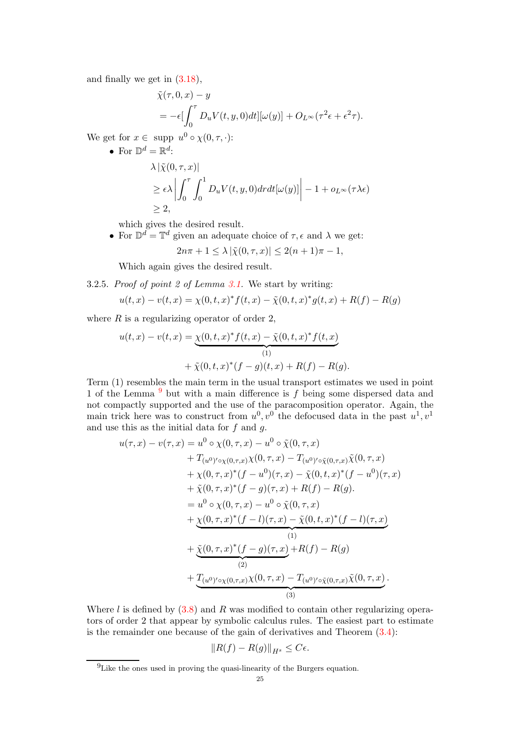and finally we get in [\(3.18\)](#page-22-2),

$$
\tilde{\chi}(\tau, 0, x) - y
$$
  
=  $-\epsilon \left[\int_0^{\tau} D_u V(t, y, 0) dt\right] [\omega(y)] + O_{L^{\infty}}(\tau^2 \epsilon + \epsilon^2 \tau).$ 

We get for  $x \in \text{supp } u^0 \circ \chi(0, \tau, \cdot)$ :

• For  $\mathbb{D}^d = \mathbb{R}^d$ :  $\lambda |\tilde{\mathbf{v}}(0, \tau, r)|$ 

$$
\geq \epsilon \lambda \left| \int_0^{\tau} \int_0^1 D_u V(t, y, 0) dr dt [\omega(y)] \right| - 1 + o_{L^{\infty}}(\tau \lambda \epsilon)
$$
  
\n
$$
\geq 2,
$$

which gives the desired result.

• For  $\mathbb{D}^d = \mathbb{T}^d$  given an adequate choice of  $\tau, \epsilon$  and  $\lambda$  we get:

$$
2n\pi + 1 \le \lambda |\tilde{\chi}(0, \tau, x)| \le 2(n + 1)\pi - 1,
$$

Which again gives the desired result.

<span id="page-24-1"></span>3.2.5. Proof of point 2 of Lemma [3.1.](#page-22-0) We start by writing:

$$
u(t,x) - v(t,x) = \chi(0,t,x)^{*} f(t,x) - \tilde{\chi}(0,t,x)^{*} g(t,x) + R(f) - R(g)
$$

where  $R$  is a regularizing operator of order 2,

$$
u(t,x) - v(t,x) = \underbrace{\chi(0,t,x)^* f(t,x) - \tilde{\chi}(0,t,x)^* f(t,x)}_{(1)} + \tilde{\chi}(0,t,x)^* (f-g)(t,x) + R(f) - R(g).
$$

Term (1) resembles the main term in the usual transport estimates we used in point 1 of the Lemma  $9$  but with a main difference is  $f$  being some dispersed data and not compactly supported and the use of the paracomposition operator. Again, the main trick here was to construct from  $u^0, v^0$  the defocused data in the past  $u^1, v^1$ and use this as the initial data for  $f$  and  $g$ .

$$
u(\tau, x) - v(\tau, x) = u^0 \circ \chi(0, \tau, x) - u^0 \circ \tilde{\chi}(0, \tau, x)
$$
  
+  $T_{(u^0)' \circ \chi(0, \tau, x)} \chi(0, \tau, x) - T_{(u^0)' \circ \tilde{\chi}(0, \tau, x)} \tilde{\chi}(0, \tau, x)$   
+  $\chi(0, \tau, x)^* (f - u^0)(\tau, x) - \tilde{\chi}(0, t, x)^* (f - u^0)(\tau, x)$   
+  $\tilde{\chi}(0, \tau, x)^* (f - g)(\tau, x) + R(f) - R(g)$ .  
=  $u^0 \circ \chi(0, \tau, x) - u^0 \circ \tilde{\chi}(0, \tau, x)$   
+  $\chi(0, \tau, x)^* (f - l)(\tau, x) - \tilde{\chi}(0, t, x)^* (f - l)(\tau, x)$   
+  $\chi(0, \tau, x)^* (f - g)(\tau, x) + R(f) - R(g)$   
(1)  
(2)  
+  $\underline{T}_{(u^0)' \circ \chi(0, \tau, x)} \chi(0, \tau, x) - T_{(u^0)' \circ \tilde{\chi}(0, \tau, x)} \tilde{\chi}(0, \tau, x)$ .

Where  $l$  is defined by  $(3.8)$  and  $R$  was modified to contain other regularizing operators of order 2 that appear by symbolic calculus rules. The easiest part to estimate is the remainder one because of the gain of derivatives and Theorem [\(3.4\)](#page-19-2):

$$
||R(f) - R(g)||_{H^s} \leq C\epsilon.
$$

<span id="page-24-0"></span> $^9$  Like the ones used in proving the quasi-linearity of the Burgers equation.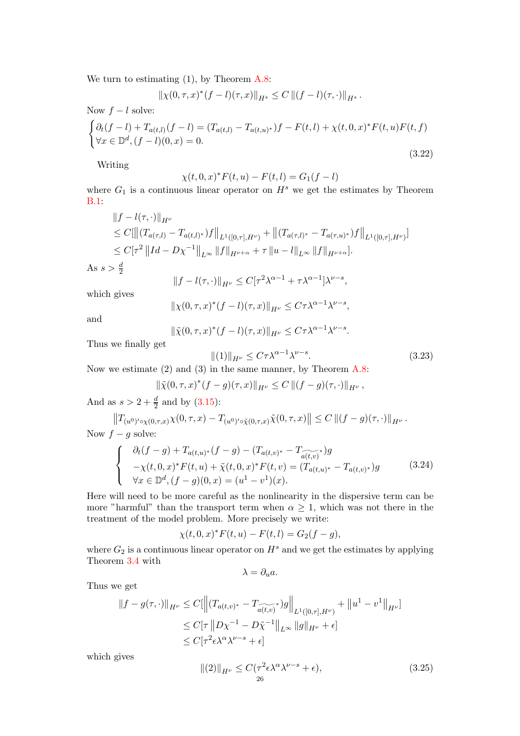We turn to estimating  $(1)$ , by Theorem [A.8:](#page-39-0)

$$
\|\chi(0,\tau,x)^{*}(f-l)(\tau,x)\|_{H^{s}}\leq C\left\|(f-l)(\tau,\cdot)\right\|_{H^{s}}.
$$

Now  $f - l$  solve:

$$
\begin{cases} \partial_t (f - l) + T_{a(t,l)}(f - l) = (T_{a(t,l)} - T_{a(t,u)^*})f - F(t,l) + \chi(t,0,x)^* F(t,u)F(t,f) \\ \forall x \in \mathbb{D}^d, (f - l)(0,x) = 0. \end{cases}
$$
\n(3.22)

Writing

$$
\chi(t,0,x)^* F(t,u) - F(t,l) = G_1(f-l)
$$

where  $G_1$  is a continuous linear operator on  $H^s$  we get the estimates by Theorem [B.1:](#page-40-1)

$$
||f - l(\tau, \cdot)||_{H^{\nu}}\n\leq C[\left\| (T_{a(\tau,l)} - T_{a(t,l)^*})f \right\|_{L^1([0,\tau],H^{\nu})} + \left\| (T_{a(\tau,l)^*} - T_{a(\tau,u)^*})f \right\|_{L^1([0,\tau],H^{\nu})}]\n\leq C[\tau^2 ||Id - D\chi^{-1}||_{L^{\infty}} ||f||_{H^{\nu+\alpha}} + \tau ||u - l||_{L^{\infty}} ||f||_{H^{\nu+\alpha}}].
$$

As  $s > \frac{d}{2}$ 

$$
||f - l(\tau, \cdot)||_{H^{\nu}} \leq C[\tau^2 \lambda^{\alpha - 1} + \tau \lambda^{\alpha - 1}]\lambda^{\nu - s},
$$

which gives

$$
\|\chi(0,\tau,x)^*(f-l)(\tau,x)\|_{H^{\nu}} \leq C\tau\lambda^{\alpha-1}\lambda^{\nu-s},
$$

and

$$
\|\tilde{\chi}(0,\tau,x)^{*}(f-l)(\tau,x)\|_{H^{\nu}} \leq C\tau\lambda^{\alpha-1}\lambda^{\nu-s}.
$$

Thus we finally get

$$
||(1)||_{H^{\nu}} \leq C\tau \lambda^{\alpha - 1} \lambda^{\nu - s}.
$$
\n(3.23)

Now we estimate (2) and (3) in the same manner, by Theorem [A.8:](#page-39-0)

$$
\|\tilde{\chi}(0,\tau,x)^{*}(f-g)(\tau,x)\|_{H^{\nu}} \leq C\left\|(f-g)(\tau,\cdot)\right\|_{H^{\nu}},
$$

And as  $s > 2 + \frac{d}{2}$  and by [\(3.15\)](#page-21-0):

$$
||T_{(u^0)' \circ \chi(0,\tau,x)} \chi(0,\tau,x) - T_{(u^0)' \circ \tilde{\chi}(0,\tau,x)} \tilde{\chi}(0,\tau,x)|| \leq C ||(f-g)(\tau,\cdot)||_{H^{\nu}}.
$$
 Now  $f-g$  solve:

$$
\begin{cases}\n\partial_t (f-g) + T_{a(t,u)^*} (f-g) - (T_{a(t,v)^*} - T_{\widetilde{a(t,v)}}^*) g \\
-\chi(t,0,x)^* F(t,u) + \widetilde{\chi}(t,0,x)^* F(t,v) = (T_{a(t,u)^*} - T_{a(t,v)^*}) g \\
\forall x \in \mathbb{D}^d, (f-g)(0,x) = (u^1 - v^1)(x).\n\end{cases}
$$
\n(3.24)

Here will need to be more careful as the nonlinearity in the dispersive term can be more "harmful" than the transport term when  $\alpha \geq 1$ , which was not there in the treatment of the model problem. More precisely we write:

$$
\chi(t,0,x)^* F(t,u) - F(t,l) = G_2(f-g),
$$

where  $G_2$  is a continuous linear operator on  $H^s$  and we get the estimates by applying Theorem [3.4](#page-26-0) with

$$
\lambda = \partial_u a.
$$

Thus we get

$$
||f - g(\tau, \cdot)||_{H^{\nu}} \le C[|| (T_{a(t,v)^*} - T_{\widetilde{a(t,v)}}^*)g||_{L^1([0,\tau], H^{\nu})} + ||u^1 - v^1||_{H^{\nu}}]\le C[\tau ||D\chi^{-1} - D\tilde{\chi}^{-1}||_{L^{\infty}} ||g||_{H^{\nu}} + \epsilon]\le C[\tau^2 \epsilon \lambda^{\alpha} \lambda^{\nu-s} + \epsilon]
$$

which gives

$$
\|(2)\|_{H^{\nu}} \le C(\tau^2 \epsilon \lambda^{\alpha} \lambda^{\nu-s} + \epsilon),\tag{3.25}
$$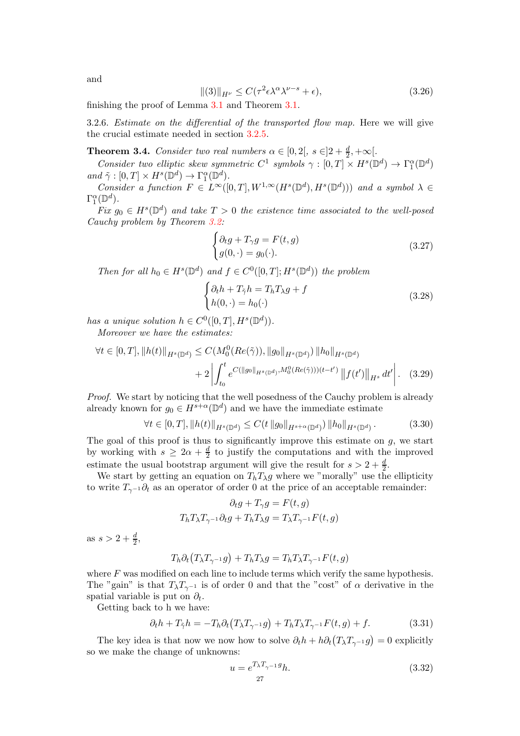and

$$
\|(3)\|_{H^{\nu}} \le C(\tau^2 \epsilon \lambda^{\alpha} \lambda^{\nu - s} + \epsilon),\tag{3.26}
$$

finishing the proof of Lemma [3.1](#page-22-0) and Theorem [3.1.](#page-17-1)

3.2.6. Estimate on the differential of the transported flow map. Here we will give the crucial estimate needed in section [3.2.5.](#page-24-1)

<span id="page-26-0"></span>**Theorem 3.4.** Consider two real numbers  $\alpha \in [0,2[$ ,  $s \in ]2+\frac{d}{2},+\infty[$ .

Consider two elliptic skew symmetric  $C^1$  symbols  $\gamma : [0, T] \times H^s(\mathbb{D}^d) \to \Gamma_1^{\alpha}(\mathbb{D}^d)$  $\label{eq:ad} \text{ and } \tilde{\gamma}:[0,T]\times H^s(\mathbb{D}^d) \to \Gamma^\alpha_1(\mathbb{D}^d).$ 

 $\begin{array}{ll}\nC_{i} & \Delta \cdot (0,1) \times H \quad (E \to \Delta \to 1 \quad (E \to \Delta \quad (0,T], W^{1,\infty}(H^s(\mathbb{D}^d),H^s(\mathbb{D}^d)))\n\end{array}$  and a symbol  $\lambda \in \Delta \rightarrow 0$  $\Gamma_1^{\alpha}(\mathbb{D}^d)$ .

Fix  $g_0 \in H^s(\mathbb{D}^d)$  and take  $T > 0$  the existence time associated to the well-posed Cauchy problem by Theorem [3.2:](#page-18-2)

$$
\begin{cases}\n\partial_t g + T_\gamma g = F(t, g) \\
g(0, \cdot) = g_0(\cdot).\n\end{cases}
$$
\n(3.27)

Then for all  $h_0 \in H^s(\mathbb{D}^d)$  and  $f \in C^0([0,T]; H^s(\mathbb{D}^d))$  the problem

$$
\begin{cases} \partial_t h + T_{\tilde{\gamma}} h = T_h T_{\lambda} g + f \\ h(0, \cdot) = h_0(\cdot) \end{cases}
$$
 (3.28)

has a unique solution  $h \in C^0([0,T], H^s(\mathbb{D}^d))$ .

Moreover we have the estimates:

$$
\forall t \in [0, T], \|h(t)\|_{H^s(\mathbb{D}^d)} \le C(M_0^0(Re(\tilde{\gamma})), \|g_0\|_{H^s(\mathbb{D}^d)}) \|h_0\|_{H^s(\mathbb{D}^d)}
$$

$$
+ 2 \left| \int_{t_0}^t e^{C(\|g_0\|_{H^s(\mathbb{D}^d)}, M_0^0(Re(\tilde{\gamma}))) (t-t')} \|f(t')\|_{H^s} dt' \right|. \quad (3.29)
$$

Proof. We start by noticing that the well posedness of the Cauchy problem is already already known for  $g_0 \in H^{s+\alpha}(\mathbb{D}^d)$  and we have the immediate estimate

$$
\forall t \in [0, T], \|h(t)\|_{H^s(\mathbb{D}^d)} \le C(t \|g_0\|_{H^{s+\alpha}(\mathbb{D}^d)}) \|h_0\|_{H^s(\mathbb{D}^d)}.
$$
 (3.30)

The goal of this proof is thus to significantly improve this estimate on  $q$ , we start by working with  $s \geq 2\alpha + \frac{d}{2}$  $\frac{d}{2}$  to justify the computations and with the improved estimate the usual bootstrap argument will give the result for  $s > 2 + \frac{d}{2}$ .

We start by getting an equation on  $T_h T_\lambda g$  where we "morally" use the ellipticity to write  $T_{\gamma^{-1}}\partial_t$  as an operator of order 0 at the price of an acceptable remainder:

$$
\partial_t g + T_\gamma g = F(t, g)
$$
  

$$
T_h T_\lambda T_{\gamma^{-1}} \partial_t g + T_h T_\lambda g = T_\lambda T_{\gamma^{-1}} F(t, g)
$$

as  $s > 2 + \frac{d}{2}$ ,

$$
T_h \partial_t (T_\lambda T_{\gamma^{-1}} g) + T_h T_\lambda g = T_h T_\lambda T_{\gamma^{-1}} F(t, g)
$$

where  $F$  was modified on each line to include terms which verify the same hypothesis. The "gain" is that  $T_{\lambda}T_{\gamma^{-1}}$  is of order 0 and that the "cost" of  $\alpha$  derivative in the spatial variable is put on  $\partial_t$ .

Getting back to h we have:

$$
\partial_t h + T_{\tilde{\gamma}} h = -T_h \partial_t \left( T_{\lambda} T_{\gamma^{-1}} g \right) + T_h T_{\lambda} T_{\gamma^{-1}} F(t, g) + f. \tag{3.31}
$$

The key idea is that now we now how to solve  $\partial_t h + h \partial_t (T_\lambda T_{\gamma^{-1}} g) = 0$  explicitly so we make the change of unknowns:

$$
u = e^{T_{\lambda} T_{\gamma - 1} g} h. \tag{3.32}
$$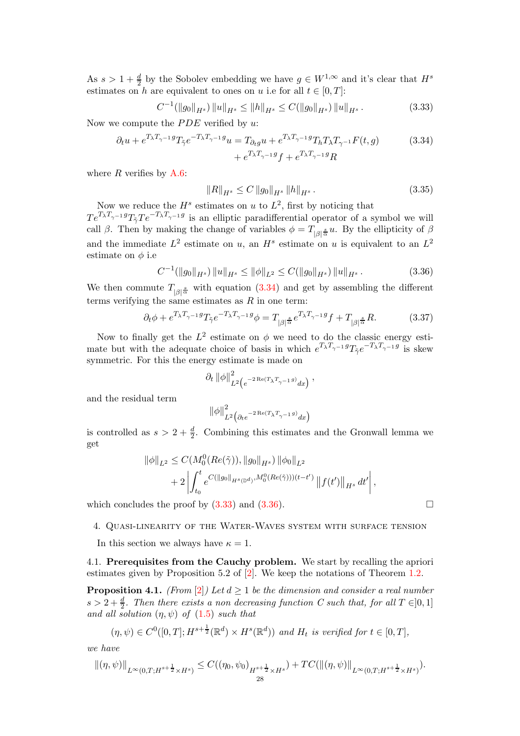As  $s > 1 + \frac{d}{2}$  by the Sobolev embedding we have  $g \in W^{1,\infty}$  and it's clear that  $H^s$ estimates on h are equivalent to ones on u i.e for all  $t \in [0, T]$ :

<span id="page-27-2"></span>
$$
C^{-1}(\|g_0\|_{H^s})\|u\|_{H^s} \le \|h\|_{H^s} \le C(\|g_0\|_{H^s})\|u\|_{H^s}.
$$
\n(3.33)

Now we compute the  $PDE$  verified by u:

$$
\partial_t u + e^{T_\lambda T_{\gamma-1}g} T_{\tilde{\gamma}} e^{-T_\lambda T_{\gamma-1}g} u = T_{\partial_t g} u + e^{T_\lambda T_{\gamma-1}g} T_h T_\lambda T_{\gamma-1} F(t, g)
$$
(3.34)  

$$
+ e^{T_\lambda T_{\gamma-1}g} f + e^{T_\lambda T_{\gamma-1}g} R
$$

where  $R$  verifies by  $A.6$ :

<span id="page-27-1"></span>
$$
||R||_{H^{s}} \leq C ||g_0||_{H^{s}} ||h||_{H^{s}}.
$$
\n(3.35)

Now we reduce the  $H^s$  estimates on u to  $L^2$ , first by noticing that  $Te^{T_{\lambda}T_{\gamma-1}g}T_{\tilde{\gamma}}Te^{-T_{\lambda}T_{\gamma-1}g}$  is an elliptic paradifferential operator of a symbol we will call  $\beta$ . Then by making the change of variables  $\phi = T_{|\beta|^{\frac{s}{\alpha}}}u$ . By the ellipticity of  $\beta$ and the immediate  $L^2$  estimate on u, an  $H^s$  estimate on u is equivalent to an  $L^2$ estimate on  $\phi$  i.e

<span id="page-27-3"></span>
$$
C^{-1}(\|g_0\|_{H^s})\|u\|_{H^s} \le \|\phi\|_{L^2} \le C(\|g_0\|_{H^s})\|u\|_{H^s}.
$$
\n(3.36)

We then commute  $T_{|\beta|^{\frac{s}{\alpha}}}$  with equation [\(3.34\)](#page-27-1) and get by assembling the different terms verifying the same estimates as  $R$  in one term:

$$
\partial_t \phi + e^{T_\lambda T_{\gamma - 1} g} T_{\tilde{\gamma}} e^{-T_\lambda T_{\gamma - 1} g} \phi = T_{|\beta|^{\frac{s}{\alpha}}} e^{T_\lambda T_{\gamma - 1} g} f + T_{|\beta|^{\frac{s}{\alpha}}} R. \tag{3.37}
$$

Now to finally get the  $L^2$  estimate on  $\phi$  we need to do the classic energy estimate but with the adequate choice of basis in which  $e^{T_{\lambda}T_{\gamma-1}g}T_{\tilde{\gamma}}e^{-T_{\lambda}T_{\gamma-1}g}$  is skew symmetric. For this the energy estimate is made on

$$
\partial_t \left\|\phi\right\|_{L^2\left(e^{-2\operatorname{Re}(T_\lambda T_{\gamma^{-1}}g)}dx\right)}^2,
$$

and the residual term

$$
\left\| \phi \right\|_{L^2 \left( \partial_t e^{-2 \operatorname{Re} (T_\lambda T_{\gamma^{-1}} g)} dx \right)}^2
$$

is controlled as  $s > 2 + \frac{d}{2}$ . Combining this estimates and the Gronwall lemma we get

$$
\|\phi\|_{L^2} \leq C(M_0^0(Re(\tilde{\gamma})), \|g_0\|_{H^s}) \|\phi_0\|_{L^2}
$$
  
+2 $\left| \int_{t_0}^t e^{C(\|g_0\|_{H^s(\mathbb{D}^d)}, M_0^0(Re(\tilde{\gamma}))) (t-t')} \|f(t')\|_{H^s} dt' \right|$ ,

which concludes the proof by  $(3.33)$  and  $(3.36)$ .

## <span id="page-27-0"></span>4. Quasi-linearity of the Water-Waves system with surface tension

In this section we always have  $\kappa = 1$ .

4.1. Prerequisites from the Cauchy problem. We start by recalling the apriori estimates given by Proposition 5.2 of [\[2\]](#page-43-1). We keep the notations of Theorem [1.2.](#page-5-0)

<span id="page-27-4"></span>**Proposition 4.1.** (From [\[2\]](#page-43-1)) Let  $d \geq 1$  be the dimension and consider a real number  $s > 2 + \frac{d}{2}$ . Then there exists a non decreasing function C such that, for all  $T \in ]0,1]$ and all solution  $(\eta, \psi)$  of  $(1.5)$  such that

$$
(\eta, \psi) \in C^0([0, T]; H^{s+\frac{1}{2}}(\mathbb{R}^d) \times H^s(\mathbb{R}^d)) \text{ and } H_t \text{ is verified for } t \in [0, T],
$$

we have

$$
\|(\eta,\psi)\|_{L^{\infty}(0,T;H^{s+\frac{1}{2}}\times H^s)} \leq C((\eta_0,\psi_0)_{H^{s+\frac{1}{2}}\times H^s}) + TC(\|(\eta,\psi)\|_{L^{\infty}(0,T;H^{s+\frac{1}{2}}\times H^s)}).
$$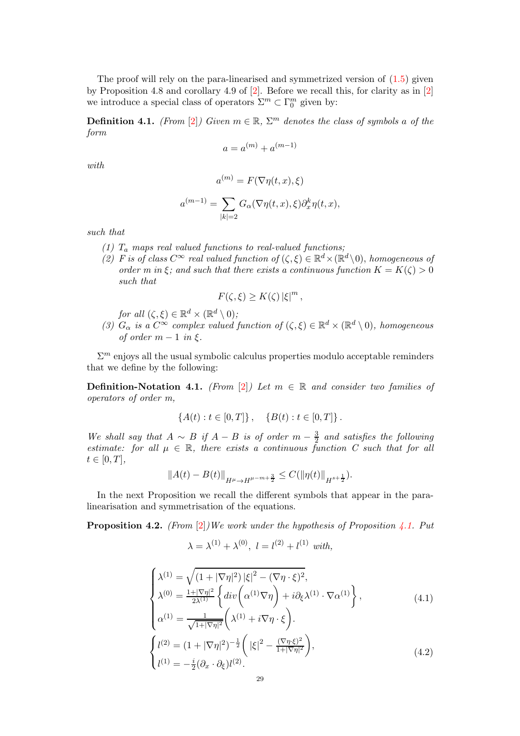The proof will rely on the para-linearised and symmetrized version of [\(1.5\)](#page-4-1) given by Proposition 4.8 and corollary 4.9 of [\[2\]](#page-43-1). Before we recall this, for clarity as in [\[2\]](#page-43-1) we introduce a special class of operators  $\Sigma^m \subset \Gamma_0^m$  given by:

**Definition 4.1.** (From [\[2\]](#page-43-1)) Given  $m \in \mathbb{R}$ ,  $\Sigma^m$  denotes the class of symbols a of the form

$$
a = a^{(m)} + a^{(m-1)}
$$

with

$$
a^{(m)} = F(\nabla \eta(t, x), \xi)
$$

$$
a^{(m-1)} = \sum_{|k|=2} G_{\alpha}(\nabla \eta(t, x), \xi) \partial_x^k \eta(t, x),
$$

such that

- (1)  $T_a$  maps real valued functions to real-valued functions;
- (2) F is of class  $C^{\infty}$  real valued function of  $(\zeta, \xi) \in \mathbb{R}^d \times (\mathbb{R}^d \setminus 0)$ , homogeneous of order m in  $\xi$ ; and such that there exists a continuous function  $K = K(\zeta) > 0$ such that

$$
F(\zeta,\xi) \geq K(\zeta) |\xi|^m,
$$

for all 
$$
(\zeta, \xi) \in \mathbb{R}^d \times (\mathbb{R}^d \setminus 0)
$$
;

(3)  $G_{\alpha}$  is a  $C^{\infty}$  complex valued function of  $(\zeta, \xi) \in \mathbb{R}^d \times (\mathbb{R}^d \setminus 0)$ , homogeneous of order  $m-1$  in  $\xi$ .

 $\Sigma^m$  enjoys all the usual symbolic calculus properties modulo acceptable reminders that we define by the following:

Definition-Notation 4.1. (From [\[2\]](#page-43-1)) Let  $m \in \mathbb{R}$  and consider two families of operators of order m,

$$
\{A(t) : t \in [0, T]\}, \{B(t) : t \in [0, T]\}.
$$

We shall say that  $A \sim B$  if  $A - B$  is of order  $m - \frac{3}{2}$  $\frac{3}{2}$  and satisfies the following estimate: for all  $\mu \in \mathbb{R}$ , there exists a continuous function C such that for all  $t \in [0, T],$ 

$$
||A(t) - B(t)||_{H^{\mu} \to H^{\mu - m + \frac{3}{2}}} \leq C(||\eta(t)||_{H^{s + \frac{1}{2}}}).
$$

In the next Proposition we recall the different symbols that appear in the paralinearisation and symmetrisation of the equations.

**Proposition 4.2.** (From [\[2\]](#page-43-1))We work under the hypothesis of Proposition [4.1.](#page-27-4) Put

$$
\lambda = \lambda^{(1)} + \lambda^{(0)}, \ l = l^{(2)} + l^{(1)} \ with,
$$

$$
\begin{cases}\n\lambda^{(1)} = \sqrt{(1+|\nabla \eta|^2)|\xi|^2 - (\nabla \eta \cdot \xi)^2}, \\
\lambda^{(0)} = \frac{1+|\nabla \eta|^2}{2\lambda^{(1)}} \left\{ \operatorname{div} \left( \alpha^{(1)} \nabla \eta \right) + i \partial_{\xi} \lambda^{(1)} \cdot \nabla \alpha^{(1)} \right\}, \\
\alpha^{(1)} = \frac{1}{\sqrt{1+|\nabla \eta|^2}} \left( \lambda^{(1)} + i \nabla \eta \cdot \xi \right).\n\end{cases} (4.1)
$$
\n
$$
\begin{cases}\nl^{(2)} = (1+|\nabla \eta|^2)^{-\frac{1}{2}} \left( |\xi|^2 - \frac{(\nabla \eta \cdot \xi)^2}{1+|\nabla \eta|^2} \right), \\
l^{(1)} = -\frac{i}{2} (\partial_x \cdot \partial_{\xi}) l^{(2)}.\n\end{cases}
$$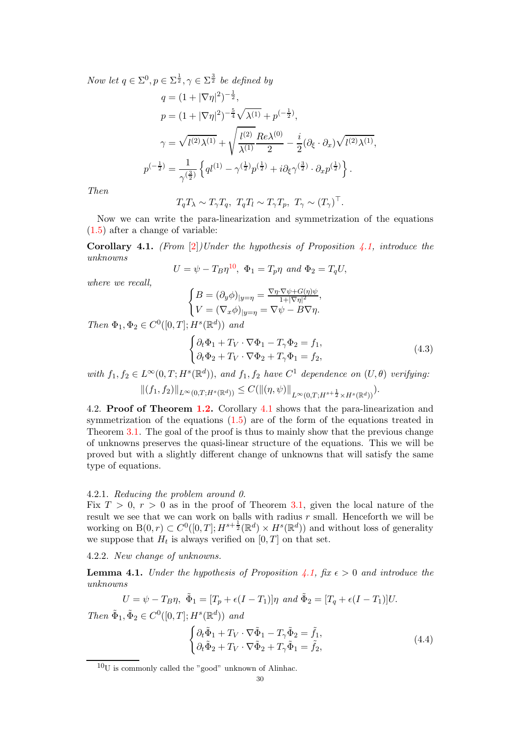Now let  $q \in \Sigma^0, p \in \Sigma^{\frac{1}{2}}, \gamma \in \Sigma^{\frac{3}{2}}$  be defined by

$$
q = (1 + |\nabla \eta|^2)^{-\frac{1}{2}},
$$
  
\n
$$
p = (1 + |\nabla \eta|^2)^{-\frac{5}{4}} \sqrt{\lambda^{(1)}} + p^{(-\frac{1}{2})},
$$
  
\n
$$
\gamma = \sqrt{l^{(2)}\lambda^{(1)}} + \sqrt{\frac{l^{(2)}}{\lambda^{(1)}}} \frac{Re\lambda^{(0)}}{2} - \frac{i}{2} (\partial_{\xi} \cdot \partial_x) \sqrt{l^{(2)}\lambda^{(1)}},
$$
  
\n
$$
p^{(-\frac{1}{2})} = \frac{1}{\gamma^{(\frac{3}{2})}} \left\{ q l^{(1)} - \gamma^{(\frac{1}{2})} p^{(\frac{1}{2})} + i \partial_{\xi} \gamma^{(\frac{3}{2})} \cdot \partial_x p^{(\frac{1}{2})} \right\}.
$$

Then

$$
T_q T_\lambda \sim T_\gamma T_q, T_q T_l \sim T_\gamma T_p, T_\gamma \sim (T_\gamma)^\top.
$$

Now we can write the para-linearization and symmetrization of the equations [\(1.5\)](#page-4-1) after a change of variable:

<span id="page-29-1"></span>**Corollary 4.1.** (From [\[2\]](#page-43-1))Under the hypothesis of Proposition [4.1,](#page-27-4) introduce the unknowns

$$
U = \psi - T_B \eta^{10}, \ \Phi_1 = T_p \eta \ and \ \Phi_2 = T_q U,
$$

where we recall,

$$
\begin{cases} B=(\partial_y\phi)_{|y=\eta}=\frac{\nabla \eta\cdot \nabla \psi+G(\eta)\psi}{1+|\nabla \eta|^2},\\ V=(\nabla_x\phi)_{|y=\eta}=\nabla \psi-B\nabla \eta. \end{cases}
$$

Then  $\Phi_1, \Phi_2 \in C^0([0, T]; H^s(\mathbb{R}^d))$  and

$$
\begin{cases} \partial_t \Phi_1 + T_V \cdot \nabla \Phi_1 - T_\gamma \Phi_2 = f_1, \\ \partial_t \Phi_2 + T_V \cdot \nabla \Phi_2 + T_\gamma \Phi_1 = f_2, \end{cases}
$$
\n(4.3)

with  $f_1, f_2 \in L^{\infty}(0,T; H^s(\mathbb{R}^d))$ , and  $f_1, f_2$  have  $C^1$  dependence on  $(U, \theta)$  verifying:  $||(f_1, f_2)||_{L^{\infty}(0,T;H^s(\mathbb{R}^d))} \leq C(||(\eta, \psi)||_{L^{\infty}(0,T;H^{s+\frac{1}{2}} \times H^s(\mathbb{R}^d))}).$ 

4.2. Proof of Theorem [1.2.](#page-5-0) Corollary [4.1](#page-29-1) shows that the para-linearization and symmetrization of the equations  $(1.5)$  are of the form of the equations treated in Theorem [3.1.](#page-17-1) The goal of the proof is thus to mainly show that the previous change of unknowns preserves the quasi-linear structure of the equations. This we will be proved but with a slightly different change of unknowns that will satisfy the same type of equations.

### 4.2.1. Reducing the problem around 0.

Fix  $T > 0$ ,  $r > 0$  as in the proof of Theorem [3.1,](#page-17-1) given the local nature of the result we see that we can work on balls with radius  $r$  small. Henceforth we will be working on  $B(0, r) \subset C^0([0, T]; H^{s + \frac{1}{2}}(\mathbb{R}^d) \times H^s(\mathbb{R}^d))$  and without loss of generality we suppose that  $H_t$  is always verified on  $[0, T]$  on that set.

4.2.2. New change of unknowns.

<span id="page-29-2"></span>**Lemma 4.1.** Under the hypothesis of Proposition [4.1,](#page-27-4) fix  $\epsilon > 0$  and introduce the unknowns

$$
U = \psi - T_B \eta, \ \tilde{\Phi}_1 = [T_p + \epsilon (I - T_1)] \eta \ and \ \tilde{\Phi}_2 = [T_q + \epsilon (I - T_1)] U.
$$

Then  $\tilde{\Phi}_1, \tilde{\Phi}_2 \in C^0([0,T]; H^s(\mathbb{R}^d))$  and

<span id="page-29-3"></span>
$$
\begin{cases} \partial_t \tilde{\Phi}_1 + T_V \cdot \nabla \tilde{\Phi}_1 - T_\gamma \tilde{\Phi}_2 = \tilde{f}_1, \\ \partial_t \tilde{\Phi}_2 + T_V \cdot \nabla \tilde{\Phi}_2 + T_\gamma \tilde{\Phi}_1 = \tilde{f}_2, \end{cases}
$$
(4.4)

<span id="page-29-0"></span> $10<sub>U</sub>$  is commonly called the "good" unknown of Alinhac.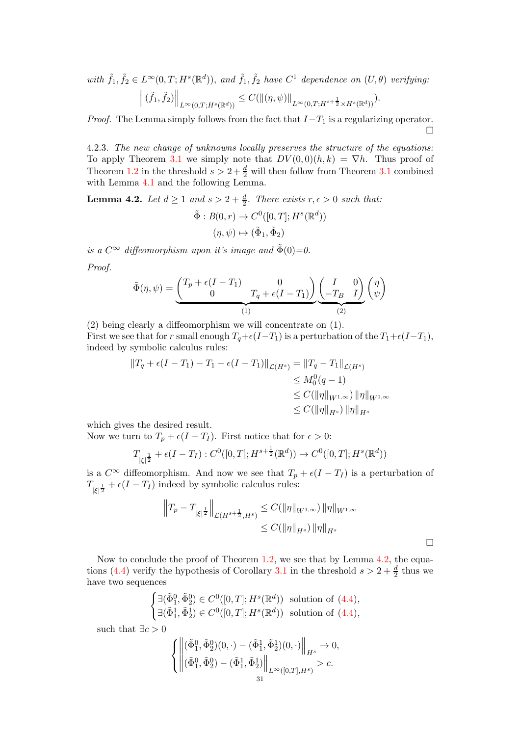with  $\tilde{f}_1, \tilde{f}_2 \in L^{\infty}(0,T; H^s(\mathbb{R}^d))$ , and  $\tilde{f}_1, \tilde{f}_2$  have  $C^1$  dependence on  $(U, \theta)$  verifying:  $\left\|(\tilde{f}_1,\tilde{f}_2)\right\|_{L^\infty(0,T;H^s(\mathbb{R}^d))}\leq C(\left\|(\eta,\psi)\right\|_{L^\infty(0,T;H^{s+\frac{1}{2}}\times H^s(\mathbb{R}^d))}).$ 

*Proof.* The Lemma simply follows from the fact that  $I-T_1$  is a regularizing operator. П

4.2.3. The new change of unknowns locally preserves the structure of the equations: To apply Theorem [3.1](#page-17-1) we simply note that  $DV(0,0)(h,k) = \nabla h$ . Thus proof of Theorem [1.2](#page-5-0) in the threshold  $s > 2 + \frac{d}{2}$  will then follow from Theorem [3.1](#page-17-1) combined with Lemma [4.1](#page-29-2) and the following Lemma.

<span id="page-30-0"></span>**Lemma 4.2.** Let  $d \geq 1$  and  $s > 2 + \frac{d}{2}$ . There exists  $r, \epsilon > 0$  such that:

$$
\tilde{\Phi}: B(0, r) \to C^0([0, T]; H^s(\mathbb{R}^d))
$$

$$
(\eta, \psi) \mapsto (\tilde{\Phi}_1, \tilde{\Phi}_2)
$$

is a  $C^{\infty}$  diffeomorphism upon it's image and  $\tilde{\Phi}(0) = 0$ . Proof.

$$
\tilde{\Phi}(\eta,\psi) = \underbrace{\begin{pmatrix} T_p + \epsilon(I - T_1) & 0 \\ 0 & T_q + \epsilon(I - T_1) \end{pmatrix}}_{(1)} \underbrace{\begin{pmatrix} I & 0 \\ -T_B & I \end{pmatrix}}_{(2)} \begin{pmatrix} \eta \\ \psi \end{pmatrix}
$$

(2) being clearly a diffeomorphism we will concentrate on (1). First we see that for r small enough  $T_q+\epsilon(I-T_1)$  is a perturbation of the  $T_1+\epsilon(I-T_1)$ , indeed by symbolic calculus rules:

$$
||T_q + \epsilon (I - T_1) - T_1 - \epsilon (I - T_1)||_{\mathcal{L}(H^s)} = ||T_q - T_1||_{\mathcal{L}(H^s)}
$$
  
\n
$$
\leq M_0^0 (q - 1)
$$
  
\n
$$
\leq C(||\eta||_{W^{1,\infty}}) ||\eta||_{W^{1,\infty}}
$$
  
\n
$$
\leq C(||\eta||_{H^s}) ||\eta||_{H^s}
$$

which gives the desired result.

Now we turn to  $T_p + \epsilon (I - T_I)$ . First notice that for  $\epsilon > 0$ :

$$
T_{|\xi|^{\frac{1}{2}}} + \epsilon(I - T_I) : C^0([0, T]; H^{s + \frac{1}{2}}(\mathbb{R}^d)) \to C^0([0, T]; H^s(\mathbb{R}^d))
$$

is a  $C^{\infty}$  diffeomorphism. And now we see that  $T_p + \epsilon (I - T_I)$  is a perturbation of  $T_{|\xi|^{\frac{1}{2}}} + \epsilon(I - T_I)$  indeed by symbolic calculus rules:

$$
\|T_p - T_{|\xi|^{\frac{1}{2}}}\|_{\mathcal{L}(H^{s+\frac{1}{2}}, H^s)} \leq C(\|\eta\|_{W^{1,\infty}}) \|\eta\|_{W^{1,\infty}}
$$
  

$$
\leq C(\|\eta\|_{H^s}) \|\eta\|_{H^s}
$$

Now to conclude the proof of Theorem [1.2,](#page-5-0) we see that by Lemma [4.2,](#page-30-0) the equa-tions [\(4.4\)](#page-29-3) verify the hypothesis of Corollary [3.1](#page-18-3) in the threshold  $s > 2 + \frac{d}{2}$  thus we have two sequences

$$
\begin{cases} \exists (\tilde{\Phi}_1^0, \tilde{\Phi}_2^0) \in C^0([0, T]; H^s(\mathbb{R}^d)) \text{ solution of (4.4)},\\ \exists (\tilde{\Phi}_1^1, \tilde{\Phi}_2^1) \in C^0([0, T]; H^s(\mathbb{R}^d)) \text{ solution of (4.4)}, \end{cases}
$$

such that  $\exists c > 0$ 

$$
\left\{\begin{aligned} &\left\|(\tilde{\Phi}_1^0,\tilde{\Phi}_2^0)(0,\cdot)-(\tilde{\Phi}_1^1,\tilde{\Phi}_2^1)(0,\cdot)\right\|_{H^s}\to 0,\\ &(\tilde{\Phi}_1^0,\tilde{\Phi}_2^0)-(\tilde{\Phi}_1^1,\tilde{\Phi}_2^1)\right\|_{L^\infty([0,T],H^s)}>c. \end{aligned}\right.
$$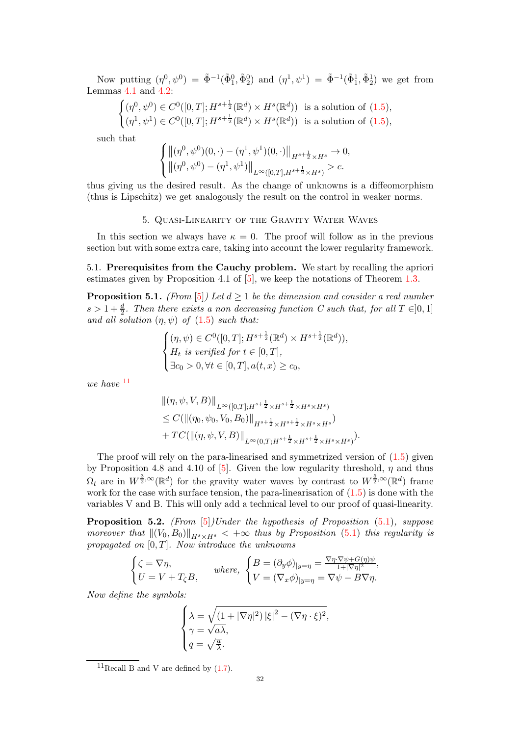Now putting  $(\eta^0, \psi^0) = \tilde{\Phi}^{-1}(\tilde{\Phi}_1^0, \tilde{\Phi}_2^0)$  and  $(\eta^1, \psi^1) = \tilde{\Phi}^{-1}(\tilde{\Phi}_1^1, \tilde{\Phi}_2^1)$  we get from Lemmas [4.1](#page-29-2) and [4.2:](#page-30-0)

$$
\begin{cases} (\eta^0, \psi^0) \in C^0([0, T]; H^{s + \frac{1}{2}}(\mathbb{R}^d) \times H^s(\mathbb{R}^d)) & \text{is a solution of (1.5)},\\ (\eta^1, \psi^1) \in C^0([0, T]; H^{s + \frac{1}{2}}(\mathbb{R}^d) \times H^s(\mathbb{R}^d)) & \text{is a solution of (1.5)}, \end{cases}
$$

such that

$$
\begin{cases} \left\|(\eta^0,\psi^0)(0,\cdot)-(\eta^1,\psi^1)(0,\cdot)\right\|_{H^{s+\frac{1}{2}}\times H^s}\to 0,\\ \left\|(\eta^0,\psi^0)-(\eta^1,\psi^1)\right\|_{L^\infty([0,T],H^{s+\frac{1}{2}}\times H^s)} > c. \end{cases}
$$

<span id="page-31-0"></span>thus giving us the desired result. As the change of unknowns is a diffeomorphism (thus is Lipschitz) we get analogously the result on the control in weaker norms.

### 5. Quasi-Linearity of the Gravity Water Waves

In this section we always have  $\kappa = 0$ . The proof will follow as in the previous section but with some extra care, taking into account the lower regularity framework.

5.1. Prerequisites from the Cauchy problem. We start by recalling the apriori estimates given by Proposition 4.1 of  $[5]$ , we keep the notations of Theorem [1.3.](#page-6-1)

<span id="page-31-2"></span>**Proposition 5.1.** (From [\[5\]](#page-44-7)) Let  $d \ge 1$  be the dimension and consider a real number  $s > 1 + \frac{d}{2}$ . Then there exists a non decreasing function C such that, for all  $T \in ]0,1]$ and all solution  $(\eta, \psi)$  of  $(1.5)$  such that:

$$
\begin{cases} (\eta,\psi)\in C^0([0,T];H^{s+\frac{1}{2}}(\mathbb{R}^d)\times H^{s+\frac{1}{2}}(\mathbb{R}^d)),\\ H_t \text{ is verified for } t\in[0,T],\\ \exists c_0>0, \forall t\in[0,T], a(t,x)\geq c_0,\end{cases}
$$

we have  $11$ 

$$
\begin{split} &\|(\eta,\psi,V,B)\|_{L^{\infty}([0,T];H^{s+\frac{1}{2}}\times H^{s+\frac{1}{2}}\times H^{s}\times H^{s})} \\ &\leq C(\|(\eta_0,\psi_0,V_0,B_0)\|_{H^{s+\frac{1}{2}}\times H^{s+\frac{1}{2}}\times H^{s}\times H^{s})} \\ &+TC(\|(\eta,\psi,V,B)\|_{L^{\infty}(0,T;H^{s+\frac{1}{2}}\times H^{s+\frac{1}{2}}\times H^{s}\times H^{s})}). \end{split}
$$

The proof will rely on the para-linearised and symmetrized version of [\(1.5\)](#page-4-1) given by Proposition 4.8 and 4.10 of [\[5\]](#page-44-7). Given the low regularity threshold,  $\eta$  and thus  $\Omega_t$  are in  $W^{\frac{3}{2},\infty}(\mathbb{R}^d)$  for the gravity water waves by contrast to  $W^{\frac{5}{2},\infty}(\mathbb{R}^d)$  frame work for the case with surface tension, the para-linearisation of  $(1.5)$  is done with the variables V and B. This will only add a technical level to our proof of quasi-linearity.

<span id="page-31-3"></span>**Proposition 5.2.** (From  $[5]$ )Under the hypothesis of Proposition  $(5.1)$ , suppose moreover that  $\|(V_0, B_0)\|_{H^s \times H^s} < +\infty$  thus by Proposition [\(5.1\)](#page-31-2) this regularity is propagated on  $[0, T]$ . Now introduce the unknowns

$$
\begin{cases} \zeta = \nabla \eta, \\ U = V + T_{\zeta} B, \end{cases} \quad where, \ \begin{cases} B = (\partial_y \phi)_{|y=\eta} = \frac{\nabla \eta \cdot \nabla \psi + G(\eta) \psi}{1 + |\nabla \eta|^2}, \\ V = (\nabla_x \phi)_{|y=\eta} = \nabla \psi - B \nabla \eta. \end{cases}
$$

Now define the symbols:

$$
\begin{cases} \lambda = \sqrt{\left(1+|\nabla \eta|^2\right)|\xi|^2 - (\nabla \eta \cdot \xi)^2}, \\ \gamma = \sqrt{a\lambda}, \\ q = \sqrt{\frac{a}{\lambda}}. \end{cases}
$$

<span id="page-31-1"></span><sup>&</sup>lt;sup>11</sup>Recall B and V are defined by  $(1.7)$ .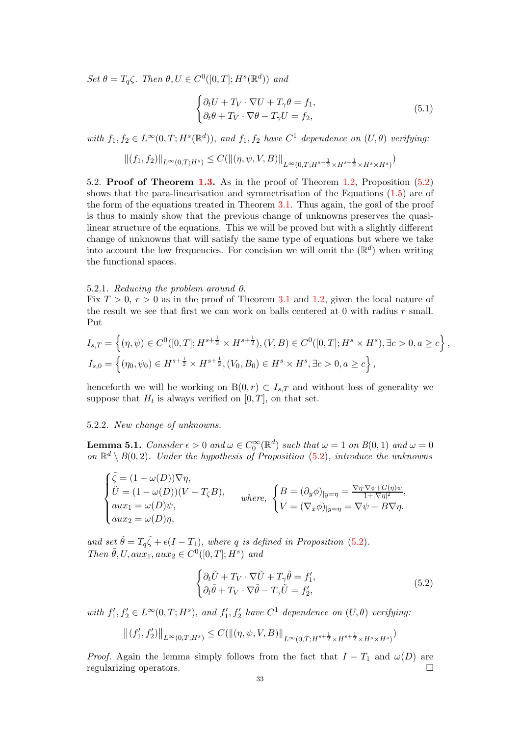Set  $\theta = T_q \zeta$ . Then  $\theta, U \in C^0([0, T]; H^s(\mathbb{R}^d))$  and

$$
\begin{cases} \partial_t U + T_V \cdot \nabla U + T_\gamma \theta = f_1, \\ \partial_t \theta + T_V \cdot \nabla \theta - T_\gamma U = f_2, \end{cases}
$$
 (5.1)

with  $f_1, f_2 \in L^{\infty}(0,T; H^s(\mathbb{R}^d))$ , and  $f_1, f_2$  have  $C^1$  dependence on  $(U, \theta)$  verifying:

$$
||(f_1, f_2)||_{L^{\infty}(0,T;H^s)} \leq C(||(\eta, \psi, V, B)||_{L^{\infty}(0,T;H^{s+\frac{1}{2}} \times H^{s+\frac{1}{2}} \times H^s \times H^s)})
$$

5.2. Proof of Theorem [1.3.](#page-6-1) As in the proof of Theorem [1.2,](#page-5-0) Proposition [\(5.2\)](#page-31-3) shows that the para-linearisation and symmetrisation of the Equations [\(1.5\)](#page-4-1) are of the form of the equations treated in Theorem [3.1.](#page-17-1) Thus again, the goal of the proof is thus to mainly show that the previous change of unknowns preserves the quasilinear structure of the equations. This we will be proved but with a slightly different change of unknowns that will satisfy the same type of equations but where we take into account the low frequencies. For concision we will omit the  $(\mathbb{R}^d)$  when writing the functional spaces.

#### 5.2.1. Reducing the problem around 0.

Fix  $T > 0$ ,  $r > 0$  as in the proof of Theorem [3.1](#page-17-1) and [1.2,](#page-5-0) given the local nature of the result we see that first we can work on balls centered at 0 with radius r small. Put

$$
I_{s,T} = \left\{ (\eta, \psi) \in C^0([0,T]; H^{s + \frac{1}{2}} \times H^{s + \frac{1}{2}}), (V, B) \in C^0([0,T]; H^s \times H^s), \exists c > 0, a \ge c \right\},
$$
  

$$
I_{s,0} = \left\{ (\eta_0, \psi_0) \in H^{s + \frac{1}{2}} \times H^{s + \frac{1}{2}}, (V_0, B_0) \in H^s \times H^s, \exists c > 0, a \ge c \right\},
$$

henceforth we will be working on  $B(0, r) \subset I_{s,T}$  and without loss of generality we suppose that  $H_t$  is always verified on  $[0, T]$ , on that set.

## 5.2.2. New change of unknowns.

**Lemma 5.1.** Consider  $\epsilon > 0$  and  $\omega \in C_0^{\infty}(\mathbb{R}^d)$  such that  $\omega = 1$  on  $B(0, 1)$  and  $\omega = 0$ on  $\mathbb{R}^d \setminus B(0,2)$ . Under the hypothesis of Proposition [\(5.2\)](#page-31-3), introduce the unknowns

$$
\begin{cases} \tilde{\zeta} = (1 - \omega(D))\nabla \eta, \\ \tilde{U} = (1 - \omega(D))(V + T_{\zeta}B), \\ aux_1 = \omega(D)\psi, \\ aux_2 = \omega(D)\eta, \end{cases} where, \ \begin{cases} B = (\partial_y \phi)_{|y=\eta} = \frac{\nabla \eta \cdot \nabla \psi + G(\eta)\psi}{1 + |\nabla \eta|^2}, \\ V = (\nabla_x \phi)_{|y=\eta} = \nabla \psi - B \nabla \eta. \end{cases}
$$

and set  $\tilde{\theta} = T_q \tilde{\zeta} + \epsilon (I - T_1)$ , where q is defined in Proposition [\(5.2\)](#page-31-3). Then  $\tilde{\theta}$ , U, aux<sub>1</sub>, aux<sub>2</sub>  $\in C^0([0,T];H^s)$  and

$$
\begin{cases} \partial_t \tilde{U} + T_V \cdot \nabla \tilde{U} + T_\gamma \tilde{\theta} = f_1', \\ \partial_t \tilde{\theta} + T_V \cdot \nabla \tilde{\theta} - T_\gamma \tilde{U} = f_2', \end{cases}
$$
 (5.2)

with  $f'_1, f'_2 \in L^{\infty}(0,T; H^s)$ , and  $f'_1, f'_2$  have  $C^1$  dependence on  $(U, \theta)$  verifying:

$$
||(f'_1, f'_2)||_{L^{\infty}(0,T;H^s)} \leq C(||(\eta, \psi, V, B)||_{L^{\infty}(0,T;H^{s+\frac{1}{2}} \times H^{s+\frac{1}{2}} \times H^s \times H^s)})
$$

*Proof.* Again the lemma simply follows from the fact that  $I - T_1$  and  $\omega(D)$  are regularizing operators regularizing operators.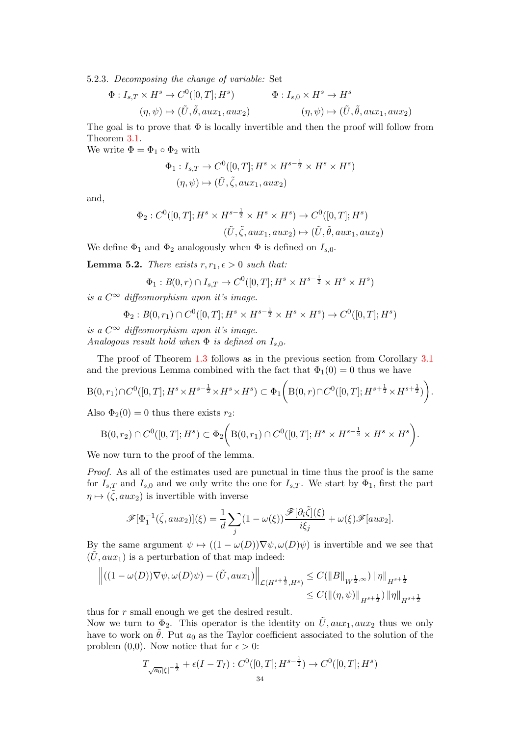5.2.3. Decomposing the change of variable: Set

$$
\Phi: I_{s,T} \times H^s \to C^0([0,T];H^s) \qquad \Phi: I_{s,0} \times H^s \to H^s
$$
  

$$
(\eta,\psi) \mapsto (\tilde{U},\tilde{\theta},aux_1,aux_2) \qquad (\eta,\psi) \mapsto (\tilde{U},\tilde{\theta},aux_1,aux_2)
$$

The goal is to prove that  $\Phi$  is locally invertible and then the proof will follow from Theorem [3.1.](#page-17-1)

We write  $\Phi = \Phi_1 \circ \Phi_2$  with

$$
\Phi_1: I_{s,T} \to C^0([0,T]; H^s \times H^{s-\frac{1}{2}} \times H^s \times H^s)
$$
  

$$
(\eta, \psi) \mapsto (\tilde{U}, \tilde{\zeta}, aux_1, aux_2)
$$

and,

$$
\Phi_2: C^0([0,T]; H^s \times H^{s-\frac{1}{2}} \times H^s \times H^s) \to C^0([0,T]; H^s)
$$
  

$$
(\tilde{U}, \tilde{\zeta}, aux_1, aux_2) \mapsto (\tilde{U}, \tilde{\theta}, aux_1, aux_2)
$$

We define  $\Phi_1$  and  $\Phi_2$  analogously when  $\Phi$  is defined on  $I_{s,0}$ .

**Lemma 5.2.** There exists  $r, r_1, \epsilon > 0$  such that:

$$
\Phi_1 : B(0,r) \cap I_{s,T} \to C^0([0,T]; H^s \times H^{s-\frac{1}{2}} \times H^s \times H^s)
$$

is a  $C^{\infty}$  diffeomorphism upon it's image.

$$
\Phi_2: B(0,r_1) \cap C^0([0,T]; H^s \times H^{s-\frac{1}{2}} \times H^s \times H^s) \to C^0([0,T]; H^s)
$$

is a  $C^{\infty}$  diffeomorphism upon it's image. Analogous result hold when  $\Phi$  is defined on  $I_{s,0}$ .

The proof of Theorem [1.3](#page-6-1) follows as in the previous section from Corollary [3.1](#page-18-3) and the previous Lemma combined with the fact that  $\Phi_1(0) = 0$  thus we have

$$
\mathcal{B}(0,r_1) \cap C^0([0,T];H^s \times H^{s-\frac{1}{2}} \times H^s \times H^s) \subset \Phi_1 \bigg( \mathcal{B}(0,r) \cap C^0([0,T];H^{s+\frac{1}{2}} \times H^{s+\frac{1}{2}}) \bigg).
$$

Also  $\Phi_2(0) = 0$  thus there exists  $r_2$ :

$$
B(0,r_2) \cap C^0([0,T];H^s) \subset \Phi_2\bigg( B(0,r_1) \cap C^0([0,T];H^s \times H^{s-\frac{1}{2}} \times H^s \times H^s \bigg).
$$

We now turn to the proof of the lemma.

Proof. As all of the estimates used are punctual in time thus the proof is the same for  $I_{s,T}$  and  $I_{s,0}$  and we only write the one for  $I_{s,T}$ . We start by  $\Phi_1$ , first the part  $\eta \mapsto (\tilde{\zeta}, aux_2)$  is invertible with inverse

$$
\mathscr{F}[\Phi_1^{-1}(\tilde{\zeta}, aux_2)](\xi) = \frac{1}{d} \sum_j (1 - \omega(\xi)) \frac{\mathscr{F}[\partial_i \tilde{\zeta}](\xi)}{i\xi_j} + \omega(\xi) \mathscr{F}[aux_2].
$$

By the same argument  $\psi \mapsto ((1 - \omega(D))\nabla \psi, \omega(D)\psi)$  is invertible and we see that  $(\tilde{U}, aux_1)$  is a perturbation of that map indeed:

$$
\left\| \left( (1 - \omega(D)) \nabla \psi, \omega(D)\psi \right) - (\tilde{U}, aux_1) \right\|_{\mathcal{L}(H^{s + \frac{1}{2}}, H^s)} \leq C(\|B\|_{W^{\frac{1}{2}, \infty}}) \|\eta\|_{H^{s + \frac{1}{2}}} \leq C(\|(\eta, \psi)\|_{H^{s + \frac{1}{2}}}) \|\eta\|_{H^{s + \frac{1}{2}}}
$$

thus for r small enough we get the desired result.

Now we turn to  $\Phi_2$ . This operator is the identity on  $\tilde{U}$ ,  $aux_1, aux_2$  thus we only have to work on  $\hat{\theta}$ . Put  $a_0$  as the Taylor coefficient associated to the solution of the problem (0,0). Now notice that for  $\epsilon > 0$ :

$$
T_{\sqrt{a_0}|\xi|^{-\frac{1}{2}}} + \epsilon(I - T_I) : C^0([0, T]; H^{s - \frac{1}{2}}) \to C^0([0, T]; H^s)
$$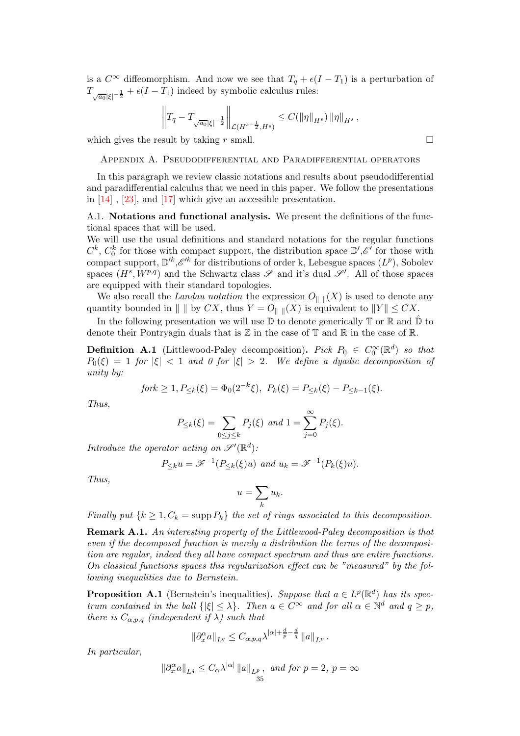is a  $C^{\infty}$  diffeomorphism. And now we see that  $T_q + \epsilon (I - T_1)$  is a perturbation of  $T_{\sqrt{a_0}|\xi|^{-\frac{1}{2}}} + \epsilon(I - T_1)$  indeed by symbolic calculus rules:

$$
\left\|T_q-T_{\sqrt{a_0}|\xi|^{-\frac{1}{2}}}\right\|_{\mathcal{L}(H^{s-\frac{1}{2}},H^s)}\leq C(\|\eta\|_{H^s})\|\eta\|_{H^s},
$$

<span id="page-34-0"></span>which gives the result by taking r small.  $\square$ 

### Appendix A. Pseudodifferential and Paradifferential operators

In this paragraph we review classic notations and results about pseudodifferential and paradifferential calculus that we need in this paper. We follow the presentations in [\[14\]](#page-44-12) , [\[23\]](#page-44-13), and [\[17\]](#page-44-14) which give an accessible presentation.

<span id="page-34-1"></span>A.1. Notations and functional analysis. We present the definitions of the functional spaces that will be used.

We will use the usual definitions and standard notations for the regular functions  $C^k$ ,  $C_0^k$  for those with compact support, the distribution space  $\mathbb{D}', \mathscr{E}'$  for those with compact support,  $\mathbb{D}^k$ ,  $\mathscr{E}^{\prime k}$  for distributions of order k, Lebesgue spaces  $(L^p)$ , Sobolev spaces  $(H^s, W^{p,q})$  and the Schwartz class  $\mathscr S$  and it's dual  $\mathscr S'$ . All of those spaces are equipped with their standard topologies.

We also recall the Landau notation the expression  $O_{\|\cdot\|}(X)$  is used to denote any quantity bounded in  $\| \parallel$  by  $CX$ , thus  $Y = O_{\| \parallel}(X)$  is equivalent to  $\|Y\| \leq CX$ .

In the following presentation we will use  $\mathbb D$  to denote generically  $\mathbb T$  or  $\mathbb R$  and  $\hat{\mathbb D}$  to denote their Pontryagin duals that is  $\mathbb Z$  in the case of  $\mathbb T$  and  $\mathbb R$  in the case of  $\mathbb R$ .

**Definition A.1** (Littlewood-Paley decomposition). Pick  $P_0 \in C_0^{\infty}(\mathbb{R}^d)$  so that  $P_0(\xi) = 1$  for  $|\xi| < 1$  and 0 for  $|\xi| > 2$ . We define a dyadic decomposition of unity by:

$$
fork \ge 1, P_{\le k}(\xi) = \Phi_0(2^{-k}\xi), \ P_k(\xi) = P_{\le k}(\xi) - P_{\le k-1}(\xi).
$$

Thus,

$$
P_{\leq k}(\xi) = \sum_{0 \leq j \leq k} P_j(\xi) \text{ and } 1 = \sum_{j=0}^{\infty} P_j(\xi).
$$

Introduce the operator acting on  $\mathscr{S}'(\mathbb{R}^d)$ :

$$
P_{\leq k}u = \mathscr{F}^{-1}(P_{\leq k}(\xi)u) \text{ and } u_k = \mathscr{F}^{-1}(P_k(\xi)u).
$$

Thus,

$$
u = \sum_{k} u_k.
$$

Finally put  $\{k \geq 1, C_k = \text{supp } P_k\}$  the set of rings associated to this decomposition.

Remark A.1. An interesting property of the Littlewood-Paley decomposition is that even if the decomposed function is merely a distribution the terms of the decomposition are regular, indeed they all have compact spectrum and thus are entire functions. On classical functions spaces this regularization effect can be "measured" by the following inequalities due to Bernstein.

**Proposition A.1** (Bernstein's inequalities). Suppose that  $a \in L^p(\mathbb{R}^d)$  has its spectrum contained in the ball  $\{|\xi| \leq \lambda\}$ . Then  $a \in C^{\infty}$  and for all  $\alpha \in \mathbb{N}^d$  and  $q \geq p$ , there is  $C_{\alpha,p,q}$  (independent if  $\lambda$ ) such that

$$
\|\partial_x^{\alpha}a\|_{L^q}\leq C_{\alpha,p,q}\lambda^{|\alpha|+\frac{d}{p}-\frac{d}{q}}\|a\|_{L^p}.
$$

In particular,

$$
\|\partial_x^{\alpha}a\|_{L^q} \le C_{\alpha}\lambda^{|\alpha|}\|a\|_{L^p}, \text{ and for } p=2, p=\infty
$$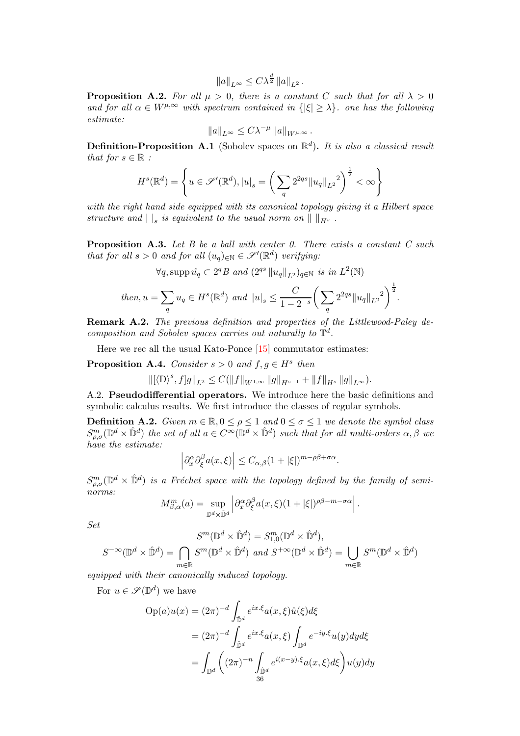$$
||a||_{L^{\infty}} \leq C\lambda^{\frac{d}{2}} ||a||_{L^{2}}.
$$

**Proposition A.2.** For all  $\mu > 0$ , there is a constant C such that for all  $\lambda > 0$ and for all  $\alpha \in W^{\mu,\infty}$  with spectrum contained in  $\{|\xi| \geq \lambda\}$ . one has the following estimate:

$$
||a||_{L^{\infty}} \leq C \lambda^{-\mu} ||a||_{W^{\mu,\infty}}.
$$

**Definition-Proposition A.1** (Sobolev spaces on  $\mathbb{R}^d$ ). It is also a classical result that for  $s \in \mathbb{R}$ :

$$
H^{s}(\mathbb{R}^{d}) = \left\{ u \in \mathscr{S}'(\mathbb{R}^{d}), |u|_{s} = \left( \sum_{q} 2^{2qs} ||u_{q}||_{L^{2}}^{2} \right)^{\frac{1}{2}} < \infty \right\}
$$

with the right hand side equipped with its canonical topology giving it a Hilbert space structure and  $||$ <sub>s</sub> is equivalent to the usual norm on  $||$   $||_{H^{s}}$ .

**Proposition A.3.** Let B be a ball with center 0. There exists a constant C such that for all  $s > 0$  and for all  $(u_q)_{\in \mathbb{N}} \in \mathscr{S}'(\mathbb{R}^d)$  verifying:

$$
\forall q, \text{supp}\,\hat{u_q} \subset 2^q B \text{ and } (2^{qs} \, \|u_q\|_{L^2})_{q \in \mathbb{N}} \text{ is in } L^2(\mathbb{N})
$$
  
then,  $u = \sum_q u_q \in H^s(\mathbb{R}^d)$  and  $|u|_s \le \frac{C}{1 - 2^{-s}} \left(\sum_q 2^{2qs} \|u_q\|_{L^2}\right)^{\frac{1}{2}}.$ 

Remark A.2. The previous definition and properties of the Littlewood-Paley decomposition and Sobolev spaces carries out naturally to  $\mathbb{T}^d$ .

Here we rec all the usual Kato-Ponce [\[15\]](#page-44-15) commutator estimates:

<span id="page-35-1"></span>**Proposition A.4.** Consider  $s > 0$  and  $f, g \in H^s$  then

$$
\|[\langle \mathbf{D} \rangle^s,f]g\|_{L^2}\leq C(\|f\|_{W^{1,\infty}}\|g\|_{H^{s-1}}+\|f\|_{H^s}\,\|g\|_{L^\infty}).
$$

A.2. Pseudodifferential operators. We introduce here the basic definitions and symbolic calculus results. We first introduce the classes of regular symbols.

<span id="page-35-0"></span>**Definition A.2.** Given  $m \in \mathbb{R}, 0 \leq \rho \leq 1$  and  $0 \leq \sigma \leq 1$  we denote the symbol class  $S^m_{\rho,\sigma}(\mathbb{D}^d\times\hat{\mathbb{D}}^d)$  the set of all  $a\in C^{\infty}(\mathbb{D}^d\times\hat{\mathbb{D}}^d)$  such that for all multi-orders  $\alpha,\beta$  we have the estimate:

$$
\left|\partial_x^{\alpha}\partial_{\xi}^{\beta}a(x,\xi)\right| \leq C_{\alpha,\beta}(1+|\xi|)^{m-\rho\beta+\sigma\alpha}.
$$

 $S^m_{\rho,\sigma}(\mathbb{D}^d\times\hat{\mathbb{D}}^d)$  is a Fréchet space with the topology defined by the family of seminorms:

$$
M_{\beta,\alpha}^m(a) = \sup_{\mathbb{D}^d \times \hat{\mathbb{D}}^d} \left| \partial_x^{\alpha} \partial_{\xi}^{\beta} a(x,\xi)(1+|\xi|)^{\rho\beta - m - \sigma\alpha} \right|.
$$

Set

$$
S^{m}(\mathbb{D}^{d} \times \hat{\mathbb{D}}^{d}) = S^{m}_{1,0}(\mathbb{D}^{d} \times \hat{\mathbb{D}}^{d}),
$$
  

$$
S^{-\infty}(\mathbb{D}^{d} \times \hat{\mathbb{D}}^{d}) = \bigcap_{m \in \mathbb{R}} S^{m}(\mathbb{D}^{d} \times \hat{\mathbb{D}}^{d}) \text{ and } S^{+\infty}(\mathbb{D}^{d} \times \hat{\mathbb{D}}^{d}) = \bigcup_{m \in \mathbb{R}} S^{m}(\mathbb{D}^{d} \times \hat{\mathbb{D}}^{d})
$$

equipped with their canonically induced topology.

For  $u \in \mathscr{S}(\mathbb{D}^d)$  we have

$$
Op(a)u(x) = (2\pi)^{-d} \int_{\hat{\mathbb{D}}^d} e^{ix.\xi} a(x,\xi) \hat{u}(\xi) d\xi
$$
  

$$
= (2\pi)^{-d} \int_{\hat{\mathbb{D}}^d} e^{ix.\xi} a(x,\xi) \int_{\mathbb{D}^d} e^{-iy.\xi} u(y) dy d\xi
$$
  

$$
= \int_{\mathbb{D}^d} \left( (2\pi)^{-n} \int_{\hat{\mathbb{D}}^d} e^{i(x-y).\xi} a(x,\xi) d\xi \right) u(y) dy
$$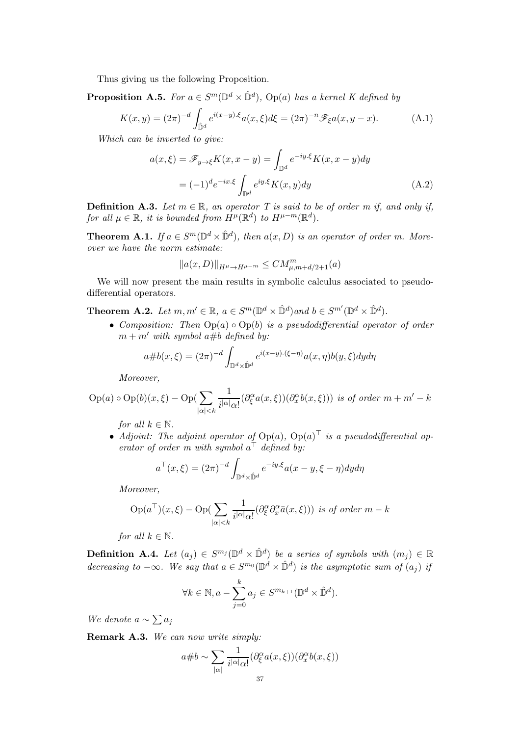Thus giving us the following Proposition.

**Proposition A.5.** For  $a \in S^m(\mathbb{D}^d \times \hat{\mathbb{D}}^d)$ , Op(a) has a kernel K defined by

$$
K(x,y) = (2\pi)^{-d} \int_{\hat{\mathbb{D}}^d} e^{i(x-y)\cdot\xi} a(x,\xi) d\xi = (2\pi)^{-n} \mathscr{F}_{\xi} a(x,y-x). \tag{A.1}
$$

Which can be inverted to give:

$$
a(x,\xi) = \mathscr{F}_{y \to \xi} K(x, x - y) = \int_{\mathbb{D}^d} e^{-iy.\xi} K(x, x - y) dy
$$

$$
= (-1)^d e^{-ix.\xi} \int_{\mathbb{D}^d} e^{iy.\xi} K(x, y) dy \tag{A.2}
$$

**Definition A.3.** Let  $m \in \mathbb{R}$ , an operator T is said to be of order m if, and only if, for all  $\mu \in \mathbb{R}$ , it is bounded from  $H^{\mu}(\mathbb{R}^d)$  to  $H^{\mu-m}(\mathbb{R}^d)$ .

**Theorem A.1.** If  $a \in S^m(\mathbb{D}^d \times \hat{\mathbb{D}}^d)$ , then  $a(x, D)$  is an operator of order m. Moreover we have the norm estimate:

$$
||a(x,D)||_{H^{\mu}\to H^{\mu-m}} \leq CM^{m}_{\mu,m+d/2+1}(a)
$$

We will now present the main results in symbolic calculus associated to pseudodifferential operators.

**Theorem A.2.** Let  $m, m' \in \mathbb{R}$ ,  $a \in S^m(\mathbb{D}^d \times \hat{\mathbb{D}}^d)$  and  $b \in S^{m'}(\mathbb{D}^d \times \hat{\mathbb{D}}^d)$ .

• Composition: Then  $Op(a) \circ Op(b)$  is a pseudodifferential operator of order  $m + m'$  with symbol  $a \# b$  defined by:

$$
a \# b(x,\xi) = (2\pi)^{-d} \int_{\mathbb{D}^d \times \hat{\mathbb{D}}^d} e^{i(x-y)\cdot(\xi-\eta)} a(x,\eta) b(y,\xi) dy d\eta
$$

Moreover,

$$
Op(a) \circ Op(b)(x,\xi) - Op(\sum_{|\alpha|
$$

for all  $k \in \mathbb{N}$ .

• Adjoint: The adjoint operator of  $\text{Op}(a)$ ,  $\text{Op}(a)$  is a pseudodifferential operator of order m with symbol  $a^{\dagger}$  defined by:

$$
a^{\top}(x,\xi) = (2\pi)^{-d} \int_{\mathbb{D}^d \times \hat{\mathbb{D}}^d} e^{-iy.\xi} a(x - y, \xi - \eta) dy d\eta
$$

Moreover,

$$
Op(a^{\top})(x,\xi) - Op(\sum_{|\alpha|
$$

for all  $k \in \mathbb{N}$ .

**Definition A.4.** Let  $(a_j) \in S^{m_j}(\mathbb{D}^d \times \mathbb{D}^d)$  be a series of symbols with  $(m_j) \in \mathbb{R}$ decreasing to  $-\infty$ . We say that  $a \in S^{m_0}(\mathbb{D}^d \times \hat{\mathbb{D}}^d)$  is the asymptotic sum of  $(a_j)$  if

$$
\forall k \in \mathbb{N}, a - \sum_{j=0}^{k} a_j \in S^{m_{k+1}}(\mathbb{D}^d \times \hat{\mathbb{D}}^d).
$$

We denote  $a \sim \sum a_j$ 

Remark A.3. We can now write simply:

$$
a \# b \sim \sum_{|\alpha|} \frac{1}{i^{|\alpha|} \alpha!} (\partial_{\xi}^{\alpha} a(x, \xi)) (\partial_x^{\alpha} b(x, \xi))
$$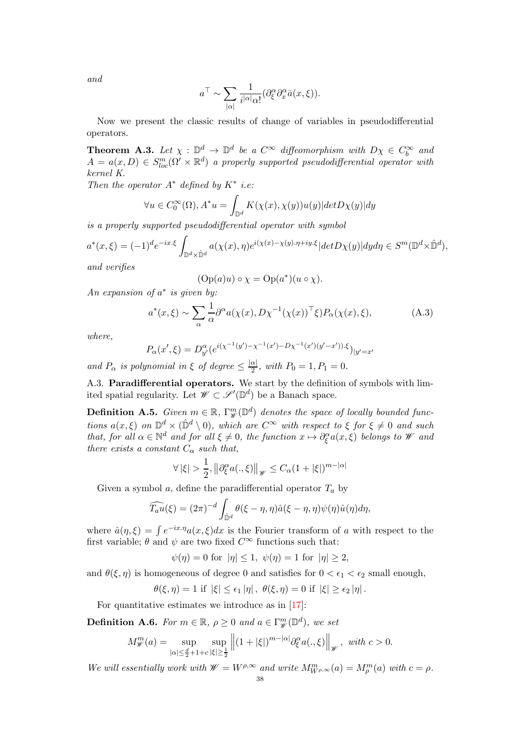and

$$
a^{\top} \sim \sum_{|\alpha|} \frac{1}{i^{|\alpha|} \alpha!} (\partial_{\xi}^{\alpha} \partial_{x}^{\alpha} \bar{a}(x,\xi)).
$$

Now we present the classic results of change of variables in pseudodifferential operators.

<span id="page-37-0"></span>**Theorem A.3.** Let  $\chi : \mathbb{D}^d \to \mathbb{D}^d$  be a  $C^{\infty}$  diffeomorphism with  $D\chi \in C_b^{\infty}$  and  $A = a(x, D) \in S_{loc}^m(\Omega' \times \mathbb{R}^d)$  a properly supported pseudodifferential operator with kernel K.

Then the operator  $A^*$  defined by  $K^*$  i.e:

$$
\forall u \in C_0^{\infty}(\Omega), A^*u = \int_{\mathbb{D}^d} K(\chi(x), \chi(y))u(y)| \det D\chi(y)| dy
$$

is a properly supported pseudodifferential operator with symbol

$$
a^*(x,\xi) = (-1)^d e^{-ix.\xi} \int_{\mathbb{D}^d \times \hat{\mathbb{D}}^d} a(\chi(x),\eta) e^{i(\chi(x) - \chi(y),\eta + iy.\xi)} |det D\chi(y)| dy d\eta \in S^m(\mathbb{D}^d \times \hat{\mathbb{D}}^d),
$$

and verifies

$$
(\text{Op}(a)u) \circ \chi = \text{Op}(a^*)(u \circ \chi).
$$

An expansion of  $a^*$  is given by:

$$
a^*(x,\xi) \sim \sum_{\alpha} \frac{1}{\alpha} \partial^{\alpha} a(\chi(x), D\chi^{-1}(\chi(x))^{\top} \xi) P_{\alpha}(\chi(x), \xi), \tag{A.3}
$$

where,

$$
P_{\alpha}(x',\xi) = D_{y'}^{\alpha}(e^{i(\chi^{-1}(y')-\chi^{-1}(x')-D\chi^{-1}(x')(y'-x'))\cdot\xi})_{|y'=x'}
$$

and  $P_{\alpha}$  is polynomial in  $\xi$  of degree  $\leq \frac{|\alpha|}{2}$ , with  $P_0 = 1, P_1 = 0$ .

A.3. Paradifferential operators. We start by the definition of symbols with limited spatial regularity. Let  $\mathscr{W} \subset \mathscr{S}'(\mathbb{D}^d)$  be a Banach space.

**Definition A.5.** Given  $m \in \mathbb{R}$ ,  $\Gamma^m_{\mathscr{W}}(\mathbb{D}^d)$  denotes the space of locally bounded functions  $a(x,\xi)$  on  $\mathbb{D}^d \times (\hat{\mathbb{D}}^d \setminus 0)$ , which are  $C^{\infty}$  with respect to  $\xi$  for  $\xi \neq 0$  and such that, for all  $\alpha \in \mathbb{N}^d$  and for all  $\xi \neq 0$ , the function  $x \mapsto \partial_{\xi}^{\alpha} a(x, \xi)$  belongs to W and there exists a constant  $C_{\alpha}$  such that,

$$
\forall |\xi| > \frac{1}{2}, \left\| \partial_{\xi}^{\alpha} a(.,\xi) \right\|_{\mathscr{W}} \leq C_{\alpha} (1 + |\xi|)^{m - |\alpha|}
$$

Given a symbol  $a$ , define the paradifferential operator  $T_a$  by

$$
\widehat{T_a u}(\xi) = (2\pi)^{-d} \int_{\hat{\mathbb{D}}^d} \theta(\xi - \eta, \eta) \hat{a}(\xi - \eta, \eta) \psi(\eta) \hat{u}(\eta) d\eta,
$$

where  $\hat{a}(\eta,\xi) = \int e^{-ix \cdot \eta} a(x,\xi) dx$  is the Fourier transform of a with respect to the first variable:  $\theta$  and  $\psi$  are two fixed  $C^{\infty}$  functions such that:

$$
\psi(\eta) = 0 \text{ for } |\eta| \le 1, \ \psi(\eta) = 1 \text{ for } |\eta| \ge 2,
$$

and  $\theta(\xi, \eta)$  is homogeneous of degree 0 and satisfies for  $0 < \epsilon_1 < \epsilon_2$  small enough,

$$
\theta(\xi,\eta) = 1 \text{ if } |\xi| \leq \epsilon_1 |\eta|, \ \theta(\xi,\eta) = 0 \text{ if } |\xi| \geq \epsilon_2 |\eta|.
$$

For quantitative estimates we introduce as in [\[17\]](#page-44-14):

**Definition A.6.** For  $m \in \mathbb{R}$ ,  $\rho \ge 0$  and  $a \in \Gamma^m_{\mathscr{W}}(\mathbb{D}^d)$ , we set

$$
M_{\mathscr{W}}^m(a) = \sup_{|\alpha| \le \frac{d}{2} + 1 + c} \sup_{|\xi| \ge \frac{1}{2}} \left\| (1 + |\xi|)^{m - |\alpha|} \partial_{\xi}^{\alpha} a(., \xi) \right\|_{\mathscr{W}}, \text{ with } c > 0.
$$

We will essentially work with  $\mathscr{W}=W^{\rho,\infty}$  and write  $M^m_{W^{\rho,\infty}}(a)=M^m_\rho(a)$  with  $c=\rho$ .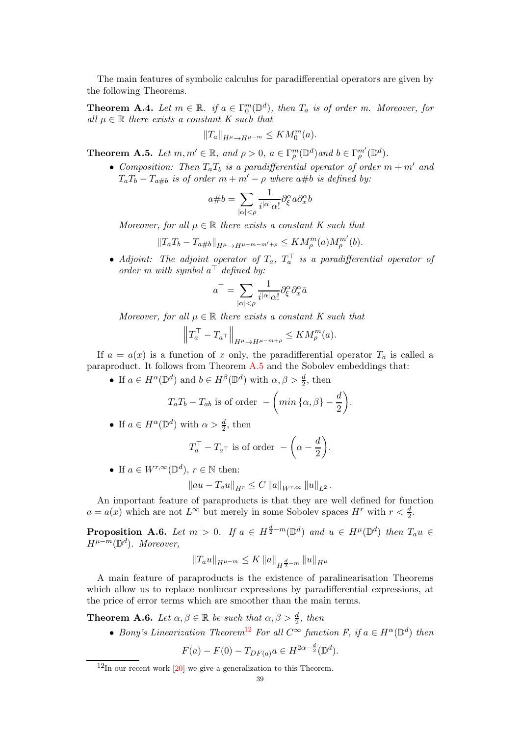The main features of symbolic calculus for paradifferential operators are given by the following Theorems.

**Theorem A.4.** Let  $m \in \mathbb{R}$ . if  $a \in \Gamma_0^m(\mathbb{D}^d)$ , then  $T_a$  is of order m. Moreover, for all  $\mu \in \mathbb{R}$  there exists a constant K such that

$$
||T_a||_{H^{\mu}\to H^{\mu-m}} \leq KM_0^m(a).
$$

<span id="page-38-1"></span>**Theorem A.5.** Let  $m, m' \in \mathbb{R}$ , and  $\rho > 0$ ,  $a \in \Gamma_{\rho}^m(\mathbb{D}^d)$  and  $b \in \Gamma_{\rho}^{m'}(\mathbb{D}^d)$ .

• Composition: Then  $T_aT_b$  is a paradifferential operator of order  $m + m'$  and  $T_aT_b - T_{a\#b}$  is of order  $m + m' - \rho$  where  $a\#b$  is defined by:

$$
a \# b = \sum_{|\alpha| < \rho} \frac{1}{i^{|\alpha|} \alpha!} \partial_{\xi}^{\alpha} a \partial_{x}^{\alpha} b
$$

Moreover, for all  $\mu \in \mathbb{R}$  there exists a constant K such that

$$
||T_aT_b - T_{a \# b}||_{H^{\mu} \to H^{\mu - m - m' + \rho}} \leq KM_{\rho}^m(a)M_{\rho}^{m'}(b).
$$

• Adjoint: The adjoint operator of  $T_a$ ,  $T_a^+$  is a paradifferential operator of order m with symbol  $a^{\dagger}$  defined by:

$$
a^\top = \sum_{|\alpha|<\rho} \frac{1}{i^{|\alpha|} \alpha!} \partial^\alpha_\xi \partial^\alpha_x \bar{a}
$$

Moreover, for all  $\mu \in \mathbb{R}$  there exists a constant K such that

$$
\left\|T_a^{\top} - T_a^{\top}\right\|_{H^{\mu} \to H^{\mu - m + \rho}} \leq KM_{\rho}^m(a).
$$

If  $a = a(x)$  is a function of x only, the paradifferential operator  $T_a$  is called a paraproduct. It follows from Theorem [A.5](#page-38-1) and the Sobolev embeddings that:

• If  $a \in H^{\alpha}(\mathbb{D}^d)$  and  $b \in H^{\beta}(\mathbb{D}^d)$  with  $\alpha, \beta > \frac{d}{2}$ , then

$$
T_a T_b - T_{ab} \text{ is of order } - \left( \min \left\{ \alpha, \beta \right\} - \frac{d}{2} \right).
$$

• If  $a \in H^{\alpha}(\mathbb{D}^d)$  with  $\alpha > \frac{d}{2}$ , then

$$
T_a^{\top} - T_{a^{\top}} \text{ is of order } -\left(\alpha - \frac{d}{2}\right).
$$

• If  $a \in W^{r,\infty}(\mathbb{D}^d)$ ,  $r \in \mathbb{N}$  then:

$$
||au - T_a u||_{H^r} \leq C ||a||_{W^{r,\infty}} ||u||_{L^2}.
$$

An important feature of paraproducts is that they are well defined for function  $a = a(x)$  which are not  $L^{\infty}$  but merely in some Sobolev spaces  $H^r$  with  $r < \frac{d}{2}$ .

**Proposition A.6.** Let  $m > 0$ . If  $a \in H^{\frac{d}{2}-m}(\mathbb{D}^d)$  and  $u \in H^{\mu}(\mathbb{D}^d)$  then  $T_a u \in$  $H^{\mu-m}(\mathbb{D}^d)$ . Moreover,

$$
||T_a u||_{H^{\mu-m}} \leq K ||a||_{H^{\frac{d}{2}-m}} ||u||_{H^{\mu}}
$$

A main feature of paraproducts is the existence of paralinearisation Theorems which allow us to replace nonlinear expressions by paradifferential expressions, at the price of error terms which are smoother than the main terms.

<span id="page-38-0"></span>**Theorem A.6.** Let  $\alpha, \beta \in \mathbb{R}$  be such that  $\alpha, \beta > \frac{d}{2}$ , then

• Bony's Linearization Theorem<sup>[12](#page-38-2)</sup> For all  $C^{\infty}$  function F, if  $a \in H^{\alpha}(\mathbb{D}^d)$  then

$$
F(a) - F(0) - T_{DF(a)}a \in H^{2\alpha - \frac{d}{2}}(\mathbb{D}^d).
$$

<span id="page-38-2"></span> $12$ In our recent work [\[20\]](#page-44-16) we give a generalization to this Theorem.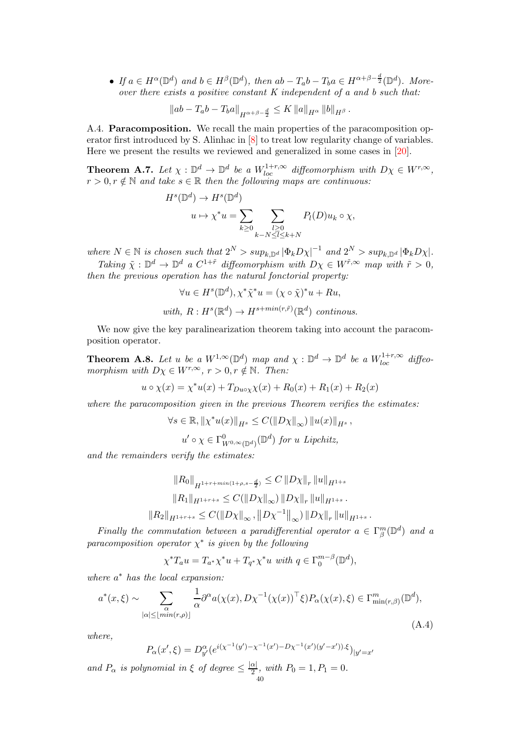• If  $a \in H^{\alpha}(\mathbb{D}^d)$  and  $b \in H^{\beta}(\mathbb{D}^d)$ , then  $ab - T_a b - T_b a \in H^{\alpha+\beta-\frac{d}{2}}(\mathbb{D}^d)$ . Moreover there exists a positive constant K independent of a and b such that:

$$
\|ab - T_a b - T_b a\|_{H^{\alpha+\beta-\frac{d}{2}}} \leq K \|a\|_{H^{\alpha}} \|b\|_{H^{\beta}}.
$$

A.4. Paracomposition. We recall the main properties of the paracomposition operator first introduced by S. Alinhac in [\[8\]](#page-44-17) to treat low regularity change of variables. Here we present the results we reviewed and generalized in some cases in [\[20\]](#page-44-16).

**Theorem A.7.** Let  $\chi : \mathbb{D}^d \to \mathbb{D}^d$  be a  $W_{loc}^{1+r,\infty}$  diffeomorphism with  $D\chi \in W^{r,\infty}$ ,  $r > 0, r \notin \mathbb{N}$  and take  $s \in \mathbb{R}$  then the following maps are continuous:

$$
H^{s}(\mathbb{D}^{d}) \to H^{s}(\mathbb{D}^{d})
$$

$$
u \mapsto \chi^{*}u = \sum_{k \geq 0} \sum_{\substack{l \geq 0 \\ k - N \leq l \leq k + N}} P_{l}(D)u_{k} \circ \chi,
$$

where  $N \in \mathbb{N}$  is chosen such that  $2^N > \sup_{k,\mathbb{D}^d} |\Phi_k D_\chi|^{-1}$  and  $2^N > \sup_{k,\mathbb{D}^d} |\Phi_k D_\chi|$ .

Taking  $\tilde{\chi}: \mathbb{D}^d \to \mathbb{D}^d$  a  $C^{1+\tilde{r}}$  diffeomorphism with  $D\chi \in W^{\tilde{r},\infty}$  map with  $\tilde{r} > 0$ , then the previous operation has the natural fonctorial property:

$$
\forall u \in H^s(\mathbb{D}^d), \chi^* \tilde{\chi}^* u = (\chi \circ \tilde{\chi})^* u + Ru,
$$
  
with,  $R: H^s(\mathbb{R}^d) \to H^{s + min(r, \tilde{r})}(\mathbb{R}^d)$  continuous.

We now give the key paralinearization theorem taking into account the paracomposition operator.

<span id="page-39-0"></span>**Theorem A.8.** Let u be a  $W^{1,\infty}(\mathbb{D}^d)$  map and  $\chi : \mathbb{D}^d \to \mathbb{D}^d$  be a  $W^{1+r,\infty}_{loc}$  diffeomorphism with  $D\chi \in W^{r,\infty}$ ,  $r > 0$ ,  $r \notin \mathbb{N}$ . Then:

$$
u \circ \chi(x) = \chi^* u(x) + T_{D u \circ \chi} \chi(x) + R_0(x) + R_1(x) + R_2(x)
$$

where the paracomposition given in the previous Theorem verifies the estimates:

$$
\forall s \in \mathbb{R}, ||\chi^* u(x)||_{H^s} \leq C(||D\chi||_{\infty}) ||u(x)||_{H^s},
$$

 $u' \circ \chi \in \Gamma^0_{W^{0,\infty}(\mathbb{D}^d)}(\mathbb{D}^d)$  for u Lipchitz,

and the remainders verify the estimates:

$$
||R_0||_{H^{1+r+min(1+\rho,s-\frac{d}{2})}} \leq C ||D\chi||_r ||u||_{H^{1+s}}
$$
  
\n
$$
||R_1||_{H^{1+r+s}} \leq C(||D\chi||_{\infty}) ||D\chi||_r ||u||_{H^{1+s}}.
$$
  
\n
$$
||R_2||_{H^{1+r+s}} \leq C(||D\chi||_{\infty}, ||D\chi^{-1}||_{\infty}) ||D\chi||_r ||u||_{H^{1+s}}.
$$

Finally the commutation between a paradifferential operator  $a \in \Gamma_{\beta}^{m}(\mathbb{D}^{d})$  and a paracomposition operator  $\chi^*$  is given by the following

 $\chi^* T_a u = T_{a^*} \chi^* u + T_{q^*} \chi^* u$  with  $q \in \Gamma_0^{m-\beta}(\mathbb{D}^d)$ ,

where  $a^*$  has the local expansion:

$$
a^*(x,\xi) \sim \sum_{|\alpha| \le \lfloor \min(r,\rho) \rfloor} \frac{1}{\alpha} \partial^{\alpha} a(\chi(x), D\chi^{-1}(\chi(x))^{\top} \xi) P_{\alpha}(\chi(x), \xi) \in \Gamma^m_{\min(r,\beta)}(\mathbb{D}^d),
$$
\n(A.4)

where,

$$
P_{\alpha}(x',\xi) = D_{y'}^{\alpha}(e^{i(\chi^{-1}(y')-\chi^{-1}(x')-D\chi^{-1}(x')(y'-x'))\cdot\xi})_{|y'=x'}
$$

and  $P_{\alpha}$  is polynomial in  $\xi$  of degree  $\leq \frac{|\alpha|}{2}$ , with  $P_0 = 1, P_1 = 0$ .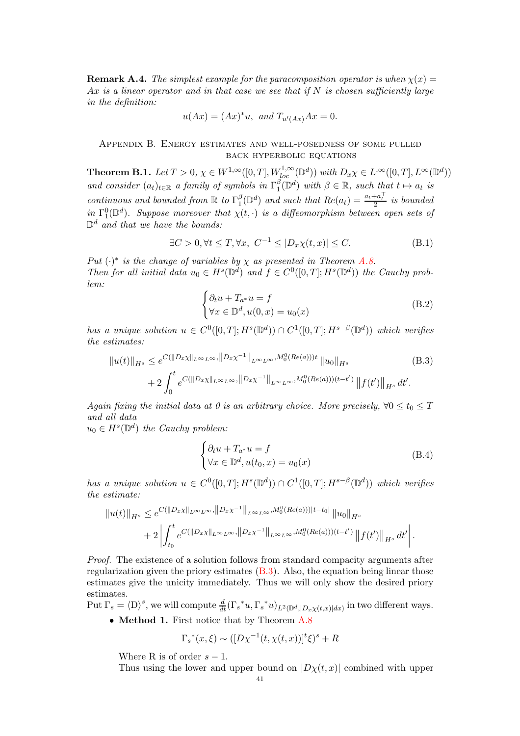**Remark A.4.** The simplest example for the paracomposition operator is when  $\chi(x) =$ Ax is a linear operator and in that case we see that if  $N$  is chosen sufficiently large in the definition:

$$
u(Ax) = (Ax)^*u
$$
, and  $T_{u'(Ax)}Ax = 0$ .

## <span id="page-40-0"></span>Appendix B. Energy estimates and well-posedness of some pulled back hyperbolic equations

<span id="page-40-1"></span>**Theorem B.1.** Let  $T > 0$ ,  $\chi \in W^{1,\infty}([0,T], W^{1,\infty}_{loc}(\mathbb{D}^d))$  with  $D_x\chi \in L^{\infty}([0,T], L^{\infty}(\mathbb{D}^d))$ and consider  $(a_t)_{t \in \mathbb{R}}$  a family of symbols in  $\Gamma_1^{\beta}$  $\beta_{1}^{ \beta}(\mathbb{D}^{d})$  with  $\beta \in \mathbb{R}$ , such that  $t \mapsto a_{t}$  is continuous and bounded from  $\mathbb R$  to  $\Gamma_1^{\beta}$  $\binom{\beta}{1}$  and such that  $Re(a_t) = \frac{a_t + a_t^{\top}}{2}$  is bounded in  $\Gamma_1^0(\mathbb{D}^d)$ . Suppose moreover that  $\chi(t, \cdot)$  is a diffeomorphism between open sets of  $\mathbb{D}^d$  and that we have the bounds:

$$
\exists C > 0, \forall t \le T, \forall x, \ C^{-1} \le |D_x \chi(t, x)| \le C. \tag{B.1}
$$

Put  $(\cdot)^*$  is the change of variables by  $\chi$  as presented in Theorem [A.8.](#page-39-0) Then for all initial data  $u_0 \in H^s(\mathbb{D}^d)$  and  $f \in C^0([0,T]; H^s(\mathbb{D}^d))$  the Cauchy problem:

<span id="page-40-2"></span>
$$
\begin{cases} \partial_t u + T_{a^*} u = f \\ \forall x \in \mathbb{D}^d, u(0, x) = u_0(x) \end{cases}
$$
 (B.2)

has a unique solution  $u \in C^0([0,T]; H^s(\mathbb{D}^d)) \cap C^1([0,T]; H^{s-\beta}(\mathbb{D}^d))$  which verifies the estimates:

$$
||u(t)||_{H^{s}} \leq e^{C(||D_{x}\chi||_{L^{\infty}L^{\infty}}, ||D_{x}\chi^{-1}||_{L^{\infty}L^{\infty}}, M_{0}^{0}(Re(a)))t} ||u_{0}||_{H^{s}} \qquad (B.3)
$$
  
+ 
$$
2 \int_{0}^{t} e^{C(||D_{x}\chi||_{L^{\infty}L^{\infty}}, ||D_{x}\chi^{-1}||_{L^{\infty}L^{\infty}}, M_{0}^{0}(Re(a))) (t-t')} ||f(t')||_{H^{s}} dt'.
$$

Again fixing the initial data at 0 is an arbitrary choice. More precisely,  $\forall 0 \le t_0 \le T$ and all data

 $u_0 \in H^s(\mathbb{D}^d)$  the Cauchy problem:

$$
\begin{cases} \partial_t u + T_{a^*} u = f \\ \forall x \in \mathbb{D}^d, u(t_0, x) = u_0(x) \end{cases}
$$
 (B.4)

has a unique solution  $u \in C^0([0,T]; H^s(\mathbb{D}^d)) \cap C^1([0,T]; H^{s-\beta}(\mathbb{D}^d))$  which verifies the estimate:

$$
||u(t)||_{H^{s}} \leq e^{C(||D_x \chi||_{L^{\infty}L^{\infty}}, ||D_x \chi^{-1}||_{L^{\infty}L^{\infty}}, M_0^0(Re(a)))|t-t_0|} ||u_0||_{H^{s}} + 2 \left| \int_{t_0}^t e^{C(||D_x \chi||_{L^{\infty}L^{\infty}}, ||D_x \chi^{-1}||_{L^{\infty}L^{\infty}}, M_0^0(Re(a))) (t-t')} ||f(t')||_{H^{s}} dt' \right|.
$$

Proof. The existence of a solution follows from standard compacity arguments after regularization given the priory estimates  $(B.3)$ . Also, the equation being linear those estimates give the unicity immediately. Thus we will only show the desired priory estimates.

Put  $\Gamma_s = \langle D \rangle^s$ , we will compute  $\frac{d}{dt}(\Gamma_s^* u, \Gamma_s^* u)_{L^2(\mathbb{D}^d, |D_x \chi(t,x)|dx)}$  in two different ways.

• Method 1. First notice that by Theorem [A.8](#page-39-0)

$$
\Gamma_s^*(x,\xi) \sim ([D\chi^{-1}(t,\chi(t,x))]^t \xi)^s + R
$$

Where R is of order  $s - 1$ .

Thus using the lower and upper bound on  $|D<sub>X</sub>(t, x)|$  combined with upper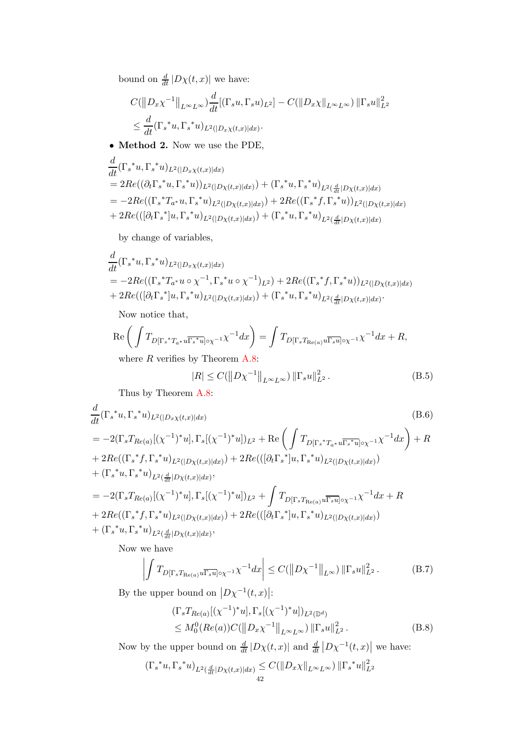bound on  $\frac{d}{dt} |D\chi(t,x)|$  we have:

$$
C(||D_x \chi^{-1}||_{L^{\infty}L^{\infty}}) \frac{d}{dt} [(\Gamma_s u, \Gamma_s u)_{L^2}] - C(||D_x \chi||_{L^{\infty}L^{\infty}}) ||\Gamma_s u||_{L^2}^2
$$
  

$$
\leq \frac{d}{dt} (\Gamma_s^* u, \Gamma_s^* u)_{L^2(|D_x \chi(t,x)|dx)}.
$$

• Method 2. Now we use the PDE,

$$
\frac{d}{dt}(\Gamma_s^* u, \Gamma_s^* u)_{L^2(|D_x \chi(t,x)|dx)} \n= 2Re((\partial_t \Gamma_s^* u, \Gamma_s^* u))_{L^2(|D \chi(t,x)|dx)}) + (\Gamma_s^* u, \Gamma_s^* u)_{L^2(\frac{d}{dt}|D \chi(t,x)|dx}) \n= -2Re((\Gamma_s^* T_{a^*} u, \Gamma_s^* u)_{L^2(|D \chi(t,x)|dx)}) + 2Re((\Gamma_s^* f, \Gamma_s^* u))_{L^2(|D \chi(t,x)|dx}) \n+ 2Re(([\partial_t \Gamma_s^*] u, \Gamma_s^* u)_{L^2(|D \chi(t,x)|dx)}) + (\Gamma_s^* u, \Gamma_s^* u)_{L^2(\frac{d}{dt}|D \chi(t,x)|dx})
$$

by change of variables,

$$
\frac{d}{dt}(\Gamma_s^* u, \Gamma_s^* u)_{L^2(|D_x \chi(t,x)|dx)} \n= -2Re((\Gamma_s^* T_{a^*} u \circ \chi^{-1}, \Gamma_s^* u \circ \chi^{-1})_{L^2}) + 2Re((\Gamma_s^* f, \Gamma_s^* u))_{L^2(|D \chi(t,x)|dx}) \n+ 2Re(([\partial_t \Gamma_s^*] u, \Gamma_s^* u)_{L^2(|D \chi(t,x)|dx)}) + (\Gamma_s^* u, \Gamma_s^* u)_{L^2(\frac{d}{dt}|D \chi(t,x)|dx)}.
$$

Now notice that,

$$
\operatorname{Re}\left(\int T_{D[\Gamma_s * T_{a^*} u \overline{\Gamma_s * u}] \circ \chi^{-1}} \chi^{-1} dx\right) = \int T_{D[\Gamma_s T_{\operatorname{Re}(a)} u \overline{\Gamma_s u}] \circ \chi^{-1}} \chi^{-1} dx + R,
$$
  
where *R* verifies by Theorem A.8.

where  $R$  verifies by Theorem  $A.8$ :

<span id="page-41-1"></span><span id="page-41-0"></span>
$$
|R| \le C(||D\chi^{-1}||_{L^{\infty}L^{\infty}}) ||\Gamma_s u||_{L^2}^2.
$$
 (B.5)

Thus by Theorem [A.8:](#page-39-0)

$$
\frac{d}{dt}(\Gamma_s^*u, \Gamma_s^*u)_{L^2(|D_x\chi(t,x)|dx)}\tag{B.6}
$$

$$
= -2(\Gamma_{s}T_{Re(a)}[(\chi^{-1})^{*}u], \Gamma_{s}[(\chi^{-1})^{*}u])_{L^{2}} + \text{Re}\left(\int T_{D[\Gamma_{s}^{*}T_{a^{*}}u\overline{\Gamma_{s}^{*}u}]_{\text{O}\chi^{-1}}\chi^{-1}dx}\right) + R
$$
  
+ 2Re((\Gamma\_{s}^{\*}f, \Gamma\_{s}^{\*}u)\_{L^{2}([D\chi(t,x)|dx)}) + 2Re(([\partial\_{t}\Gamma\_{s}^{\*}]u, \Gamma\_{s}^{\*}u)\_{L^{2}([D\chi(t,x)|dx)})  
+ (\Gamma\_{s}^{\*}u, \Gamma\_{s}^{\*}u)\_{L^{2}(\frac{d}{dt}|D\chi(t,x)|dx)},  
= -2(\Gamma\_{s}T\_{Re(a)}[(\chi^{-1})^{\*}u], \Gamma\_{s}[(\chi^{-1})^{\*}u])\_{L^{2}} + \int T\_{D[\Gamma\_{s}T\_{Re(a)}u\overline{\Gamma\_{s}u}]\_{\text{O}\chi^{-1}}\chi^{-1}dx + R  
+ 2Re((\Gamma\_{s}^{\*}f, \Gamma\_{s}^{\*}u)\_{L^{2}([D\chi(t,x)|dx)}) + 2Re(([\partial\_{t}\Gamma\_{s}^{\*}]u, \Gamma\_{s}^{\*}u)\_{L^{2}([D\chi(t,x)|dx)})  
+ (\Gamma\_{s}^{\*}u, \Gamma\_{s}^{\*}u)\_{L^{2}(\frac{d}{dt}|D\chi(t,x)|dx)},

Now we have

<span id="page-41-2"></span>
$$
\left| \int T_{D[\Gamma_s T_{\text{Re}(a)} u \overline{\Gamma_s u}] \circ \chi^{-1}} \chi^{-1} dx \right| \leq C(\left\| D\chi^{-1} \right\|_{L^\infty}) \left\| \Gamma_s u \right\|_{L^2}^2. \tag{B.7}
$$

By the upper bound on  $|D\chi^{-1}(t,x)|$ :

<span id="page-41-3"></span>
$$
\begin{aligned} & (\Gamma_s T_{Re(a)}[(\chi^{-1})^* u], \Gamma_s[(\chi^{-1})^* u])_{L^2(\mathbb{D}^d)} \\ &\leq M_0^0(Re(a))C(\left\|D_x\chi^{-1}\right\|_{L^\infty L^\infty})\left\|\Gamma_s u\right\|_{L^2}^2. \end{aligned} \tag{B.8}
$$

Now by the upper bound on  $\frac{d}{dt} |D\chi(t,x)|$  and  $\frac{d}{dt} |D\chi^{-1}(t,x)|$  we have:

$$
(\Gamma_s^* u, \Gamma_s^* u)_{L^2(\frac{d}{dt}|D\chi(t,x)|dx)} \leq C(||D_x \chi||_{L^{\infty}L^{\infty}}) ||\Gamma_s^* u||_{L^2}^2
$$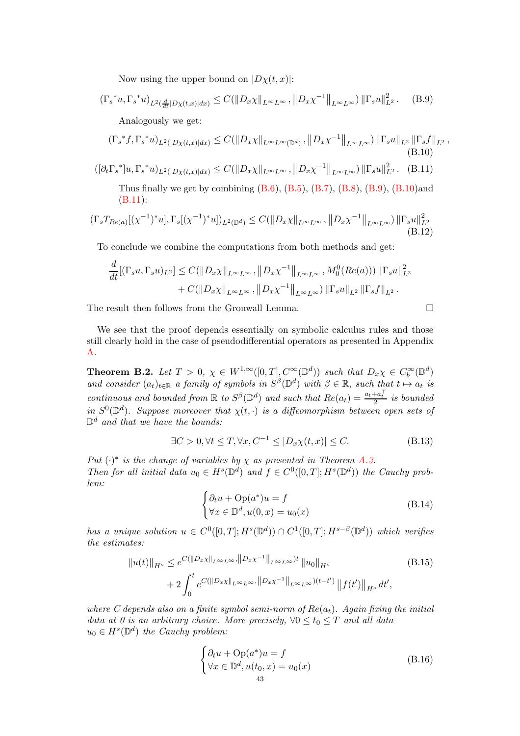Now using the upper bound on  $|D\chi(t,x)|$ :

<span id="page-42-0"></span>
$$
\left(\Gamma_s^* u, \Gamma_s^* u\right)_{L^2\left(\frac{d}{dt}|D\chi(t,x)|dx\right)} \le C(\|D_x\chi\|_{L^\infty L^\infty}, \|D_x\chi^{-1}\|_{L^\infty L^\infty}) \|\Gamma_s u\|_{L^2}^2. \tag{B.9}
$$

<span id="page-42-1"></span>Analogously we get:

$$
(\Gamma_s^* f, \Gamma_s^* u)_{L^2(|D_X(t,x)|dx)} \leq C(||D_x \chi||_{L^{\infty}L^{\infty}(\mathbb{D}^d)}, ||D_x \chi^{-1}||_{L^{\infty}L^{\infty}}) ||\Gamma_s u||_{L^2} ||\Gamma_s f||_{L^2},
$$
\n(B.10)

 $([{\partial_t \Gamma_s}^*]u, {\Gamma_s}^*u)_{L^2(|D\chi(t,x)|dx}) \leq C(||D_x \chi||_{L^{\infty}L^{\infty}}, ||D_x \chi^{-1}||_{L^{\infty}L^{\infty}}) ||\Gamma_s u||_{L^2}^2.$  (B.11)

<span id="page-42-2"></span>Thus finally we get by combining  $(B.6)$ ,  $(B.5)$ ,  $(B.7)$ ,  $(B.8)$ ,  $(B.9)$ ,  $(B.10)$ and [\(B.11\)](#page-42-2):

$$
(\Gamma_s T_{Re(a)}[(\chi^{-1})^* u], \Gamma_s[(\chi^{-1})^* u])_{L^2(\mathbb{D}^d)} \le C(\|D_x \chi\|_{L^\infty L^\infty}, \|D_x \chi^{-1}\|_{L^\infty L^\infty}) \|\Gamma_s u\|_{L^2}^2
$$
\n(B.12)

To conclude we combine the computations from both methods and get:

$$
\frac{d}{dt}[(\Gamma_s u, \Gamma_s u)_{L^2}] \le C(\|D_x \chi\|_{L^\infty L^\infty}, \|D_x \chi^{-1}\|_{L^\infty L^\infty}, M_0^0(Re(a))) \|\Gamma_s u\|_{L^2}^2 \n+ C(\|D_x \chi\|_{L^\infty L^\infty}, \|D_x \chi^{-1}\|_{L^\infty L^\infty}) \|\Gamma_s u\|_{L^2} \|\Gamma_s f\|_{L^2}.
$$

The result then follows from the Gronwall Lemma.

We see that the proof depends essentially on symbolic calculus rules and those still clearly hold in the case of pseudodifferential operators as presented in Appendix [A.](#page-34-0)

**Theorem B.2.** Let  $T > 0$ ,  $\chi \in W^{1,\infty}([0,T], C^{\infty}(\mathbb{D}^d))$  such that  $D_x\chi \in C_b^{\infty}(\mathbb{D}^d)$ and consider  $(a_t)_{t\in\mathbb{R}}$  a family of symbols in  $S^{\beta}(\mathbb{D}^d)$  with  $\beta \in \mathbb{R}$ , such that  $t \mapsto a_t$  is continuous and bounded from  $\mathbb R$  to  $S^{\beta}(\mathbb{D}^d)$  and such that  $Re(a_t) = \frac{a_t + a_t^{\top}}{2}$  is bounded 2 in  $S^0(\mathbb{D}^d)$ . Suppose moreover that  $\chi(t, \cdot)$  is a diffeomorphism between open sets of  $\mathbb{D}^d$  and that we have the bounds:

$$
\exists C > 0, \forall t \le T, \forall x, C^{-1} \le |D_x \chi(t, x)| \le C. \tag{B.13}
$$

Put  $(\cdot)^*$  is the change of variables by  $\chi$  as presented in Theorem [A.3.](#page-37-0) Then for all initial data  $u_0 \in H^s(\mathbb{D}^d)$  and  $f \in C^0([0,T]; H^s(\mathbb{D}^d))$  the Cauchy problem:

$$
\begin{cases} \partial_t u + \text{Op}(a^*)u = f \\ \forall x \in \mathbb{D}^d, u(0, x) = u_0(x) \end{cases}
$$
 (B.14)

has a unique solution  $u \in C^0([0,T]; H^s(\mathbb{D}^d)) \cap C^1([0,T]; H^{s-\beta}(\mathbb{D}^d))$  which verifies the estimates:

$$
||u(t)||_{H^{s}} \leq e^{C(||D_x \chi||_{L^{\infty}L^{\infty}}, ||D_x \chi^{-1}||_{L^{\infty}L^{\infty}})t} ||u_0||_{H^{s}}
$$
\n
$$
+ 2 \int_0^t e^{C(||D_x \chi||_{L^{\infty}L^{\infty}}, ||D_x \chi^{-1}||_{L^{\infty}L^{\infty}})(t-t')} ||f(t')||_{H^{s}} dt',
$$
\n(B.15)

where C depends also on a finite symbol semi-norm of  $Re(a_t)$ . Again fixing the initial data at 0 is an arbitrary choice. More precisely,  $\forall 0 \le t_0 \le T$  and all data  $u_0 \in H^s(\mathbb{D}^d)$  the Cauchy problem:

$$
\begin{cases} \partial_t u + \text{Op}(a^*)u = f \\ \forall x \in \mathbb{D}^d, u(t_0, x) = u_0(x) \end{cases}
$$
 (B.16)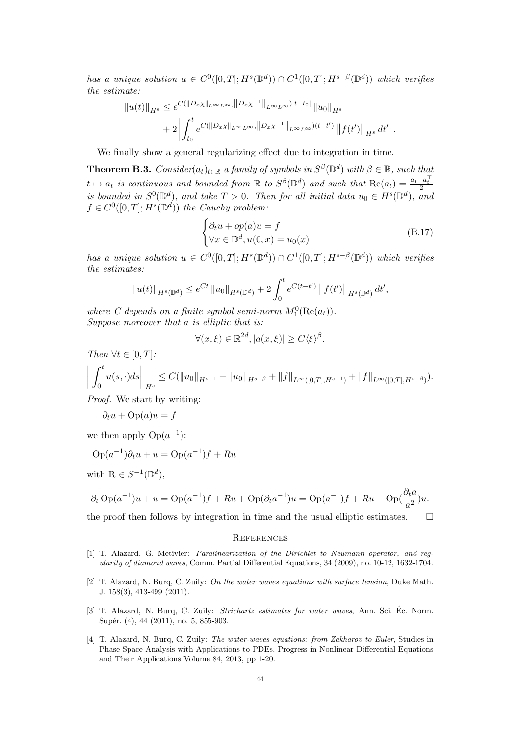has a unique solution  $u \in C^0([0,T]; H^s(\mathbb{D}^d)) \cap C^1([0,T]; H^{s-\beta}(\mathbb{D}^d))$  which verifies the estimate:

$$
||u(t)||_{H^{s}} \leq e^{C(||D_x \chi||_{L^{\infty}L^{\infty}}, ||D_x \chi^{-1}||_{L^{\infty}L^{\infty}}) |t-t_0|} ||u_0||_{H^{s}} + 2 \left| \int_{t_0}^t e^{C(||D_x \chi||_{L^{\infty}L^{\infty}}, ||D_x \chi^{-1}||_{L^{\infty}L^{\infty}}) (t-t')} ||f(t')||_{H^{s}} dt' \right|.
$$

We finally show a general regularizing effect due to integration in time.

<span id="page-43-4"></span>**Theorem B.3.** Consider $(a_t)_{t\in\mathbb{R}}$  a family of symbols in  $S^{\beta}(\mathbb{D}^d)$  with  $\beta \in \mathbb{R}$ , such that  $t \mapsto a_t$  is continuous and bounded from  $\mathbb R$  to  $S^{\beta}(\mathbb{D}^d)$  and such that  $\text{Re}(a_t) = \frac{a_t + a_t^{\top}}{2}$ is bounded in  $S^0(\mathbb{D}^d)$ , and take  $T > 0$ . Then for all initial data  $u_0 \in H^s(\mathbb{D}^d)$ , and  $f \in C^0([0,T]; H^s(\mathbb{D}^d))$  the Cauchy problem:

$$
\begin{cases} \partial_t u + op(a)u = f \\ \forall x \in \mathbb{D}^d, u(0, x) = u_0(x) \end{cases}
$$
 (B.17)

has a unique solution  $u \in C^0([0,T]; H^s(\mathbb{D}^d)) \cap C^1([0,T]; H^{s-\beta}(\mathbb{D}^d))$  which verifies the estimates:

$$
||u(t)||_{H^{s}(\mathbb{D}^{d})} \leq e^{Ct} ||u_0||_{H^{s}(\mathbb{D}^{d})} + 2 \int_0^t e^{C(t-t')} ||f(t')||_{H^{s}(\mathbb{D}^{d})} dt',
$$

where C depends on a finite symbol semi-norm  $M_1^0(\text{Re}(a_t))$ . Suppose moreover that a is elliptic that is:

$$
\forall (x,\xi) \in \mathbb{R}^{2d}, |a(x,\xi)| \ge C \langle \xi \rangle^{\beta}.
$$

Then  $\forall t \in [0, T]$ :

$$
\left\| \int_0^t u(s,\cdot)ds \right\|_{H^s} \leq C(\|u_0\|_{H^{s-1}} + \|u_0\|_{H^{s-\beta}} + \|f\|_{L^\infty([0,T],H^{s-1})} + \|f\|_{L^\infty([0,T],H^{s-\beta})}).
$$

Proof. We start by writing:

$$
\partial_t u + \text{Op}(a)u = f
$$

we then apply  $Op(a^{-1})$ :

$$
Op(a^{-1})\partial_t u + u = Op(a^{-1})f + Ru
$$

with  $R \in S^{-1}(\mathbb{D}^d)$ ,

$$
\partial_t \operatorname{Op}(a^{-1})u + u = \operatorname{Op}(a^{-1})f + Ru + \operatorname{Op}(\partial_t a^{-1})u = \operatorname{Op}(a^{-1})f + Ru + \operatorname{Op}(\frac{\partial_t a}{a^2})u.
$$

the proof then follows by integration in time and the usual elliptic estimates.  $\Box$ 

#### <span id="page-43-0"></span>**REFERENCES**

- <span id="page-43-2"></span>[1] T. Alazard, G. Metivier: Paralinearization of the Dirichlet to Neumann operator, and regularity of diamond waves, Comm. Partial Differential Equations, 34 (2009), no. 10-12, 1632-1704.
- <span id="page-43-1"></span>[2] T. Alazard, N. Burq, C. Zuily: On the water waves equations with surface tension, Duke Math. J. 158(3), 413-499 (2011).
- [3] T. Alazard, N. Burq, C. Zuily: Strichartz estimates for water waves, Ann. Sci. Éc. Norm. Supér. (4), 44 (2011), no. 5, 855-903.
- <span id="page-43-3"></span>[4] T. Alazard, N. Burq, C. Zuily: The water-waves equations: from Zakharov to Euler, Studies in Phase Space Analysis with Applications to PDEs. Progress in Nonlinear Differential Equations and Their Applications Volume 84, 2013, pp 1-20.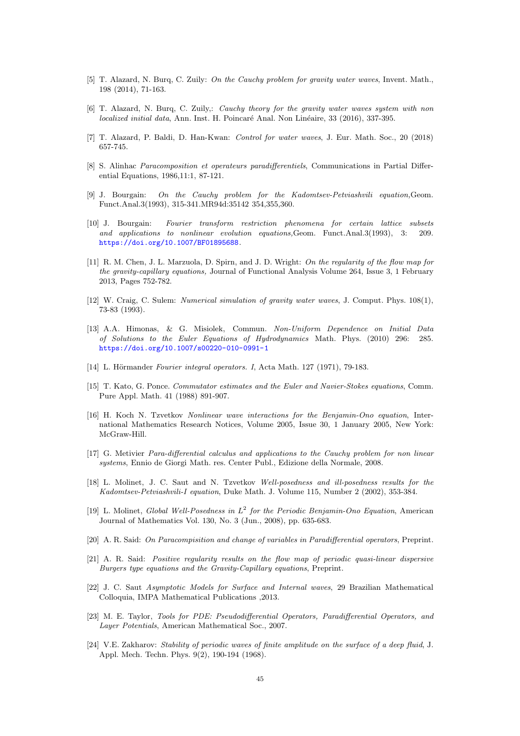- <span id="page-44-7"></span>[5] T. Alazard, N. Burq, C. Zuily: On the Cauchy problem for gravity water waves, Invent. Math., 198 (2014), 71-163.
- <span id="page-44-11"></span>[6] T. Alazard, N. Burq, C. Zuily,: Cauchy theory for the gravity water waves system with non  $localized initial data$ , Ann. Inst. H. Poincaré Anal. Non Linéaire, 33 (2016), 337-395.
- [7] T. Alazard, P. Baldi, D. Han-Kwan: Control for water waves, J. Eur. Math. Soc., 20 (2018) 657-745.
- <span id="page-44-17"></span>[8] S. Alinhac Paracomposition et operateurs paradifferentiels, Communications in Partial Differential Equations, 1986,11:1, 87-121.
- <span id="page-44-0"></span>[9] J. Bourgain: On the Cauchy problem for the Kadomtsev-Petviashvili equation,Geom. Funct.Anal.3(1993), 315-341.MR94d:35142 354,355,360.
- <span id="page-44-6"></span>[10] J. Bourgain: Fourier transform restriction phenomena for certain lattice subsets and applications to nonlinear evolution equations,Geom. Funct.Anal.3(1993), 3: 209. <https://doi.org/10.1007/BF01895688>.
- <span id="page-44-10"></span>[11] R. M. Chen, J. L. Marzuola, D. Spirn, and J. D. Wright: On the regularity of the flow map for the gravity-capillary equations, Journal of Functional Analysis Volume 264, Issue 3, 1 February 2013, Pages 752-782.
- <span id="page-44-9"></span>[12] W. Craig, C. Sulem: Numerical simulation of gravity water waves, J. Comput. Phys. 108(1), 73-83 (1993).
- [13] A.A. Himonas, & G. Misiolek, Commun. Non-Uniform Dependence on Initial Data of Solutions to the Euler Equations of Hydrodynamics Math. Phys. (2010) 296: 285. <https://doi.org/10.1007/s00220-010-0991-1>
- <span id="page-44-15"></span><span id="page-44-12"></span> $[14]$  L. Hörmander Fourier integral operators. I, Acta Math. 127 (1971), 79-183.
- [15] T. Kato, G. Ponce. Commutator estimates and the Euler and Navier-Stokes equations, Comm. Pure Appl. Math. 41 (1988) 891-907.
- <span id="page-44-3"></span>[16] H. Koch N. Tzvetkov Nonlinear wave interactions for the Benjamin-Ono equation, International Mathematics Research Notices, Volume 2005, Issue 30, 1 January 2005, New York: McGraw-Hill.
- <span id="page-44-14"></span>[17] G. Metivier Para-differential calculus and applications to the Cauchy problem for non linear systems, Ennio de Giorgi Math. res. Center Publ., Edizione della Normale, 2008.
- <span id="page-44-1"></span>[18] L. Molinet, J. C. Saut and N. Tzvetkov Well-posedness and ill-posedness results for the Kadomtsev-Petviashvili-I equation, Duke Math. J. Volume 115, Number 2 (2002), 353-384.
- <span id="page-44-5"></span>[19] L. Molinet, Global Well-Posedness in  $L^2$  for the Periodic Benjamin-Ono Equation, American Journal of Mathematics Vol. 130, No. 3 (Jun., 2008), pp. 635-683.
- <span id="page-44-16"></span><span id="page-44-4"></span>[20] A. R. Said: On Paracompisition and change of variables in Paradifferential operators, Preprint.
- [21] A. R. Said: Positive regularity results on the flow map of periodic quasi-linear dispersive Burgers type equations and the Gravity-Capillary equations, Preprint.
- <span id="page-44-2"></span>[22] J. C. Saut Asymptotic Models for Surface and Internal waves, 29 Brazilian Mathematical Colloquia, IMPA Mathematical Publications ,2013.
- <span id="page-44-13"></span>[23] M. E. Taylor, Tools for PDE: Pseudodifferential Operators, Paradifferential Operators, and Layer Potentials, American Mathematical Soc., 2007.
- <span id="page-44-8"></span>[24] V.E. Zakharov: Stability of periodic waves of finite amplitude on the surface of a deep fluid, J. Appl. Mech. Techn. Phys. 9(2), 190-194 (1968).